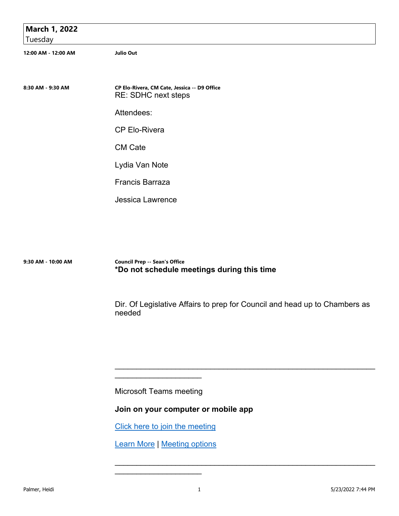| March 1, 2022       |                                                                     |
|---------------------|---------------------------------------------------------------------|
| Tuesday             |                                                                     |
| 12:00 AM - 12:00 AM | <b>Julio Out</b>                                                    |
|                     |                                                                     |
| 8:30 AM - 9:30 AM   | CP Elo-Rivera, CM Cate, Jessica -- D9 Office<br>RE: SDHC next steps |
|                     | Attendees:                                                          |
|                     | <b>CP Elo-Rivera</b>                                                |
|                     | <b>CM Cate</b>                                                      |
|                     | Lydia Van Note                                                      |
|                     | Francis Barraza                                                     |
|                     | <b>Jessica Lawrence</b>                                             |

**9:30 AM - 10:00 AM Council Prep -- Sean's Office \*Do not schedule meetings during this time**

> Dir. Of Legislative Affairs to prep for Council and head up to Chambers as needed

\_\_\_\_\_\_\_\_\_\_\_\_\_\_\_\_\_\_\_\_\_\_\_\_\_\_\_\_\_\_\_\_\_\_\_\_\_\_\_\_\_\_\_\_\_\_\_\_\_\_\_\_\_\_\_\_\_\_\_\_

 $\mathcal{L}_\text{max}$  , and the contract of the contract of the contract of the contract of the contract of the contract of

Microsoft Teams meeting

\_\_\_\_\_\_\_\_\_\_\_\_\_\_\_\_\_\_\_\_

**Join on your computer or mobile app** 

Click here to join the meeting

Learn More | Meeting options

\_\_\_\_\_\_\_\_\_\_\_\_\_\_\_\_\_\_\_\_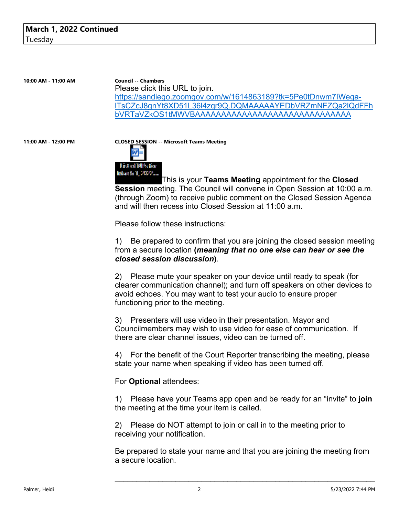**10:00 AM - 11:00 AM Council -- Chambers** Please click this URL to join. https://sandiego.zoomgov.com/w/1614863189?tk=5Pe0tDnwm7IWegalTsCZcJ8gnYt8XD51L36l4zqr9Q.DQMAAAAAYEDbVRZmNFZQa2lQdFFh bVRTaVZkOS1tMWVBAAAAAAAAAAAAAAAAAAAAAAAAAAAAAA

# **11:00 AM - 12:00 PM CLOSED SESSION -- Microsoft Teams Meeting**



This is your **Teams Meeting** appointment for the **Closed Session** meeting. The Council will convene in Open Session at 10:00 a.m. (through Zoom) to receive public comment on the Closed Session Agenda and will then recess into Closed Session at 11:00 a.m.

Please follow these instructions:

1) Be prepared to confirm that you are joining the closed session meeting from a secure location **(***meaning that no one else can hear or see the closed session discussion***)**.

2) Please mute your speaker on your device until ready to speak (for clearer communication channel); and turn off speakers on other devices to avoid echoes. You may want to test your audio to ensure proper functioning prior to the meeting.

3) Presenters will use video in their presentation. Mayor and Councilmembers may wish to use video for ease of communication. If there are clear channel issues, video can be turned off.

4) For the benefit of the Court Reporter transcribing the meeting, please state your name when speaking if video has been turned off.

For **Optional** attendees:

1) Please have your Teams app open and be ready for an "invite" to **join** the meeting at the time your item is called.

2) Please do NOT attempt to join or call in to the meeting prior to receiving your notification.

Be prepared to state your name and that you are joining the meeting from a secure location.

\_\_\_\_\_\_\_\_\_\_\_\_\_\_\_\_\_\_\_\_\_\_\_\_\_\_\_\_\_\_\_\_\_\_\_\_\_\_\_\_\_\_\_\_\_\_\_\_\_\_\_\_\_\_\_\_\_\_\_\_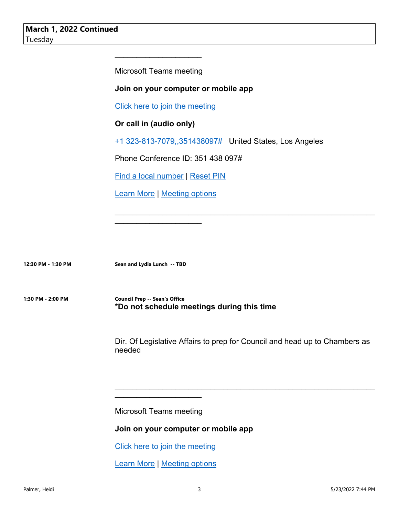Microsoft Teams meeting

 $\mathcal{L}_\text{max}$  , where  $\mathcal{L}_\text{max}$  and  $\mathcal{L}_\text{max}$ 

### **Join on your computer or mobile app**

Click here to join the meeting

# **Or call in (audio only)**

+1 323-813-7079,,351438097# United States, Los Angeles

Phone Conference ID: 351 438 097#

Find a local number | Reset PIN

Learn More | Meeting options

\_\_\_\_\_\_\_\_\_\_\_\_\_\_\_\_\_\_\_\_

**12:30 PM - 1:30 PM Sean and Lydia Lunch -- TBD**

**1:30 PM - 2:00 PM Council Prep -- Sean's Office \*Do not schedule meetings during this time**

> Dir. Of Legislative Affairs to prep for Council and head up to Chambers as needed

\_\_\_\_\_\_\_\_\_\_\_\_\_\_\_\_\_\_\_\_\_\_\_\_\_\_\_\_\_\_\_\_\_\_\_\_\_\_\_\_\_\_\_\_\_\_\_\_\_\_\_\_\_\_\_\_\_\_\_\_

\_\_\_\_\_\_\_\_\_\_\_\_\_\_\_\_\_\_\_\_\_\_\_\_\_\_\_\_\_\_\_\_\_\_\_\_\_\_\_\_\_\_\_\_\_\_\_\_\_\_\_\_\_\_\_\_\_\_\_\_

Microsoft Teams meeting

 $\mathcal{L}_\text{max}$  , where  $\mathcal{L}_\text{max}$  and  $\mathcal{L}_\text{max}$ 

#### **Join on your computer or mobile app**

Click here to join the meeting

Learn More | Meeting options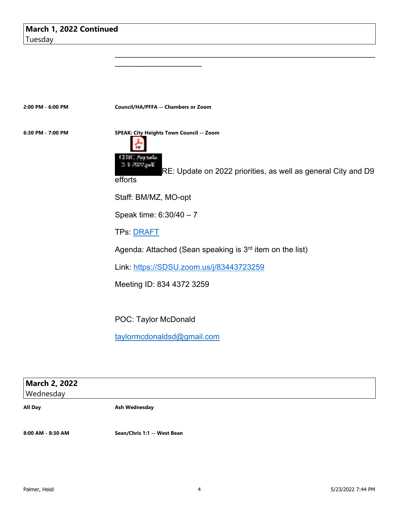**2:00 PM - 6:00 PM Council/HA/PFFA -- Chambers or Zoom**

\_\_\_\_\_\_\_\_\_\_\_\_\_\_\_\_\_\_\_\_

**6:30 PM - 7:00 PM SPEAK: City Heights Town Council -- Zoom**



RE: Update on 2022 priorities, as well as general City and D9

 $\mathcal{L}_\text{max}$  , and the contract of the contract of the contract of the contract of the contract of the contract of

efforts

Staff: BM/MZ, MO-opt

Speak time: 6:30/40 – 7

TPs: DRAFT

Agenda: Attached (Sean speaking is 3<sup>rd</sup> item on the list)

Link: https://SDSU.zoom.us/j/83443723259

Meeting ID: 834 4372 3259

POC: Taylor McDonald

taylormcdonaldsd@gmail.com

| March 2, 2022<br>Wednesday |               |
|----------------------------|---------------|
|                            |               |
| All Day                    | Ash Wednesday |

**8:00 AM - 8:30 AM Sean/Chris 1:1 -- West Bean**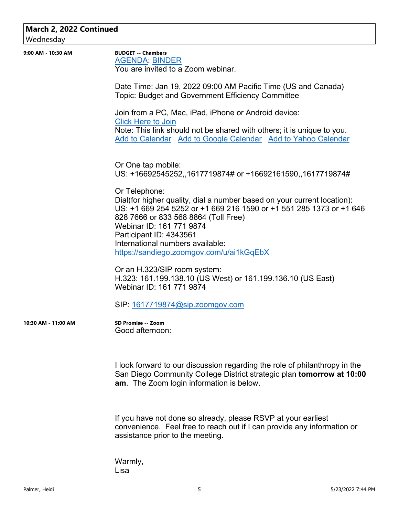# **March 2, 2022 Continued**

Wednesday

| 9:00 AM - 10:30 AM  | <b>BUDGET -- Chambers</b><br><b>AGENDA: BINDER</b><br>You are invited to a Zoom webinar.                                                                                                                |
|---------------------|---------------------------------------------------------------------------------------------------------------------------------------------------------------------------------------------------------|
|                     |                                                                                                                                                                                                         |
|                     | Date Time: Jan 19, 2022 09:00 AM Pacific Time (US and Canada)<br>Topic: Budget and Government Efficiency Committee                                                                                      |
|                     | Join from a PC, Mac, iPad, iPhone or Android device:<br><b>Click Here to Join</b>                                                                                                                       |
|                     | Note: This link should not be shared with others; it is unique to you.<br>Add to Calendar Add to Google Calendar Add to Yahoo Calendar                                                                  |
|                     | Or One tap mobile:                                                                                                                                                                                      |
|                     | US: +16692545252, 1617719874# or +16692161590, 1617719874#                                                                                                                                              |
|                     | Or Telephone:<br>Dial(for higher quality, dial a number based on your current location):<br>US: +1 669 254 5252 or +1 669 216 1590 or +1 551 285 1373 or +1 646<br>828 7666 or 833 568 8864 (Toll Free) |
|                     | Webinar ID: 161 771 9874<br>Participant ID: 4343561                                                                                                                                                     |
|                     | International numbers available:                                                                                                                                                                        |
|                     | https://sandiego.zoomgov.com/u/ai1kGqEbX                                                                                                                                                                |
|                     | Or an H.323/SIP room system:<br>H.323: 161.199.138.10 (US West) or 161.199.136.10 (US East)<br>Webinar ID: 161 771 9874                                                                                 |
|                     | SIP: 1617719874@sip.zoomgov.com                                                                                                                                                                         |
| 10:30 AM - 11:00 AM | SD Promise -- Zoom<br>Good afternoon:                                                                                                                                                                   |
|                     | I look forward to our discussion regarding the role of philanthropy in the<br>San Diego Community College District strategic plan tomorrow at 10:00<br>am. The Zoom login information is below.         |
|                     | If you have not done so already, please RSVP at your earliest<br>convenience. Feel free to reach out if I can provide any information or<br>assistance prior to the meeting.                            |

Warmly, Lisa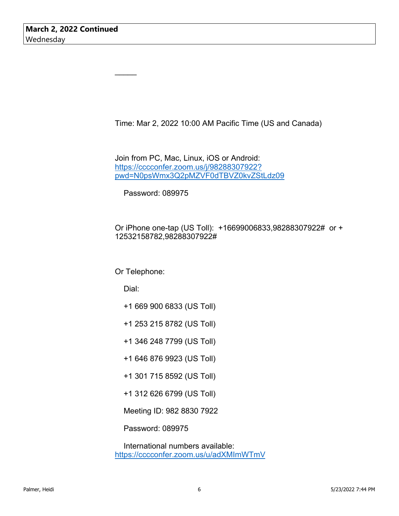Time: Mar 2, 2022 10:00 AM Pacific Time (US and Canada)

Join from PC, Mac, Linux, iOS or Android: https://cccconfer.zoom.us/j/98288307922? pwd=N0psWmx3Q2pMZVF0dTBVZ0kvZStLdz09

Password: 089975

Or iPhone one-tap (US Toll): +16699006833,98288307922# or + 12532158782,98288307922#

#### Or Telephone:

Dial:

 $\mathcal{L}$ 

- +1 669 900 6833 (US Toll)
- +1 253 215 8782 (US Toll)
- +1 346 248 7799 (US Toll)
- +1 646 876 9923 (US Toll)
- +1 301 715 8592 (US Toll)
- +1 312 626 6799 (US Toll)
- Meeting ID: 982 8830 7922

Password: 089975

 International numbers available: https://cccconfer.zoom.us/u/adXMImWTmV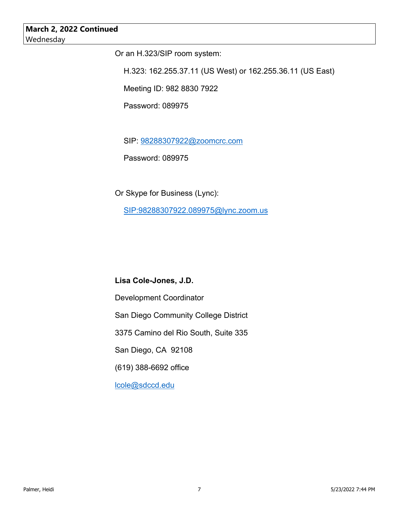# **March 2, 2022 Continued** Wednesday

Or an H.323/SIP room system:

H.323: 162.255.37.11 (US West) or 162.255.36.11 (US East)

Meeting ID: 982 8830 7922

Password: 089975

SIP: 98288307922@zoomcrc.com

Password: 089975

Or Skype for Business (Lync): SIP:98288307922.089975@lync.zoom.us

# **Lisa Cole-Jones, J.D.**

Development Coordinator

San Diego Community College District

3375 Camino del Rio South, Suite 335

San Diego, CA 92108

(619) 388-6692 office

lcole@sdccd.edu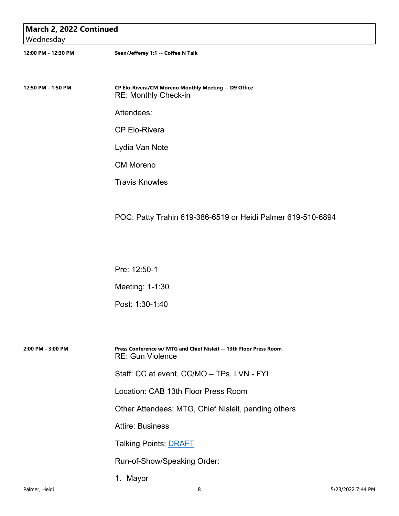| March 2, 2022 Continued<br>Wednesday |                                                                                               |
|--------------------------------------|-----------------------------------------------------------------------------------------------|
| 12:00 PM - 12:30 PM                  | Sean/Jefferey 1:1 -- Coffee N Talk                                                            |
|                                      |                                                                                               |
| 12:50 PM - 1:50 PM                   | CP Elo-Rivera/CM Moreno Monthly Meeting -- D9 Office<br>RE: Monthly Check-in                  |
|                                      | Attendees:                                                                                    |
|                                      | <b>CP Elo-Rivera</b>                                                                          |
|                                      | Lydia Van Note                                                                                |
|                                      | <b>CM Moreno</b>                                                                              |
|                                      | <b>Travis Knowles</b>                                                                         |
|                                      |                                                                                               |
|                                      | POC: Patty Trahin 619-386-6519 or Heidi Palmer 619-510-6894                                   |
|                                      |                                                                                               |
|                                      |                                                                                               |
|                                      | Pre: 12:50-1                                                                                  |
|                                      | Meeting: 1-1:30                                                                               |
|                                      | Post: 1:30-1:40                                                                               |
|                                      |                                                                                               |
| 2:00 PM - 3:00 PM                    | Press Conference w/ MTG and Chief Nisleit -- 13th Floor Press Room<br><b>RE: Gun Violence</b> |
|                                      | Staff: CC at event, CC/MO - TPs, LVN - FYI                                                    |
|                                      | Location: CAB 13th Floor Press Room                                                           |
|                                      | Other Attendees: MTG, Chief Nisleit, pending others                                           |
|                                      | <b>Attire: Business</b>                                                                       |
|                                      | <b>Talking Points: DRAFT</b>                                                                  |
|                                      | Run-of-Show/Speaking Order:                                                                   |

1. Mayor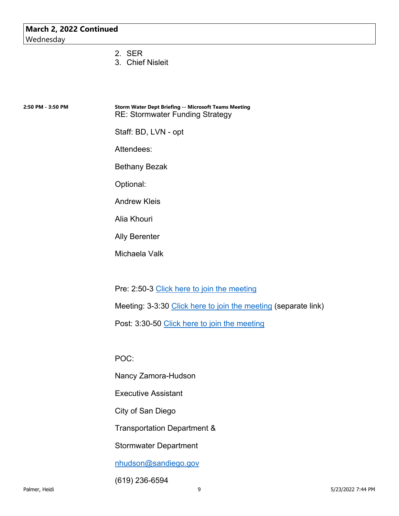- 2. SER
- 3. Chief Nisleit

| 2:50 PM - 3:50 PM | <b>Storm Water Dept Briefing -- Microsoft Teams Meeting</b> |
|-------------------|-------------------------------------------------------------|
|                   | <b>RE: Stormwater Funding Strategy</b>                      |

Staff: BD, LVN - opt

Attendees:

Bethany Bezak

Optional:

Andrew Kleis

Alia Khouri

Ally Berenter

Michaela Valk

Pre: 2:50-3 Click here to join the meeting

Meeting: 3-3:30 Click here to join the meeting (separate link)

Post: 3:30-50 Click here to join the meeting

POC:

Nancy Zamora-Hudson

Executive Assistant

City of San Diego

Transportation Department &

Stormwater Department

nhudson@sandiego.gov

(619) 236-6594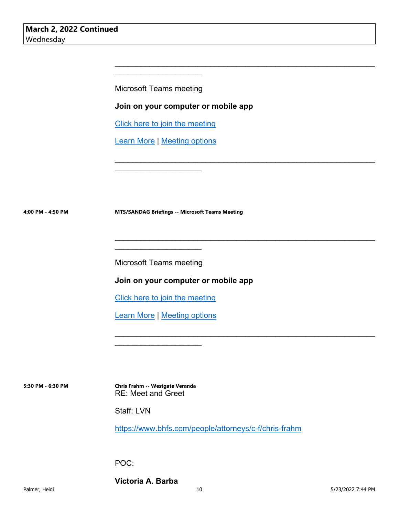Microsoft Teams meeting

 $\mathcal{L}_\text{max}$  , where  $\mathcal{L}_\text{max}$  and  $\mathcal{L}_\text{max}$ 

**Join on your computer or mobile app** 

\_\_\_\_\_\_\_\_\_\_\_\_\_\_\_\_\_\_\_\_\_\_\_\_\_\_\_\_\_\_\_\_\_\_\_\_\_\_\_\_\_\_\_\_\_\_\_\_\_\_\_\_\_\_\_\_\_\_\_\_

 $\mathcal{L}_\text{max}$  , and the contract of the contract of the contract of the contract of the contract of the contract of

 $\mathcal{L}_\text{max}$  , and the contract of the contract of the contract of the contract of the contract of the contract of

\_\_\_\_\_\_\_\_\_\_\_\_\_\_\_\_\_\_\_\_\_\_\_\_\_\_\_\_\_\_\_\_\_\_\_\_\_\_\_\_\_\_\_\_\_\_\_\_\_\_\_\_\_\_\_\_\_\_\_\_

Click here to join the meeting

Learn More | Meeting options

\_\_\_\_\_\_\_\_\_\_\_\_\_\_\_\_\_\_\_\_

**4:00 PM - 4:50 PM MTS/SANDAG Briefings -- Microsoft Teams Meeting**

Microsoft Teams meeting

\_\_\_\_\_\_\_\_\_\_\_\_\_\_\_\_\_\_\_\_

**Join on your computer or mobile app** 

Click here to join the meeting

Learn More | Meeting options

 $\mathcal{L}_\text{max}$  , where  $\mathcal{L}_\text{max}$  and  $\mathcal{L}_\text{max}$ 

**5:30 PM - 6:30 PM Chris Frahm -- Westgate Veranda** RE: Meet and Greet

Staff: LVN

https://www.bhfs.com/people/attorneys/c-f/chris-frahm

POC:

**Victoria A. Barba**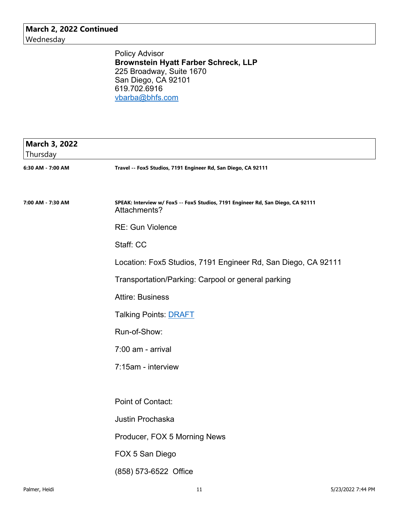**March 2, 2022 Continued** Wednesday

> Policy Advisor **Brownstein Hyatt Farber Schreck, LLP** 225 Broadway, Suite 1670 San Diego, CA 92101 619.702.6916 vbarba@bhfs.com

| <b>March 3, 2022</b><br>Thursday |                                                                                                 |
|----------------------------------|-------------------------------------------------------------------------------------------------|
| 6:30 AM - 7:00 AM                | Travel -- Fox5 Studios, 7191 Engineer Rd, San Diego, CA 92111                                   |
|                                  |                                                                                                 |
| 7:00 AM - 7:30 AM                | SPEAK: Interview w/ Fox5 -- Fox5 Studios, 7191 Engineer Rd, San Diego, CA 92111<br>Attachments? |
|                                  | <b>RE: Gun Violence</b>                                                                         |
|                                  | Staff: CC                                                                                       |
|                                  | Location: Fox5 Studios, 7191 Engineer Rd, San Diego, CA 92111                                   |
|                                  | Transportation/Parking: Carpool or general parking                                              |
|                                  | <b>Attire: Business</b>                                                                         |
|                                  | <b>Talking Points: DRAFT</b>                                                                    |
|                                  | Run-of-Show:                                                                                    |
|                                  | 7:00 am - arrival                                                                               |
|                                  | 7:15am - interview                                                                              |
|                                  |                                                                                                 |
|                                  | Point of Contact:                                                                               |
|                                  | Justin Prochaska                                                                                |
|                                  | Producer, FOX 5 Morning News                                                                    |
|                                  | FOX 5 San Diego                                                                                 |
|                                  | (858) 573-6522 Office                                                                           |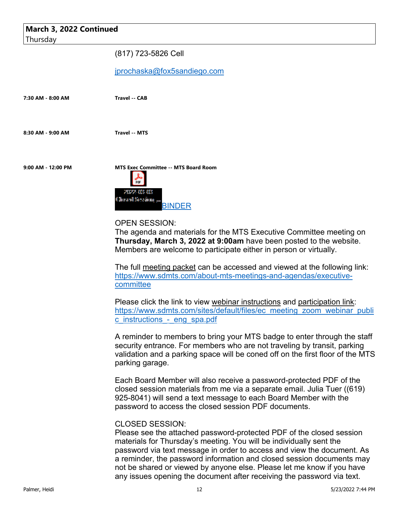| March 3, 2022 Continued |                                                                                                                                                                                                                                                                                                                                                                                                                                                                              |
|-------------------------|------------------------------------------------------------------------------------------------------------------------------------------------------------------------------------------------------------------------------------------------------------------------------------------------------------------------------------------------------------------------------------------------------------------------------------------------------------------------------|
| Thursday                |                                                                                                                                                                                                                                                                                                                                                                                                                                                                              |
|                         | (817) 723-5826 Cell                                                                                                                                                                                                                                                                                                                                                                                                                                                          |
|                         | jprochaska@fox5sandiego.com                                                                                                                                                                                                                                                                                                                                                                                                                                                  |
| 7:30 AM - 8:00 AM       | <b>Travel -- CAB</b>                                                                                                                                                                                                                                                                                                                                                                                                                                                         |
| 8:30 AM - 9:00 AM       | <b>Travel -- MTS</b>                                                                                                                                                                                                                                                                                                                                                                                                                                                         |
| 9:00 AM - 12:00 PM      | <b>MTS Exec Committee -- MTS Board Room</b><br>PDF<br>20022-009-009<br>Clloratol Servicina<br><b>BINDER</b><br><b>OPEN SESSION:</b><br>The agenda and materials for the MTS Executive Committee meeting on<br>Thursday, March 3, 2022 at 9:00am have been posted to the website.                                                                                                                                                                                             |
|                         | Members are welcome to participate either in person or virtually.<br>The full meeting packet can be accessed and viewed at the following link:<br>https://www.sdmts.com/about-mts-meetings-and-agendas/executive-<br>committee<br>Please click the link to view webinar instructions and participation link:<br>https://www.sdmts.com/sites/default/files/ec meeting zoom webinar publi                                                                                      |
|                         | c instructions - eng spa.pdf<br>A reminder to members to bring your MTS badge to enter through the staff<br>security entrance. For members who are not traveling by transit, parking<br>validation and a parking space will be coned off on the first floor of the MTS<br>parking garage.                                                                                                                                                                                    |
|                         | Each Board Member will also receive a password-protected PDF of the<br>closed session materials from me via a separate email. Julia Tuer ((619)<br>925-8041) will send a text message to each Board Member with the<br>password to access the closed session PDF documents.                                                                                                                                                                                                  |
|                         | <b>CLOSED SESSION:</b><br>Please see the attached password-protected PDF of the closed session<br>materials for Thursday's meeting. You will be individually sent the<br>password via text message in order to access and view the document. As<br>a reminder, the password information and closed session documents may<br>not be shared or viewed by anyone else. Please let me know if you have<br>any issues opening the document after receiving the password via text. |
| Palmer, Heidi           | 12<br>5/23/2022 7:44 PM                                                                                                                                                                                                                                                                                                                                                                                                                                                      |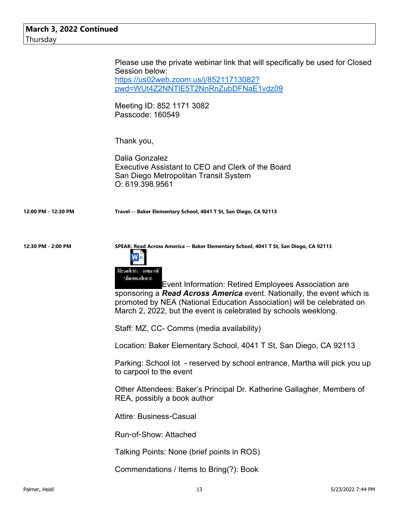|                     | Please use the private webinar link that will specifically be used for Closed<br>Session below:<br>https://us02web.zoom.us/j/85211713082?<br>pwd=WUt4Z2NNTIE5T2NnRnZubDFNaE1vdz09<br>Meeting ID: 852 1171 3082<br>Passcode: 160549                                                                                                                                                                                     |
|---------------------|------------------------------------------------------------------------------------------------------------------------------------------------------------------------------------------------------------------------------------------------------------------------------------------------------------------------------------------------------------------------------------------------------------------------|
|                     | Thank you,<br>Dalia Gonzalez<br>Executive Assistant to CEO and Clerk of the Board<br>San Diego Metropolitan Transit System<br>O: 619.398.9561                                                                                                                                                                                                                                                                          |
| 12:00 PM - 12:30 PM | Travel -- Baker Elementary School, 4041 T St, San Diego, CA 92113                                                                                                                                                                                                                                                                                                                                                      |
| 12:30 PM - 2:00 PM  | SPEAK: Read Across America -- Baker Elementary School, 4041 T St, San Diego, CA 92113<br>Resadence - nome off<br>schoowaalboo xc<br>Event Information: Retired Employees Association are<br>sponsoring a <b>Read Across America</b> event. Nationally, the event which is<br>promoted by NEA (National Education Association) will be celebrated on<br>March 2, 2022, but the event is celebrated by schools weeklong. |
|                     | Staff: MZ, CC- Comms (media availability)                                                                                                                                                                                                                                                                                                                                                                              |
|                     | Location: Baker Elementary School, 4041 T St, San Diego, CA 92113                                                                                                                                                                                                                                                                                                                                                      |
|                     | Parking: School lot - reserved by school entrance, Martha will pick you up<br>to carpool to the event                                                                                                                                                                                                                                                                                                                  |
|                     | Other Attendees: Baker's Principal Dr. Katherine Gallagher, Members of<br>REA, possibly a book author                                                                                                                                                                                                                                                                                                                  |
|                     | <b>Attire: Business-Casual</b>                                                                                                                                                                                                                                                                                                                                                                                         |
|                     | <b>Run-of-Show: Attached</b>                                                                                                                                                                                                                                                                                                                                                                                           |
|                     | Talking Points: None (brief points in ROS)                                                                                                                                                                                                                                                                                                                                                                             |
|                     | Commendations / Items to Bring(?): Book                                                                                                                                                                                                                                                                                                                                                                                |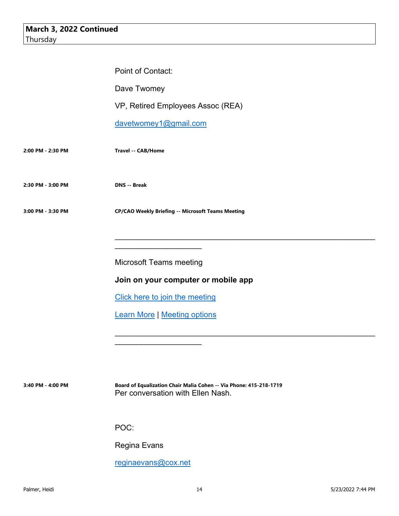|                   | Point of Contact:                                                                                       |
|-------------------|---------------------------------------------------------------------------------------------------------|
|                   | Dave Twomey                                                                                             |
|                   | VP, Retired Employees Assoc (REA)                                                                       |
|                   | davetwomey1@gmail.com                                                                                   |
| 2:00 PM - 2:30 PM | Travel -- CAB/Home                                                                                      |
| 2:30 PM - 3:00 PM | <b>DNS</b> -- Break                                                                                     |
| 3:00 PM - 3:30 PM | <b>CP/CAO Weekly Briefing -- Microsoft Teams Meeting</b>                                                |
|                   |                                                                                                         |
|                   |                                                                                                         |
|                   | <b>Microsoft Teams meeting</b>                                                                          |
|                   | Join on your computer or mobile app                                                                     |
|                   | Click here to join the meeting                                                                          |
|                   | <b>Learn More   Meeting options</b>                                                                     |
|                   |                                                                                                         |
|                   |                                                                                                         |
|                   |                                                                                                         |
| 3:40 PM - 4:00 PM | Board of Equalization Chair Malia Cohen -- Via Phone: 415-218-1719<br>Per conversation with Ellen Nash. |
|                   |                                                                                                         |
|                   | POC:                                                                                                    |
|                   | <b>Regina Evans</b>                                                                                     |
|                   | reginaevans@cox.net                                                                                     |
|                   |                                                                                                         |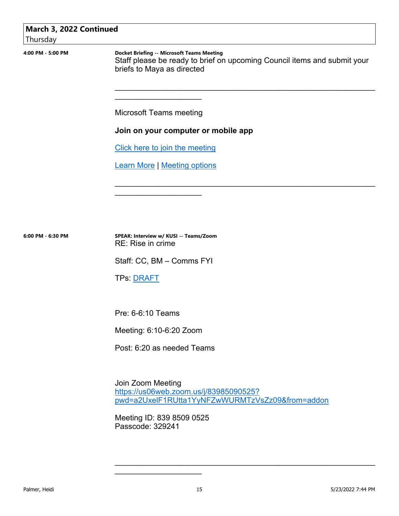# **March 3, 2022 Continued**

Thursday

**4:00 PM - 5:00 PM Docket Briefing -- Microsoft Teams Meeting**

Staff please be ready to brief on upcoming Council items and submit your briefs to Maya as directed

 $\mathcal{L}_\text{max}$  , and the contract of the contract of the contract of the contract of the contract of the contract of

 $\mathcal{L}_\text{max}$  , and the contract of the contract of the contract of the contract of the contract of the contract of

Microsoft Teams meeting

\_\_\_\_\_\_\_\_\_\_\_\_\_\_\_\_\_\_\_\_

### **Join on your computer or mobile app**

Click here to join the meeting

Learn More | Meeting options

 $\mathcal{L}_\text{max}$  , where  $\mathcal{L}_\text{max}$  and  $\mathcal{L}_\text{max}$ 

**6:00 PM - 6:30 PM SPEAK: Interview w/ KUSI -- Teams/Zoom** RE: Rise in crime

Staff: CC, BM – Comms FYI

TPs: DRAFT

Pre: 6-6:10 Teams

Meeting: 6:10-6:20 Zoom

Post: 6:20 as needed Teams

Join Zoom Meeting https://us06web.zoom.us/j/83985090525? pwd=a2UxelF1RUtta1YyNFZwWURMTzVsZz09&from=addon

 $\mathcal{L}_\text{max}$  , and the contract of the contract of the contract of the contract of the contract of the contract of

Meeting ID: 839 8509 0525 Passcode: 329241

\_\_\_\_\_\_\_\_\_\_\_\_\_\_\_\_\_\_\_\_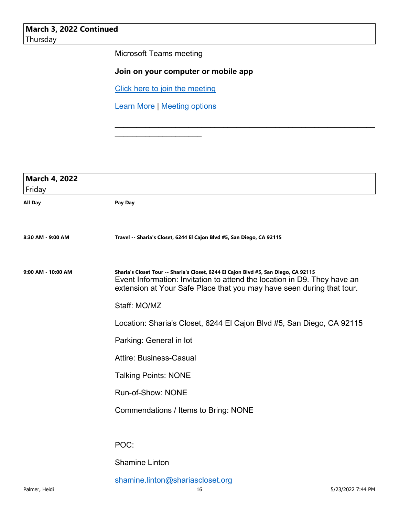Microsoft Teams meeting

# **Join on your computer or mobile app**

 $\mathcal{L}_\text{max}$  , and the contract of the contract of the contract of the contract of the contract of the contract of

Click here to join the meeting

Learn More | Meeting options

\_\_\_\_\_\_\_\_\_\_\_\_\_\_\_\_\_\_\_\_

| <b>March 4, 2022</b><br>Friday |                                                                                                                                                                                                                                          |
|--------------------------------|------------------------------------------------------------------------------------------------------------------------------------------------------------------------------------------------------------------------------------------|
| <b>All Day</b>                 | Pay Day                                                                                                                                                                                                                                  |
|                                |                                                                                                                                                                                                                                          |
| 8:30 AM - 9:00 AM              | Travel -- Sharia's Closet, 6244 El Cajon Blvd #5, San Diego, CA 92115                                                                                                                                                                    |
| 9:00 AM - 10:00 AM             | Sharia's Closet Tour -- Sharia's Closet, 6244 El Cajon Blvd #5, San Diego, CA 92115<br>Event Information: Invitation to attend the location in D9. They have an<br>extension at Your Safe Place that you may have seen during that tour. |
|                                | Staff: MO/MZ                                                                                                                                                                                                                             |
|                                | Location: Sharia's Closet, 6244 El Cajon Blvd #5, San Diego, CA 92115                                                                                                                                                                    |
|                                | Parking: General in lot                                                                                                                                                                                                                  |
|                                | <b>Attire: Business-Casual</b>                                                                                                                                                                                                           |
|                                | <b>Talking Points: NONE</b>                                                                                                                                                                                                              |
|                                | Run-of-Show: NONE                                                                                                                                                                                                                        |
|                                | Commendations / Items to Bring: NONE                                                                                                                                                                                                     |
|                                |                                                                                                                                                                                                                                          |
|                                | POC:                                                                                                                                                                                                                                     |
|                                | <b>Shamine Linton</b>                                                                                                                                                                                                                    |
|                                | shamine.linton@shariascloset.org                                                                                                                                                                                                         |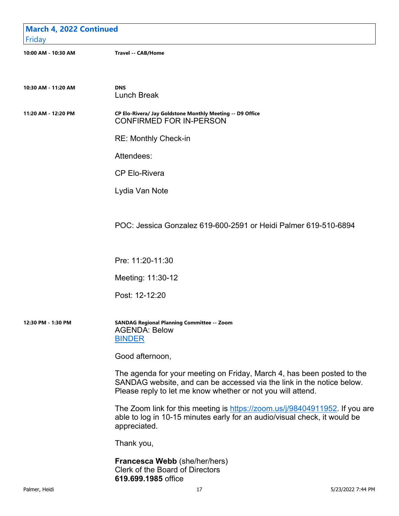| <b>March 4, 2022 Continued</b><br>Friday |                                                                                                                                                                                                                |
|------------------------------------------|----------------------------------------------------------------------------------------------------------------------------------------------------------------------------------------------------------------|
| 10:00 AM - 10:30 AM                      | <b>Travel -- CAB/Home</b>                                                                                                                                                                                      |
| 10:30 AM - 11:20 AM                      | <b>DNS</b><br><b>Lunch Break</b>                                                                                                                                                                               |
| 11:20 AM - 12:20 PM                      | CP Elo-Rivera/ Jay Goldstone Monthly Meeting -- D9 Office<br><b>CONFIRMED FOR IN-PERSON</b>                                                                                                                    |
|                                          | <b>RE: Monthly Check-in</b>                                                                                                                                                                                    |
|                                          | Attendees:                                                                                                                                                                                                     |
|                                          | <b>CP Elo-Rivera</b>                                                                                                                                                                                           |
|                                          | Lydia Van Note                                                                                                                                                                                                 |
|                                          | POC: Jessica Gonzalez 619-600-2591 or Heidi Palmer 619-510-6894                                                                                                                                                |
|                                          | Pre: 11:20-11:30                                                                                                                                                                                               |
|                                          | Meeting: 11:30-12                                                                                                                                                                                              |
|                                          | Post: 12-12:20                                                                                                                                                                                                 |
| 12:30 PM - 1:30 PM                       | <b>SANDAG Regional Planning Committee -- Zoom</b><br><b>AGENDA: Below</b><br><b>BINDER</b>                                                                                                                     |
|                                          | Good afternoon,                                                                                                                                                                                                |
|                                          | The agenda for your meeting on Friday, March 4, has been posted to the<br>SANDAG website, and can be accessed via the link in the notice below.<br>Please reply to let me know whether or not you will attend. |
|                                          | The Zoom link for this meeting is https://zoom.us/j/98404911952. If you are<br>able to log in 10-15 minutes early for an audio/visual check, it would be<br>appreciated.                                       |
|                                          | Thank you,                                                                                                                                                                                                     |
|                                          | Francesca Webb (she/her/hers)<br><b>Clerk of the Board of Directors</b><br>619.699.1985 office                                                                                                                 |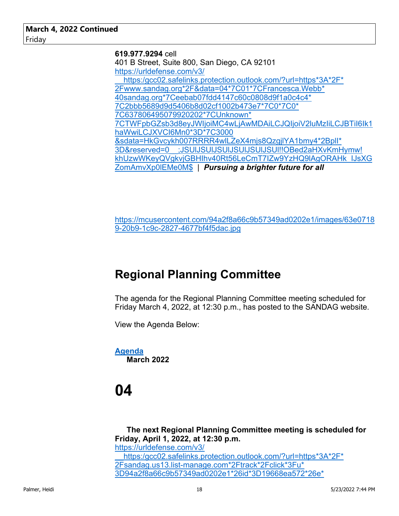**619.977.9294** cell 401 B Street, Suite 800, San Diego, CA 92101 https://urldefense.com/v3/ https:/gcc02.safelinks.protection.outlook.com/?url=https\*3A\*2F\* 2Fwww.sandag.org\*2F&data=04\*7C01\*7CFrancesca.Webb\* 40sandag.org\*7Ceebab07fdd4147c60c0808d9f1a0c4c4\* 7C2bbb5689d9d5406b8d02cf1002b473e7\*7C0\*7C0\* 7C637806495079920202\*7CUnknown\* 7CTWFpbGZsb3d8eyJWIjoiMC4wLjAwMDAiLCJQIjoiV2luMzIiLCJBTiI6Ik1 haWwiLCJXVCI6Mn0\*3D\*7C3000 &sdata=HkGvcykh007RRRR4wlLZeX4mjs8QzgjlYA1bmy4\*2BplI\* 3D&reserved=0\_\_;JSUlJSUlJSUlJSUlJSUlJSUl!!OBed2aHXvKmHymw! khUzwWKeyQVgkvjGBHIhv40Rt56LeCmT7IZw9YzHQ9lAgORAHk\_IJsXG ZomAmvXp0lEMe0M\$ | *Pursuing a brighter future for all*

https://mcusercontent.com/94a2f8a66c9b57349ad0202e1/images/63e0718 9-20b9-1c9c-2827-4677bf4f5dac.jpg

# **Regional Planning Committee**

The agenda for the Regional Planning Committee meeting scheduled for Friday March 4, 2022, at 12:30 p.m., has posted to the SANDAG website.

View the Agenda Below:

**Agenda March 2022**

# **04**

**The next Regional Planning Committee meeting is scheduled for Friday, April 1, 2022, at 12:30 p.m.** https://urldefense.com/v3/ https:/gcc02.safelinks.protection.outlook.com/?url=https\*3A\*2F\* 2Fsandag.us13.list-manage.com\*2Ftrack\*2Fclick\*3Fu\* 3D94a2f8a66c9b57349ad0202e1\*26id\*3D19668ea572\*26e\*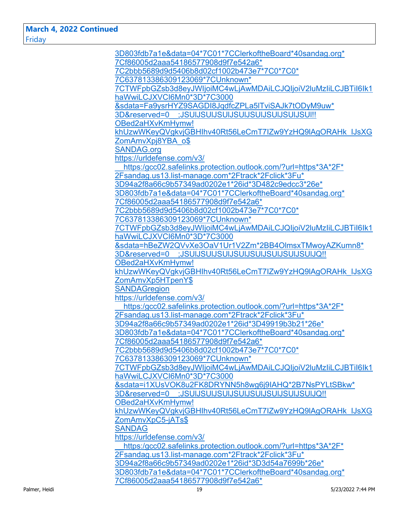**March 4, 2022 Continued** Friday

| 3D803fdb7a1e&data=04*7C01*7CClerkoftheBoard*40sandag.org*                     |
|-------------------------------------------------------------------------------|
| 7Cf86005d2aaa54186577908d9f7e542a6*                                           |
| 7C2bbb5689d9d5406b8d02cf1002b473e7*7C0*7C0*                                   |
| 7C637813386309123069*7CUnknown*                                               |
| 7CTWFpbGZsb3d8eyJWljoiMC4wLjAwMDAiLCJQljoiV2luMzliLCJBTil6lk1                 |
| haWwiLCJXVCl6Mn0*3D*7C3000                                                    |
| &sdata=Fa9ysrHYZ9SAGDI8JqdfcZPLa5ITviSAJk7tODyM9uw*                           |
| 3D&reserved=0 ;JSUIJSUIJSUIJSUIJSUIJSUIJSUIJSUI                               |
| OBed2aHXvKmHymw!                                                              |
| khUzwWKeyQVgkvjGBHIhv40Rt56LeCmT7IZw9YzHQ9IAgORAHk IJsXG                      |
| ZomAmvXpj8YBA o\$                                                             |
| <b>SANDAG.org</b>                                                             |
| https://urldefense.com/v3/                                                    |
| https:/gcc02.safelinks.protection.outlook.com/?url=https*3A*2F*               |
| 2Fsandag.us13.list-manage.com*2Ftrack*2Fclick*3Fu*                            |
| 3D94a2f8a66c9b57349ad0202e1*26id*3D482c9edcc3*26e*                            |
| 3D803fdb7a1e&data=04*7C01*7CClerkoftheBoard*40sandag.org*                     |
| 7Cf86005d2aaa54186577908d9f7e542a6*                                           |
| 7C2bbb5689d9d5406b8d02cf1002b473e7*7C0*7C0*                                   |
| 7C637813386309123069*7CUnknown*                                               |
| 7CTWFpbGZsb3d8eyJWljoiMC4wLjAwMDAiLCJQljoiV2luMzliLCJBTil6lk1                 |
| haWwiLCJXVCl6Mn0*3D*7C3000                                                    |
| &sdata=hBeZW2QVvXe3OaV1Ur1V2Zm*2BB4OlmsxTMwoyAZKumn8*                         |
| 3D&reserved=0 ;JSUIJSUIJSUIJSUIJSUIJSUIJSUIJSUIJO!!                           |
| OBed2aHXvKmHymw!                                                              |
|                                                                               |
| khUzwWKeyQVgkvjGBHIhv40Rt56LeCmT7IZw9YzHQ9IAgORAHk IJsXG<br>ZomAmvXp5HTpenY\$ |
|                                                                               |
| <b>SANDAGregion</b>                                                           |
| https://urldefense.com/v3/                                                    |
| https:/gcc02.safelinks.protection.outlook.com/?url=https*3A*2F*               |
| 2Fsandag.us13.list-manage.com*2Ftrack*2Fclick*3Fu*                            |
| 3D94a2f8a66c9b57349ad0202e1*26id*3D49919b3b21*26e*                            |
| 3D803fdb7a1e&data=04*7C01*7CClerkoftheBoard*40sandag.org*                     |
| 7Cf86005d2aaa54186577908d9f7e542a6*                                           |
| 7C2bbb5689d9d5406b8d02cf1002b473e7*7C0*7C0*                                   |
| 7C637813386309123069*7CUnknown*                                               |
| 7CTWFpbGZsb3d8eyJWljoiMC4wLjAwMDAiLCJQljoiV2luMzliLCJBTil6lk1                 |
| haWwiLCJXVCl6Mn0*3D*7C3000                                                    |
| &sdata=i1XUsVOK8u2FK8DRYNN5h8wg6j9IAHQ*2B7NsPYLtSBkw*                         |
| 3D&reserved=0 ;JSUIJSUIJSUIJSUIJSUIJSUIJSUIJSUIJQ!!                           |
| OBed2aHXvKmHymw!                                                              |
| khUzwWKeyQVgkvjGBHlhv40Rt56LeCmT7IZw9YzHQ9IAgORAHk IJsXG                      |
| ZomAmvXpC5-jATs\$                                                             |
| <b>SANDAG</b>                                                                 |
| https://urldefense.com/v3/                                                    |
| https:/gcc02.safelinks.protection.outlook.com/?url=https*3A*2F*               |
| 2Fsandag.us13.list-manage.com*2Ftrack*2Fclick*3Fu*                            |
| 3D94a2f8a66c9b57349ad0202e1*26id*3D3d54a7699b*26e*                            |
| 3D803fdb7a1e&data=04*7C01*7CClerkoftheBoard*40sandag.org*                     |
| 7Cf86005d2aaa54186577908d9f7e542a6*                                           |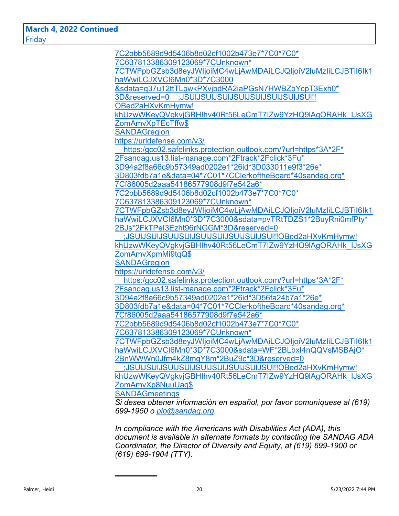**March 4, 2022 Continued** Friday

| 7C2bbb5689d9d5406b8d02cf1002b473e7*7C0*7C0*                                                                                                   |
|-----------------------------------------------------------------------------------------------------------------------------------------------|
| 7C637813386309123069*7CUnknown*                                                                                                               |
| 7CTWFpbGZsb3d8eyJWljoiMC4wLjAwMDAiLCJQljoiV2luMzliLCJBTil6lk1                                                                                 |
| haWwiLCJXVCl6Mn0*3D*7C3000                                                                                                                    |
| &sdata=q37u12ttTLpwkPXvjbdRA2iaPGsN7HWBZbYcpT3Exh0*                                                                                           |
| 3D&reserved=0 ;JSUIJSUIJSUIJSUIJSUIJSUIJSUIJSUI!!                                                                                             |
| OBed2aHXvKmHymw!                                                                                                                              |
| khUzwWKeyQVgkvjGBHlhv40Rt56LeCmT7IZw9YzHQ9IAgORAHk IJsXG                                                                                      |
| ZomAmvXpTEcTffw\$                                                                                                                             |
| <b>SANDAGregion</b>                                                                                                                           |
| https://urldefense.com/v3/                                                                                                                    |
| https:/gcc02.safelinks.protection.outlook.com/?url=https*3A*2F*                                                                               |
| 2Fsandag.us13.list-manage.com*2Ftrack*2Fclick*3Fu*                                                                                            |
| 3D94a2f8a66c9b57349ad0202e1*26id*3D033011e9f3*26e*                                                                                            |
| 3D803fdb7a1e&data=04*7C01*7CClerkoftheBoard*40sandag.org*                                                                                     |
| 7Cf86005d2aaa54186577908d9f7e542a6*                                                                                                           |
| 7C2bbb5689d9d5406b8d02cf1002b473e7*7C0*7C0*                                                                                                   |
| 7C637813386309123069*7CUnknown*                                                                                                               |
| 7CTWFpbGZsb3d8eyJWljoiMC4wLjAwMDAiLCJQljoiV2luMzliLCJBTil6lk1                                                                                 |
| haWwiLCJXVCI6Mn0*3D*7C3000&sdata=pvTRtTDZS1*2BuyRni0mfPty*                                                                                    |
| 2BJs*2FkTPel3Ezht96rNGGM*3D&reserved=0                                                                                                        |
| ;JSUIJSUIJSUIJSUIJSUIJSUIJSUIJSUIJSUI!!OBed2aHXvKmHymw!                                                                                       |
| khUzwWKeyQVgkvjGBHIhv40Rt56LeCmT7IZw9YzHQ9IAgORAHk IJsXG                                                                                      |
| ZomAmvXpmMi9tqQ\$                                                                                                                             |
| <b>SANDAGregion</b>                                                                                                                           |
| https://urldefense.com/v3/                                                                                                                    |
| https:/gcc02.safelinks.protection.outlook.com/?url=https*3A*2F*                                                                               |
| 2Fsandag.us13.list-manage.com*2Ftrack*2Fclick*3Fu*                                                                                            |
| 3D94a2f8a66c9b57349ad0202e1*26id*3D56fa24b7a1*26e*                                                                                            |
| 3D803fdb7a1e&data=04*7C01*7CClerkoftheBoard*40sandag.org*                                                                                     |
| 7Cf86005d2aaa54186577908d9f7e542a6*                                                                                                           |
| 7C2bbb5689d9d5406b8d02cf1002b473e7*7C0*7C0*                                                                                                   |
| 7C637813386309123069*7CUnknown*                                                                                                               |
| 7CTWFpbGZsb3d8eyJWljoiMC4wLjAwMDAiLCJQljoiV2luMzIiLCJBTiI6lk1                                                                                 |
| haWwiLCJXVCl6Mn0*3D*7C3000&sdata=WF*2BLbxl4nQQVsMSBAjO*                                                                                       |
| 2BnWWWn0Jfm4kZ8mgY8m*2BuZ9c*3D&reserved=0                                                                                                     |
| ;JSUIJSUIJSUIJSUIJSUIJSUIJSUIJSUIJSUI!!OBed2aHXvKmHymw!                                                                                       |
| khUzwWKeyQVgkvjGBHlhv40Rt56LeCmT7IZw9YzHQ9IAgORAHk IJsXG                                                                                      |
| ZomAmvXp8NuuUag\$                                                                                                                             |
| <b>SANDAGmeetings</b>                                                                                                                         |
| Si desea obtener información en español, por favor comuníquese al (619)                                                                       |
| 699-1950 o pio@sandag.org                                                                                                                     |
|                                                                                                                                               |
| In compliance with the Americans with Disabilities Act (ADA), this<br>document is available in alternate formats by contacting the SANDAG ADA |
|                                                                                                                                               |

*document is available in alternate formats by contacting the SANDAG ADA Coordinator, the Director of Diversity and Equity, at (619) 699-1900 or (619) 699-1904 (TTY).*

 $\frac{1}{2}$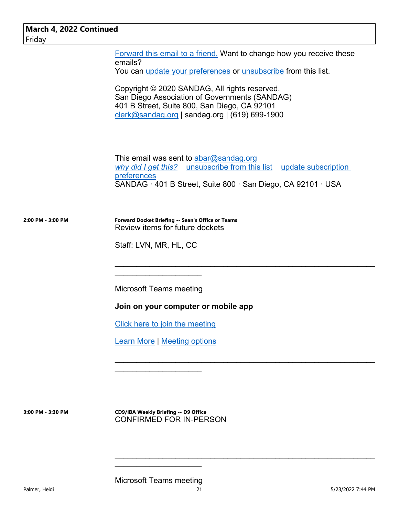Forward this email to a friend. Want to change how you receive these emails?

You can update your preferences or unsubscribe from this list.

Copyright © 2020 SANDAG, All rights reserved. San Diego Association of Governments (SANDAG) 401 B Street, Suite 800, San Diego, CA 92101 clerk@sandag.org | sandag.org | (619) 699-1900

This email was sent to  $abar@sandaq.org$ *why did I get this?* unsubscribe from this list update subscription preferences SANDAG  $\cdot$  401 B Street, Suite 800  $\cdot$  San Diego, CA 92101  $\cdot$  USA

 $\mathcal{L}_\text{max}$  , and the contract of the contract of the contract of the contract of the contract of the contract of

\_\_\_\_\_\_\_\_\_\_\_\_\_\_\_\_\_\_\_\_\_\_\_\_\_\_\_\_\_\_\_\_\_\_\_\_\_\_\_\_\_\_\_\_\_\_\_\_\_\_\_\_\_\_\_\_\_\_\_\_

 $\mathcal{L}_\text{max}$  , and the contract of the contract of the contract of the contract of the contract of the contract of

**2:00 PM - 3:00 PM Forward Docket Briefing -- Sean's Office or Teams** Review items for future dockets

Staff: LVN, MR, HL, CC

Microsoft Teams meeting

 $\mathcal{L}_\text{max}$  , where  $\mathcal{L}_\text{max}$  and  $\mathcal{L}_\text{max}$ 

**Join on your computer or mobile app** 

Click here to join the meeting

Learn More | Meeting options

 $\mathcal{L}_\text{max}$  , where  $\mathcal{L}_\text{max}$  and  $\mathcal{L}_\text{max}$ 

**3:00 PM - 3:30 PM CD9/IBA Weekly Briefing -- D9 Office** CONFIRMED FOR IN-PERSON

Microsoft Teams meeting

\_\_\_\_\_\_\_\_\_\_\_\_\_\_\_\_\_\_\_\_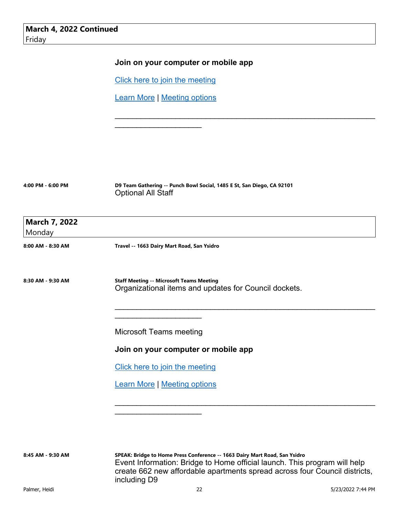## **Join on your computer or mobile app**

Click here to join the meeting

Learn More | Meeting options

 $\mathcal{L}_\text{max}$  , where  $\mathcal{L}_\text{max}$  and  $\mathcal{L}_\text{max}$ 

| 4:00 PM - 6:00 PM |  |  |
|-------------------|--|--|
|                   |  |  |

D9 Team Gathering -- Punch Bowl Social, 1485 E St, San Diego, CA 92101 Optional All Staff

\_\_\_\_\_\_\_\_\_\_\_\_\_\_\_\_\_\_\_\_\_\_\_\_\_\_\_\_\_\_\_\_\_\_\_\_\_\_\_\_\_\_\_\_\_\_\_\_\_\_\_\_\_\_\_\_\_\_\_\_

| <b>March 7, 2022</b> |                                                                                                          |
|----------------------|----------------------------------------------------------------------------------------------------------|
| Monday               |                                                                                                          |
| 8:00 AM - 8:30 AM    | Travel -- 1663 Dairy Mart Road, San Ysidro                                                               |
| 8:30 AM - 9:30 AM    | <b>Staff Meeting -- Microsoft Teams Meeting</b><br>Organizational items and updates for Council dockets. |
|                      | <b>Microsoft Teams meeting</b>                                                                           |
|                      | Join on your computer or mobile app                                                                      |
|                      | Click here to join the meeting                                                                           |
|                      | <b>Learn More   Meeting options</b>                                                                      |
|                      |                                                                                                          |
|                      |                                                                                                          |
|                      |                                                                                                          |

**8:45 AM - 9:30 AM SPEAK: Bridge to Home Press Conference -- 1663 Dairy Mart Road, San Ysidro**  Event Information: Bridge to Home official launch. This program will help create 662 new affordable apartments spread across four Council districts, including D9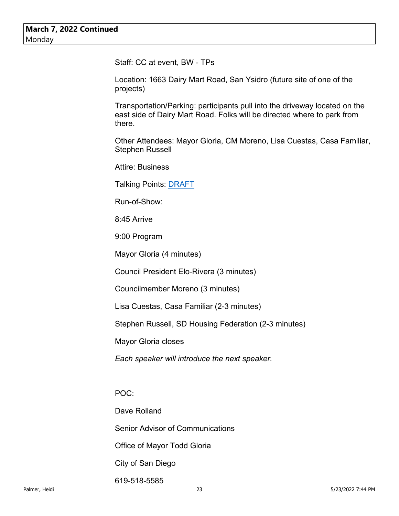Staff: CC at event, BW - TPs

Location: 1663 Dairy Mart Road, San Ysidro (future site of one of the projects)

Transportation/Parking: participants pull into the driveway located on the east side of Dairy Mart Road. Folks will be directed where to park from there.

Other Attendees: Mayor Gloria, CM Moreno, Lisa Cuestas, Casa Familiar, Stephen Russell

Attire: Business

Talking Points: DRAFT

Run-of-Show:

8:45 Arrive

9:00 Program

Mayor Gloria (4 minutes)

Council President Elo-Rivera (3 minutes)

Councilmember Moreno (3 minutes)

Lisa Cuestas, Casa Familiar (2-3 minutes)

Stephen Russell, SD Housing Federation (2-3 minutes)

Mayor Gloria closes

*Each speaker will introduce the next speaker.*

POC:

Dave Rolland Senior Advisor of Communications Office of Mayor Todd Gloria City of San Diego 619-518-5585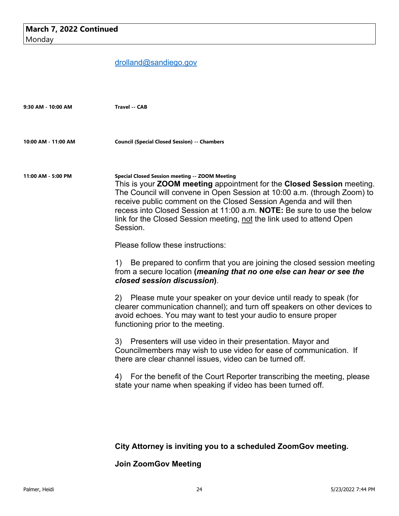# drolland@sandiego.gov

| 9:30 AM - 10:00 AM  | <b>Travel -- CAB</b>                                                                                                                                                                                                                                                                                                                                                                                                                                          |
|---------------------|---------------------------------------------------------------------------------------------------------------------------------------------------------------------------------------------------------------------------------------------------------------------------------------------------------------------------------------------------------------------------------------------------------------------------------------------------------------|
| 10:00 AM - 11:00 AM | <b>Council (Special Closed Session) -- Chambers</b>                                                                                                                                                                                                                                                                                                                                                                                                           |
| 11:00 AM - 5:00 PM  | Special Closed Session meeting -- ZOOM Meeting<br>This is your <b>ZOOM meeting</b> appointment for the <b>Closed Session</b> meeting.<br>The Council will convene in Open Session at 10:00 a.m. (through Zoom) to<br>receive public comment on the Closed Session Agenda and will then<br>recess into Closed Session at 11:00 a.m. <b>NOTE:</b> Be sure to use the below<br>link for the Closed Session meeting, not the link used to attend Open<br>Session. |
|                     | Please follow these instructions:                                                                                                                                                                                                                                                                                                                                                                                                                             |
|                     | 1) Be prepared to confirm that you are joining the closed session meeting<br>from a secure location (meaning that no one else can hear or see the<br>closed session discussion).                                                                                                                                                                                                                                                                              |
|                     | 2) Please mute your speaker on your device until ready to speak (for<br>clearer communication channel); and turn off speakers on other devices to<br>avoid echoes. You may want to test your audio to ensure proper<br>functioning prior to the meeting.                                                                                                                                                                                                      |
|                     | 3) Presenters will use video in their presentation. Mayor and<br>Councilmembers may wish to use video for ease of communication. If<br>there are clear channel issues, video can be turned off.                                                                                                                                                                                                                                                               |
|                     | 4) For the benefit of the Court Reporter transcribing the meeting, please<br>state your name when speaking if video has been turned off.                                                                                                                                                                                                                                                                                                                      |
|                     |                                                                                                                                                                                                                                                                                                                                                                                                                                                               |
|                     | City Attorney is inviting you to a scheduled ZoomGov meeting.                                                                                                                                                                                                                                                                                                                                                                                                 |

**Join ZoomGov Meeting**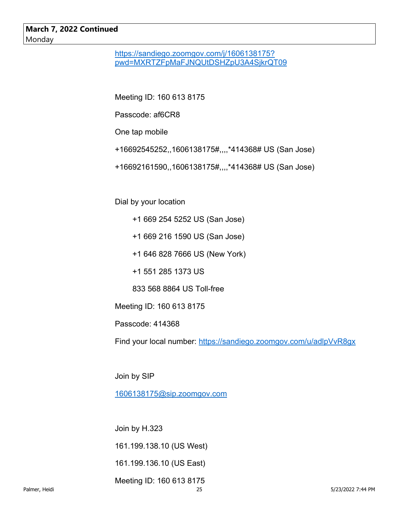## **March 7, 2022 Continued** Monday

https://sandiego.zoomgov.com/j/1606138175? pwd=MXRTZFpMaFJNQUtDSHZpU3A4SjkrQT09

Meeting ID: 160 613 8175

Passcode: af6CR8

One tap mobile

- +16692545252,,1606138175#,,,,\*414368# US (San Jose)
- +16692161590,,1606138175#,,,,\*414368# US (San Jose)

Dial by your location

- +1 669 254 5252 US (San Jose)
- +1 669 216 1590 US (San Jose)
- +1 646 828 7666 US (New York)
- +1 551 285 1373 US

833 568 8864 US Toll-free

Meeting ID: 160 613 8175

Passcode: 414368

Find your local number: https://sandiego.zoomgov.com/u/adlpVvR8gx

Join by SIP

1606138175@sip.zoomgov.com

Join by H.323

161.199.138.10 (US West)

161.199.136.10 (US East)

Meeting ID: 160 613 8175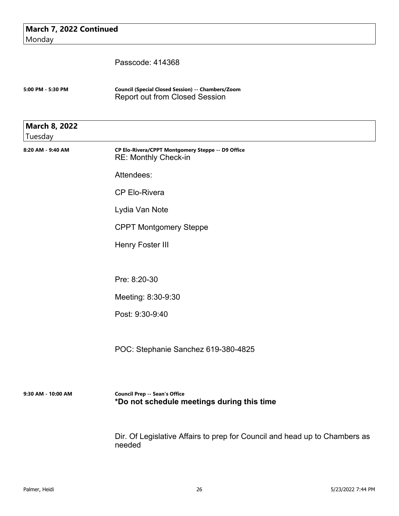| March 7, 2022 Continued<br>Monday |                                                                                            |
|-----------------------------------|--------------------------------------------------------------------------------------------|
|                                   | Passcode: 414368                                                                           |
| 5:00 PM - 5:30 PM                 | Council (Special Closed Session) -- Chambers/Zoom<br><b>Report out from Closed Session</b> |
| <b>March 8, 2022</b><br>Tuesday   |                                                                                            |
| 8:20 AM - 9:40 AM                 | CP Elo-Rivera/CPPT Montgomery Steppe -- D9 Office<br>RE: Monthly Check-in                  |
|                                   | Attendees:                                                                                 |
|                                   | <b>CP Elo-Rivera</b>                                                                       |
|                                   | Lydia Van Note                                                                             |
|                                   | <b>CPPT Montgomery Steppe</b>                                                              |
|                                   | Henry Foster III                                                                           |
|                                   | Pre: 8:20-30                                                                               |
|                                   | Meeting: 8:30-9:30                                                                         |
|                                   | Post: 9:30-9:40                                                                            |
|                                   | POC: Stephanie Sanchez 619-380-4825                                                        |
| 9:30 AM - 10:00 AM                | <b>Council Prep -- Sean's Office</b><br>*Do not schedule meetings during this time         |

Dir. Of Legislative Affairs to prep for Council and head up to Chambers as needed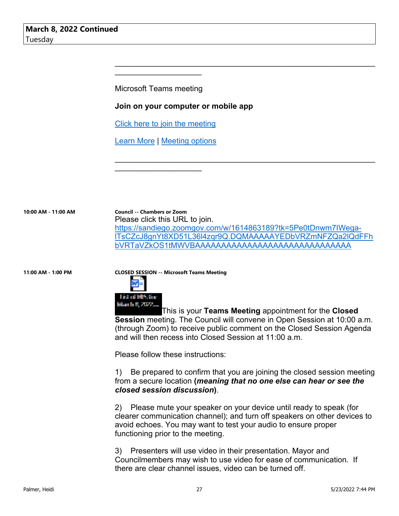Microsoft Teams meeting

 $\mathcal{L}_\text{max}$  , where  $\mathcal{L}_\text{max}$  and  $\mathcal{L}_\text{max}$ 

#### **Join on your computer or mobile app**

Click here to join the meeting

Learn More | Meeting options

\_\_\_\_\_\_\_\_\_\_\_\_\_\_\_\_\_\_\_\_

**10:00 AM - 11:00 AM Council -- Chambers or Zoom**  Please click this URL to join. https://sandiego.zoomgov.com/w/1614863189?tk=5Pe0tDnwm7IWegalTsCZcJ8gnYt8XD51L36l4zqr9Q.DQMAAAAAYEDbVRZmNFZQa2lQdFFh bVRTaVZkOS1tMWVBAAAAAAAAAAAAAAAAAAAAAAAAAAAAAA

 $\mathcal{L}_\text{max}$  , and the contract of the contract of the contract of the contract of the contract of the contract of

\_\_\_\_\_\_\_\_\_\_\_\_\_\_\_\_\_\_\_\_\_\_\_\_\_\_\_\_\_\_\_\_\_\_\_\_\_\_\_\_\_\_\_\_\_\_\_\_\_\_\_\_\_\_\_\_\_\_\_\_

**11:00 AM - 1:00 PM CLOSED SESSION -- Microsoft Teams Meeting**



This is your **Teams Meeting** appointment for the **Closed Session** meeting. The Council will convene in Open Session at 10:00 a.m. (through Zoom) to receive public comment on the Closed Session Agenda and will then recess into Closed Session at 11:00 a.m.

Please follow these instructions:

1) Be prepared to confirm that you are joining the closed session meeting from a secure location **(***meaning that no one else can hear or see the closed session discussion***)**.

2) Please mute your speaker on your device until ready to speak (for clearer communication channel); and turn off speakers on other devices to avoid echoes. You may want to test your audio to ensure proper functioning prior to the meeting.

3) Presenters will use video in their presentation. Mayor and Councilmembers may wish to use video for ease of communication. If there are clear channel issues, video can be turned off.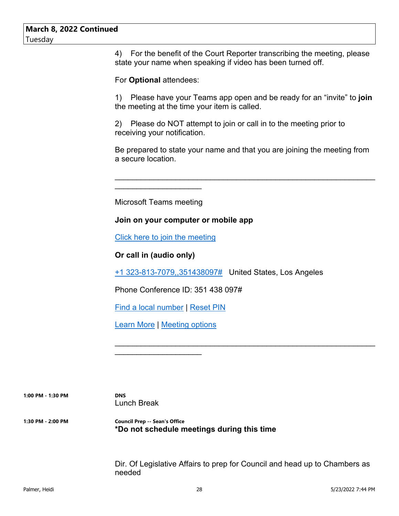4) For the benefit of the Court Reporter transcribing the meeting, please state your name when speaking if video has been turned off.

For **Optional** attendees:

1) Please have your Teams app open and be ready for an "invite" to **join** the meeting at the time your item is called.

2) Please do NOT attempt to join or call in to the meeting prior to receiving your notification.

Be prepared to state your name and that you are joining the meeting from a secure location.

\_\_\_\_\_\_\_\_\_\_\_\_\_\_\_\_\_\_\_\_\_\_\_\_\_\_\_\_\_\_\_\_\_\_\_\_\_\_\_\_\_\_\_\_\_\_\_\_\_\_\_\_\_\_\_\_\_\_\_\_

Microsoft Teams meeting

 $\mathcal{L}_\text{max}$  , where  $\mathcal{L}_\text{max}$  and  $\mathcal{L}_\text{max}$ 

#### **Join on your computer or mobile app**

Click here to join the meeting

**Or call in (audio only)**

+1 323-813-7079,,351438097# United States, Los Angeles

Phone Conference ID: 351 438 097#

Find a local number | Reset PIN

Learn More | Meeting options

\_\_\_\_\_\_\_\_\_\_\_\_\_\_\_\_\_\_\_\_

**1:00 PM - 1:30 PM DNS**

Lunch Break

**1:30 PM - 2:00 PM Council Prep -- Sean's Office \*Do not schedule meetings during this time**

> Dir. Of Legislative Affairs to prep for Council and head up to Chambers as needed

 $\mathcal{L}_\text{max}$  , and the contract of the contract of the contract of the contract of the contract of the contract of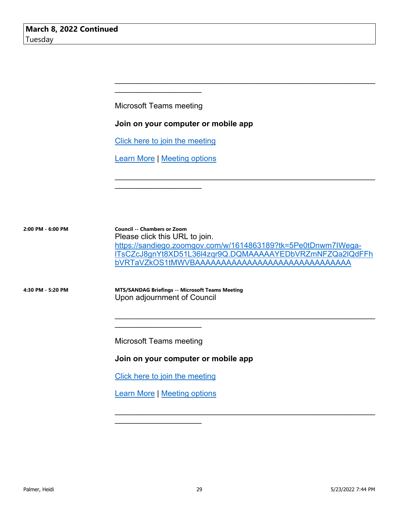Microsoft Teams meeting

\_\_\_\_\_\_\_\_\_\_\_\_\_\_\_\_\_\_\_\_

### **Join on your computer or mobile app**

Click here to join the meeting

Learn More | Meeting options

 $\mathcal{L}_\text{max}$  , where  $\mathcal{L}_\text{max}$  and  $\mathcal{L}_\text{max}$ 

**2:00 PM - 6:00 PM Council -- Chambers or Zoom** Please click this URL to join. https://sandiego.zoomgov.com/w/1614863189?tk=5Pe0tDnwm7IWegalTsCZcJ8gnYt8XD51L36l4zqr9Q.DQMAAAAAYEDbVRZmNFZQa2lQdFFh bVRTaVZkOS1tMWVBAAAAAAAAAAAAAAAAAAAAAAAAAAAAAA

 $\mathcal{L}_\text{max}$  , and the contract of the contract of the contract of the contract of the contract of the contract of

\_\_\_\_\_\_\_\_\_\_\_\_\_\_\_\_\_\_\_\_\_\_\_\_\_\_\_\_\_\_\_\_\_\_\_\_\_\_\_\_\_\_\_\_\_\_\_\_\_\_\_\_\_\_\_\_\_\_\_\_

 $\mathcal{L}_\text{max}$  , and the contract of the contract of the contract of the contract of the contract of the contract of

 $\mathcal{L}_\text{max}$  , and the contract of the contract of the contract of the contract of the contract of the contract of

**4:30 PM - 5:20 PM MTS/SANDAG Briefings -- Microsoft Teams Meeting** Upon adjournment of Council

Microsoft Teams meeting

\_\_\_\_\_\_\_\_\_\_\_\_\_\_\_\_\_\_\_\_

**Join on your computer or mobile app** 

Click here to join the meeting

Learn More | Meeting options

 $\mathcal{L}_\text{max}$  , where  $\mathcal{L}_\text{max}$  and  $\mathcal{L}_\text{max}$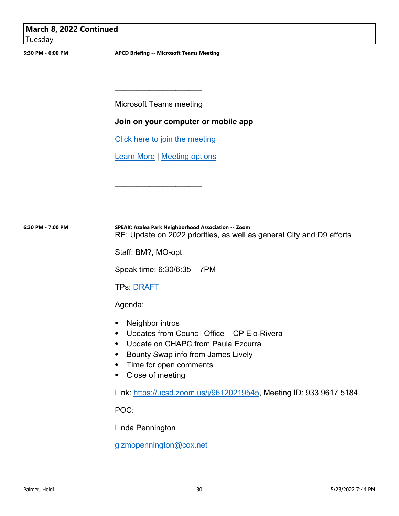| March 8, 2022 Continued<br>Tuesday |                                                                                                                                                                                                       |  |
|------------------------------------|-------------------------------------------------------------------------------------------------------------------------------------------------------------------------------------------------------|--|
| 5:30 PM - 6:00 PM                  | <b>APCD Briefing -- Microsoft Teams Meeting</b>                                                                                                                                                       |  |
|                                    |                                                                                                                                                                                                       |  |
|                                    | <b>Microsoft Teams meeting</b>                                                                                                                                                                        |  |
|                                    | Join on your computer or mobile app                                                                                                                                                                   |  |
|                                    | Click here to join the meeting                                                                                                                                                                        |  |
|                                    | <b>Learn More   Meeting options</b>                                                                                                                                                                   |  |
|                                    |                                                                                                                                                                                                       |  |
|                                    |                                                                                                                                                                                                       |  |
| 6:30 PM - 7:00 PM                  | SPEAK: Azalea Park Neighborhood Association -- Zoom<br>RE: Update on 2022 priorities, as well as general City and D9 efforts                                                                          |  |
|                                    | Staff: BM?, MO-opt                                                                                                                                                                                    |  |
|                                    | Speak time: 6:30/6:35 - 7PM                                                                                                                                                                           |  |
|                                    | TPs: <u>DRAFT</u>                                                                                                                                                                                     |  |
|                                    | Agenda:                                                                                                                                                                                               |  |
|                                    | Neighbor intros<br>Updates from Council Office - CP Elo-Rivera<br>Update on CHAPC from Paula Ezcurra<br>$\bullet$<br>Bounty Swap info from James Lively<br>Time for open comments<br>Close of meeting |  |
|                                    | Link: https://ucsd.zoom.us/j/96120219545, Meeting ID: 933 9617 5184                                                                                                                                   |  |
|                                    | POC:                                                                                                                                                                                                  |  |
|                                    | Linda Pennington                                                                                                                                                                                      |  |

gizmopennington@cox.net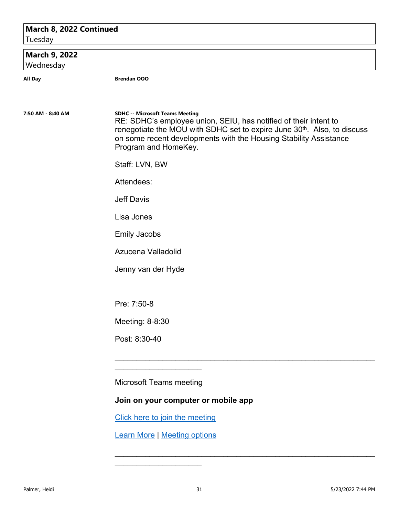### **March 8, 2022 Continued**

Tuesday

## **March 9, 2022**

Wednesday

**All Day Brendan OOO**

#### **7:50 AM - 8:40 AM SDHC -- Microsoft Teams Meeting**

RE: SDHC's employee union, SEIU, has notified of their intent to renegotiate the MOU with SDHC set to expire June 30<sup>th</sup>. Also, to discuss on some recent developments with the Housing Stability Assistance Program and HomeKey.

 $\mathcal{L}_\text{max}$  , and the contract of the contract of the contract of the contract of the contract of the contract of

 $\mathcal{L}_\text{max}$  , and the contract of the contract of the contract of the contract of the contract of the contract of

Staff: LVN, BW

Attendees:

Jeff Davis

Lisa Jones

Emily Jacobs

Azucena Valladolid

Jenny van der Hyde

Pre: 7:50-8

Meeting: 8-8:30

Post: 8:30-40

Microsoft Teams meeting

\_\_\_\_\_\_\_\_\_\_\_\_\_\_\_\_\_\_\_\_

#### **Join on your computer or mobile app**

Click here to join the meeting

Learn More | Meeting options

 $\mathcal{L}_\text{max}$  , where  $\mathcal{L}_\text{max}$  and  $\mathcal{L}_\text{max}$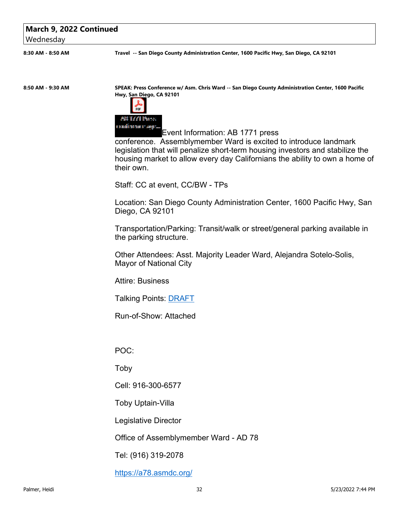#### **March 9, 2022 Continued**

Wednesday

**8:30 AM - 8:50 AM Travel -- San Diego County Administration Center, 1600 Pacific Hwy, San Diego, CA 92101**

**8:50 AM - 9:30 AM SPEAK: Press Conference w/ Asm. Chris Ward -- San Diego County Administration Center, 1600 Pacific Hwy, San Diego, CA 92101**



Event Information: AB 1771 press

conference. Assemblymember Ward is excited to introduce landmark legislation that will penalize short-term housing investors and stabilize the housing market to allow every day Californians the ability to own a home of their own.

Staff: CC at event, CC/BW - TPs

Location: San Diego County Administration Center, 1600 Pacific Hwy, San Diego, CA 92101

Transportation/Parking: Transit/walk or street/general parking available in the parking structure.

Other Attendees: Asst. Majority Leader Ward, Alejandra Sotelo-Solis, Mayor of National City

Attire: Business

Talking Points: DRAFT

Run-of-Show: Attached

POC:

Toby

Cell: 916-300-6577

Toby Uptain-Villa

Legislative Director

Office of Assemblymember Ward - AD 78

Tel: (916) 319-2078

https://a78.asmdc.org/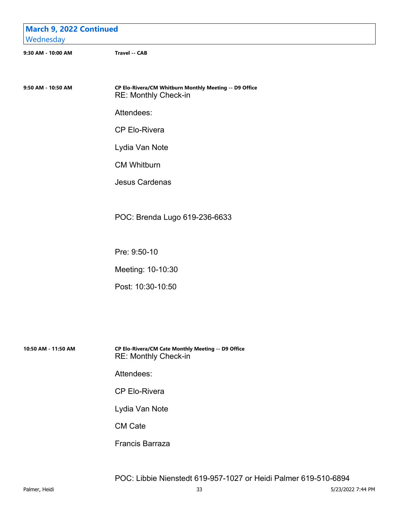| <b>March 9, 2022 Continued</b><br>Wednesday |                                                                                |
|---------------------------------------------|--------------------------------------------------------------------------------|
| 9:30 AM - 10:00 AM                          | <b>Travel -- CAB</b>                                                           |
| 9:50 AM - 10:50 AM                          | CP Elo-Rivera/CM Whitburn Monthly Meeting -- D9 Office<br>RE: Monthly Check-in |
|                                             | Attendees:                                                                     |
|                                             | <b>CP Elo-Rivera</b>                                                           |
|                                             | Lydia Van Note                                                                 |
|                                             | <b>CM Whitburn</b>                                                             |
|                                             | <b>Jesus Cardenas</b>                                                          |
|                                             |                                                                                |
|                                             | POC: Brenda Lugo 619-236-6633                                                  |
|                                             |                                                                                |
|                                             | Pre: 9:50-10                                                                   |
|                                             | Meeting: 10-10:30                                                              |
|                                             | Post: 10:30-10:50                                                              |

**10:50 AM - 11:50 AM CP Elo-Rivera/CM Cate Monthly Meeting -- D9 Office** RE: Monthly Check-in

Attendees:

CP Elo-Rivera

Lydia Van Note

CM Cate

Francis Barraza

POC: Libbie Nienstedt 619-957-1027 or Heidi Palmer 619-510-6894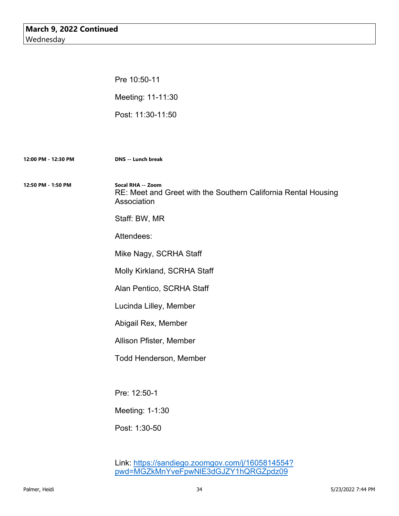Pre 10:50-11 Meeting: 11-11:30 Post: 11:30-11:50

**12:00 PM - 12:30 PM DNS -- Lunch break 12:50 PM - 1:50 PM Socal RHA -- Zoom** RE: Meet and Greet with the Southern California Rental Housing Association Staff: BW, MR Attendees: Mike Nagy, SCRHA Staff Molly Kirkland, SCRHA Staff Alan Pentico, SCRHA Staff Lucinda Lilley, Member Abigail Rex, Member Allison Pfister, Member Todd Henderson, Member Pre: 12:50-1 Meeting: 1-1:30 Post: 1:30-50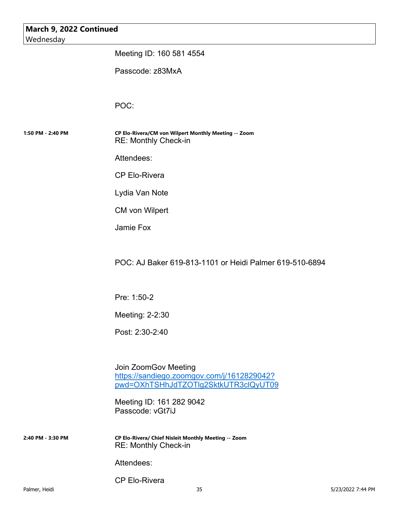| March 9, 2022 Continued<br>Wednesday |                                                                                     |  |
|--------------------------------------|-------------------------------------------------------------------------------------|--|
|                                      | Meeting ID: 160 581 4554                                                            |  |
|                                      | Passcode: z83MxA                                                                    |  |
|                                      |                                                                                     |  |
|                                      | POC:                                                                                |  |
|                                      |                                                                                     |  |
| 1:50 PM - 2:40 PM                    | CP Elo-Rivera/CM von Wilpert Monthly Meeting -- Zoom<br><b>RE: Monthly Check-in</b> |  |
|                                      | Attendees:                                                                          |  |
|                                      | <b>CP Elo-Rivera</b>                                                                |  |
|                                      | Lydia Van Note                                                                      |  |
|                                      | <b>CM von Wilpert</b>                                                               |  |
|                                      | Jamie Fox                                                                           |  |
|                                      |                                                                                     |  |
|                                      | POC: AJ Baker 619-813-1101 or Heidi Palmer 619-510-6894                             |  |
|                                      |                                                                                     |  |
|                                      | Pre: 1:50-2                                                                         |  |
|                                      | Meeting: 2-2:30                                                                     |  |
|                                      | Post: 2:30-2:40                                                                     |  |
|                                      |                                                                                     |  |
|                                      | Join ZoomGov Meeting<br>https://sandiego.zoomgov.com/j/1612829042?                  |  |
|                                      | pwd=OXhTSHhJdTZOTIg2SktkUTR3clQyUT09                                                |  |
|                                      | Meeting ID: 161 282 9042<br>Passcode: vGt7iJ                                        |  |
|                                      |                                                                                     |  |
| 2:40 PM - 3:30 PM                    | CP Elo-Rivera/ Chief Nisleit Monthly Meeting -- Zoom<br><b>RE: Monthly Check-in</b> |  |
|                                      | Attendees:                                                                          |  |
|                                      | CP Elo-Rivera                                                                       |  |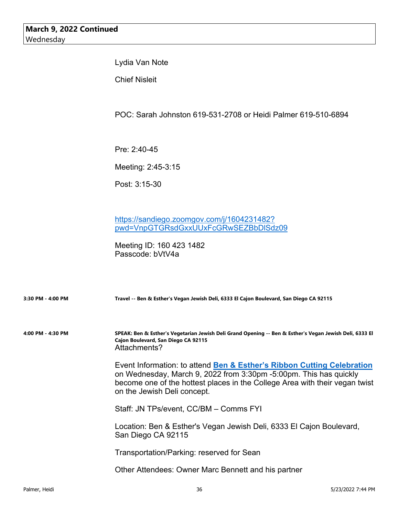Lydia Van Note

Chief Nisleit

POC: Sarah Johnston 619-531-2708 or Heidi Palmer 619-510-6894

Pre: 2:40-45

Meeting: 2:45-3:15

Post: 3:15-30

https://sandiego.zoomgov.com/j/1604231482? pwd=VnpGTGRsdGxxUUxFcGRwSEZBbDlSdz09

Meeting ID: 160 423 1482 Passcode: bVtV4a

| 3:30 PM - 4:00 PM | Travel -- Ben & Esther's Vegan Jewish Deli, 6333 El Cajon Boulevard, San Diego CA 92115                                                                                                                                                                   |
|-------------------|-----------------------------------------------------------------------------------------------------------------------------------------------------------------------------------------------------------------------------------------------------------|
| 4:00 PM - 4:30 PM | SPEAK: Ben & Esther's Vegetarian Jewish Deli Grand Opening -- Ben & Esther's Vegan Jewish Deli, 6333 El<br>Cajon Boulevard, San Diego CA 92115<br>Attachments?                                                                                            |
|                   | Event Information: to attend Ben & Esther's Ribbon Cutting Celebration<br>on Wednesday, March 9, 2022 from 3:30pm -5:00pm. This has quickly<br>become one of the hottest places in the College Area with their vegan twist<br>on the Jewish Deli concept. |
|                   | Staff: JN TPs/event, CC/BM - Comms FYI                                                                                                                                                                                                                    |
|                   | Location: Ben & Esther's Vegan Jewish Deli, 6333 El Cajon Boulevard,<br>San Diego CA 92115                                                                                                                                                                |
|                   | Transportation/Parking: reserved for Sean                                                                                                                                                                                                                 |
|                   | Other Attendees: Owner Marc Bennett and his partner                                                                                                                                                                                                       |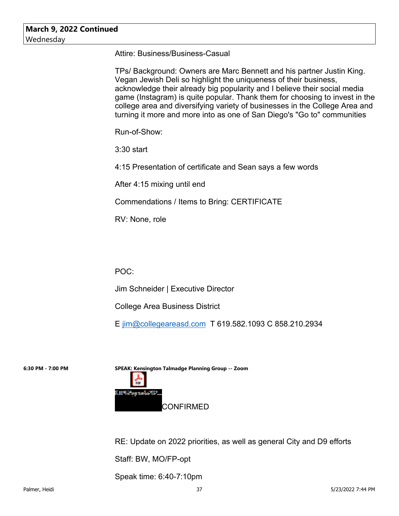Attire: Business/Business-Casual

TPs/ Background: Owners are Marc Bennett and his partner Justin King. Vegan Jewish Deli so highlight the uniqueness of their business, acknowledge their already big popularity and I believe their social media game (Instagram) is quite popular. Thank them for choosing to invest in the college area and diversifying variety of businesses in the College Area and turning it more and more into as one of San Diego's "Go to" communities

Run-of-Show:

3:30 start

4:15 Presentation of certificate and Sean says a few words

After 4:15 mixing until end

Commendations / Items to Bring: CERTIFICATE

RV: None, role

POC:

Jim Schneider | Executive Director

College Area Business District

E jim@collegeareasd.com T 619.582.1093 C 858.210.2934

**6:30 PM - 7:00 PM SPEAK: Kensington Talmadge Planning Group -- Zoom** Kill%&ojenolk#TP. CONFIRMED

RE: Update on 2022 priorities, as well as general City and D9 efforts

Staff: BW, MO/FP-opt

Speak time: 6:40-7:10pm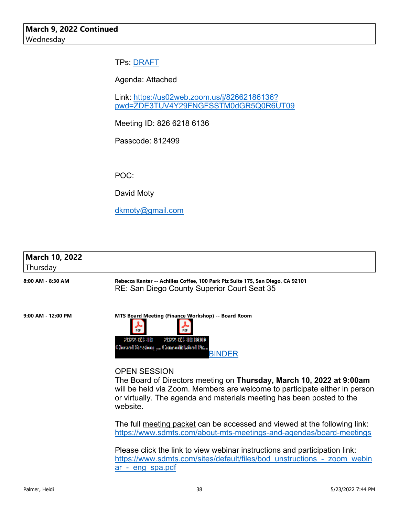#### TPs: DRAFT

Agenda: Attached

Link: https://us02web.zoom.us/j/82662186136? pwd=ZDE3TUV4Y29FNGFSSTM0dGR5Q0R6UT09

Meeting ID: 826 6218 6136

Passcode: 812499

POC:

David Moty

dkmoty@gmail.com

| <b>March 10, 2022</b><br>Thursday |                                                                                                                                                                                                                                                                       |
|-----------------------------------|-----------------------------------------------------------------------------------------------------------------------------------------------------------------------------------------------------------------------------------------------------------------------|
| 8:00 AM - 8:30 AM                 | Rebecca Kanter -- Achilles Coffee, 100 Park Plz Suite 175, San Diego, CA 92101<br>RE: San Diego County Superior Court Seat 35                                                                                                                                         |
| 9:00 AM - 12:00 PM                | MTS Board Meeting (Finance Workshop) -- Board Room<br>20022-009-110<br>20022-009-10180000<br>Chevanil Servicing  Commodibilisticnil Pit<br><b>BINDER</b>                                                                                                              |
|                                   | <b>OPEN SESSION</b><br>The Board of Directors meeting on <b>Thursday, March 10, 2022 at 9:00am</b><br>will be held via Zoom. Members are welcome to participate either in person<br>or virtually. The agenda and materials meeting has been posted to the<br>website. |

The full meeting packet can be accessed and viewed at the following link: https://www.sdmts.com/about-mts-meetings-and-agendas/board-meetings

Please click the link to view webinar instructions and participation link: https://www.sdmts.com/sites/default/files/bod\_unstructions\_-\_zoom\_webin ar - eng spa.pdf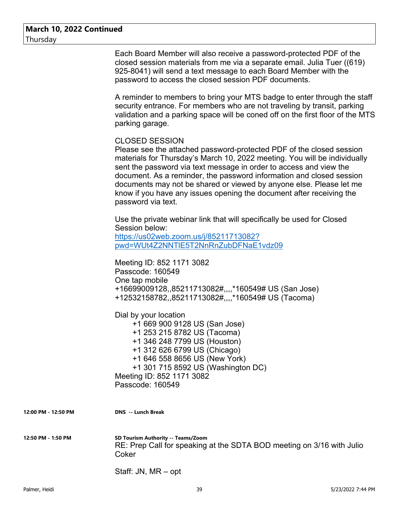Each Board Member will also receive a password-protected PDF of the closed session materials from me via a separate email. Julia Tuer ((619) 925-8041) will send a text message to each Board Member with the password to access the closed session PDF documents.

A reminder to members to bring your MTS badge to enter through the staff security entrance. For members who are not traveling by transit, parking validation and a parking space will be coned off on the first floor of the MTS parking garage.

#### CLOSED SESSION

Please see the attached password-protected PDF of the closed session materials for Thursday's March 10, 2022 meeting. You will be individually sent the password via text message in order to access and view the document. As a reminder, the password information and closed session documents may not be shared or viewed by anyone else. Please let me know if you have any issues opening the document after receiving the password via text.

Use the private webinar link that will specifically be used for Closed Session below: https://us02web.zoom.us/j/85211713082? pwd=WUt4Z2NNTlE5T2NnRnZubDFNaE1vdz09

Meeting ID: 852 1171 3082 Passcode: 160549 One tap mobile +16699009128,,85211713082#,,,,\*160549# US (San Jose) +12532158782,,85211713082#,,,,\*160549# US (Tacoma)

Dial by your location

 +1 669 900 9128 US (San Jose) +1 253 215 8782 US (Tacoma) +1 346 248 7799 US (Houston) +1 312 626 6799 US (Chicago) +1 646 558 8656 US (New York) +1 301 715 8592 US (Washington DC) Meeting ID: 852 1171 3082 Passcode: 160549

**12:00 PM - 12:50 PM DNS -- Lunch Break**

**12:50 PM - 1:50 PM SD Tourism Authority -- Teams/Zoom** RE: Prep Call for speaking at the SDTA BOD meeting on 3/16 with Julio Coker

Staff: JN, MR – opt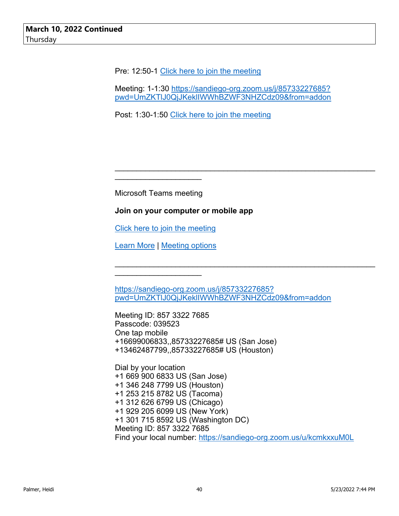Pre: 12:50-1 Click here to join the meeting

Meeting: 1-1:30 https://sandiego-org.zoom.us/j/85733227685? pwd=UmZKTlJ0QjJKeklIWWhBZWF3NHZCdz09&from=addon

\_\_\_\_\_\_\_\_\_\_\_\_\_\_\_\_\_\_\_\_\_\_\_\_\_\_\_\_\_\_\_\_\_\_\_\_\_\_\_\_\_\_\_\_\_\_\_\_\_\_\_\_\_\_\_\_\_\_\_\_

 $\mathcal{L}_\text{max}$  , and the contract of the contract of the contract of the contract of the contract of the contract of

Post: 1:30-1:50 Click here to join the meeting

Microsoft Teams meeting

\_\_\_\_\_\_\_\_\_\_\_\_\_\_\_\_\_\_\_\_

#### **Join on your computer or mobile app**

Click here to join the meeting

Learn More | Meeting options

\_\_\_\_\_\_\_\_\_\_\_\_\_\_\_\_\_\_\_\_

https://sandiego-org.zoom.us/j/85733227685? pwd=UmZKTlJ0QjJKeklIWWhBZWF3NHZCdz09&from=addon

Meeting ID: 857 3322 7685 Passcode: 039523 One tap mobile +16699006833,,85733227685# US (San Jose) +13462487799,,85733227685# US (Houston)

Dial by your location +1 669 900 6833 US (San Jose) +1 346 248 7799 US (Houston) +1 253 215 8782 US (Tacoma) +1 312 626 6799 US (Chicago) +1 929 205 6099 US (New York) +1 301 715 8592 US (Washington DC) Meeting ID: 857 3322 7685 Find your local number: https://sandiego-org.zoom.us/u/kcmkxxuM0L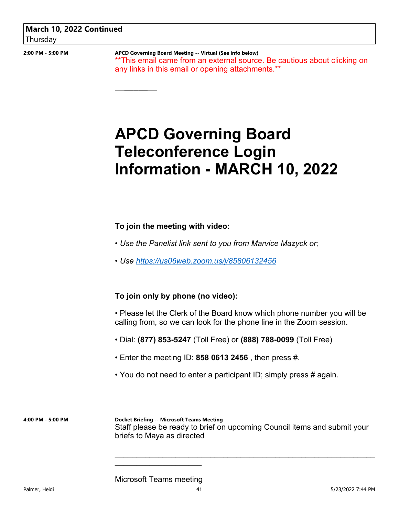**2:00 PM - 5:00 PM APCD Governing Board Meeting -- Virtual (See info below)** \*\*This email came from an external source. Be cautious about clicking on any links in this email or opening attachments.\*\*

# **APCD Governing Board Teleconference Login Information - MARCH 10, 2022**

#### **To join the meeting with video:**

 $\overline{\phantom{a}}$ 

- *Use the Panelist link sent to you from Marvice Mazyck or;*
- *Use https://us06web.zoom.us/j/85806132456*

#### **To join only by phone (no video):**

• Please let the Clerk of the Board know which phone number you will be calling from, so we can look for the phone line in the Zoom session.

 $\mathcal{L}_\text{max}$  , and the contract of the contract of the contract of the contract of the contract of the contract of

- Dial: **(877) 853-5247** (Toll Free) or **(888) 788-0099** (Toll Free)
- Enter the meeting ID: **858 0613 2456** , then press #.
- You do not need to enter a participant ID; simply press # again.

**4:00 PM - 5:00 PM Docket Briefing -- Microsoft Teams Meeting** Staff please be ready to brief on upcoming Council items and submit your briefs to Maya as directed

#### Microsoft Teams meeting

\_\_\_\_\_\_\_\_\_\_\_\_\_\_\_\_\_\_\_\_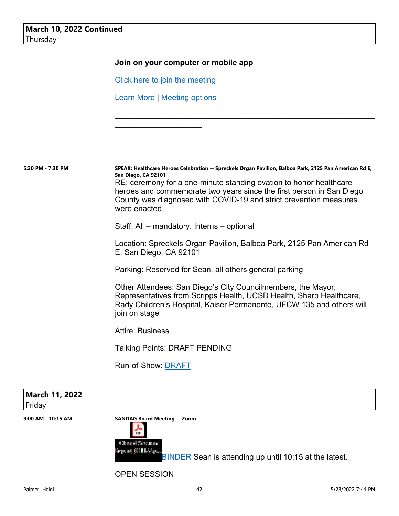#### **Join on your computer or mobile app**

Click here to join the meeting

Learn More | Meeting options

 $\mathcal{L}_\text{max}$  , where  $\mathcal{L}_\text{max}$  , we have the set of  $\mathcal{L}_\text{max}$ 

**5:30 PM - 7:30 PM SPEAK: Healthcare Heroes Celebration -- Spreckels Organ Pavilion, Balboa Park, 2125 Pan American Rd E, San Diego, CA 92101** RE: ceremony for a one-minute standing ovation to honor healthcare heroes and commemorate two years since the first person in San Diego County was diagnosed with COVID-19 and strict prevention measures were enacted.

Staff: All – mandatory. Interns – optional

Location: Spreckels Organ Pavilion, Balboa Park, 2125 Pan American Rd E, San Diego, CA 92101

\_\_\_\_\_\_\_\_\_\_\_\_\_\_\_\_\_\_\_\_\_\_\_\_\_\_\_\_\_\_\_\_\_\_\_\_\_\_\_\_\_\_\_\_\_\_\_\_\_\_\_\_\_\_\_\_\_\_\_\_

Parking: Reserved for Sean, all others general parking

Other Attendees: San Diego's City Councilmembers, the Mayor, Representatives from Scripps Health, UCSD Health, Sharp Healthcare, Rady Children's Hospital, Kaiser Permanente, UFCW 135 and others will join on stage

Attire: Business

Talking Points: DRAFT PENDING

Run-of-Show: DRAFT

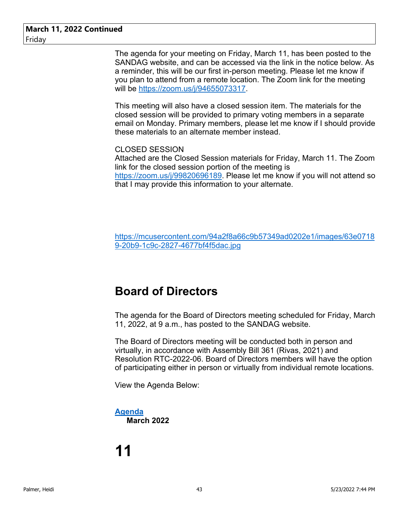The agenda for your meeting on Friday, March 11, has been posted to the SANDAG website, and can be accessed via the link in the notice below. As a reminder, this will be our first in-person meeting. Please let me know if you plan to attend from a remote location. The Zoom link for the meeting will be https://zoom.us/j/94655073317.

This meeting will also have a closed session item. The materials for the closed session will be provided to primary voting members in a separate email on Monday. Primary members, please let me know if I should provide these materials to an alternate member instead.

#### CLOSED SESSION

Attached are the Closed Session materials for Friday, March 11. The Zoom link for the closed session portion of the meeting is https://zoom.us/j/99820696189. Please let me know if you will not attend so that I may provide this information to your alternate.

https://mcusercontent.com/94a2f8a66c9b57349ad0202e1/images/63e0718 9-20b9-1c9c-2827-4677bf4f5dac.jpg

### **Board of Directors**

The agenda for the Board of Directors meeting scheduled for Friday, March 11, 2022, at 9 a.m., has posted to the SANDAG website.

The Board of Directors meeting will be conducted both in person and virtually, in accordance with Assembly Bill 361 (Rivas, 2021) and Resolution RTC-2022-06. Board of Directors members will have the option of participating either in person or virtually from individual remote locations.

View the Agenda Below:

#### **Agenda March 2022**

# **11**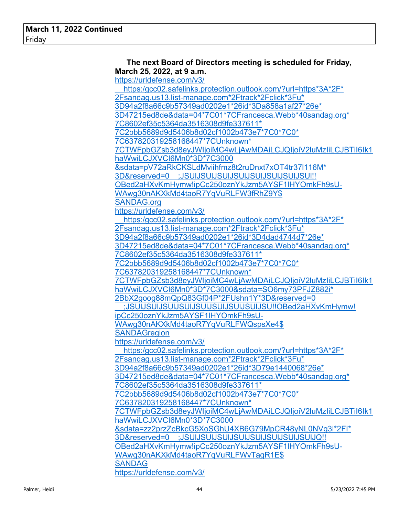| The next Board of Directors meeting is scheduled for Friday,<br>March 25, 2022, at 9 a.m. |  |
|-------------------------------------------------------------------------------------------|--|
| https://urldefense.com/v3/                                                                |  |
| https:/gcc02.safelinks.protection.outlook.com/?url=https*3A*2F*                           |  |
| 2Fsandag.us13.list-manage.com*2Ftrack*2Fclick*3Fu*                                        |  |
| 3D94a2f8a66c9b57349ad0202e1*26id*3Da858a1af27*26e*                                        |  |
| 3D47215ed8de&data=04*7C01*7CFrancesca.Webb*40sandag.org*                                  |  |
| 7C8602ef35c5364da3516308d9fe337611*                                                       |  |
| 7C2bbb5689d9d5406b8d02cf1002b473e7*7C0*7C0*                                               |  |
| 7C637820319258168447*7CUnknown*                                                           |  |
| 7CTWFpbGZsb3d8eyJWljoiMC4wLjAwMDAiLCJQljoiV2luMzliLCJBTil6lk1                             |  |
| haWwiLCJXVCl6Mn0*3D*7C3000                                                                |  |
| &sdata=pV72aRkCKSLdMviihfmz8t2ruDnxt7xOT4tr37l116M*                                       |  |
| 3D&reserved=0 ;JSUIJSUIJSUIJSUIJSUIJSUIJSUIJSU!!                                          |  |
| OBed2aHXvKmHymw!ipCc250oznYkJzm5AYSF1lHYOmkFh9sU-                                         |  |
| WAwg30nAKXkMd4taoR7YqVuRLFW3fRhZ9Y\$                                                      |  |
| <b>SANDAG.org</b>                                                                         |  |
| https://urldefense.com/v3/                                                                |  |
| https:/gcc02.safelinks.protection.outlook.com/?url=https*3A*2F*                           |  |
| 2Fsandag.us13.list-manage.com*2Ftrack*2Fclick*3Fu*                                        |  |
| 3D94a2f8a66c9b57349ad0202e1*26id*3D4dad4744d7*26e*                                        |  |
| 3D47215ed8de&data=04*7C01*7CFrancesca.Webb*40sandag.org*                                  |  |
| 7C8602ef35c5364da3516308d9fe337611*                                                       |  |
| 7C2bbb5689d9d5406b8d02cf1002b473e7*7C0*7C0*                                               |  |
| 7C637820319258168447*7CUnknown*                                                           |  |
| 7CTWFpbGZsb3d8eyJWljoiMC4wLjAwMDAiLCJQljoiV2luMzliLCJBTiI6lk1                             |  |
| haWwiLCJXVCI6Mn0*3D*7C3000&sdata=SO6my73PFJZ882i*                                         |  |
| 2BbX2goog88mQpQ83Gf04P*2FUshn1Y*3D&reserved=0                                             |  |
| ;JSUIJSUIJSUIJSUIJSUIJSUIJSUIJSUIJSU!!OBed2aHXvKmHymw!                                    |  |
| ipCc250oznYkJzm5AYSF1IHYOmkFh9sU-                                                         |  |
| WAwg30nAKXkMd4taoR7YqVuRLFWQspsXe4\$                                                      |  |
| <b>SANDAGregion</b>                                                                       |  |
| https://urldefense.com/v3/                                                                |  |
| https:/gcc02.safelinks.protection.outlook.com/?url=https*3A*2F*                           |  |
| 2Fsandag.us13.list-manage.com*2Ftrack*2Fclick*3Fu*                                        |  |
| 3D94a2f8a66c9b57349ad0202e1*26id*3D79e1440068*26e*                                        |  |
| 3D47215ed8de&data=04*7C01*7CFrancesca.Webb*40sandag.org*                                  |  |
| 7C8602ef35c5364da3516308d9fe337611*                                                       |  |
| 7C2bbb5689d9d5406b8d02cf1002b473e7*7C0*7C0*                                               |  |
| 7C637820319258168447*7CUnknown*                                                           |  |
| 7CTWFpbGZsb3d8eyJWljoiMC4wLjAwMDAiLCJQljoiV2luMzliLCJBTil6lk1                             |  |
| haWwiLCJXVCl6Mn0*3D*7C3000                                                                |  |
| &sdata=zz2przZcBkcG5XoSGhU4XB6G79MpCR48yNL0NVg3l*2FI*                                     |  |
| 3D&reserved=0 ;JSUIJSUIJSUIJSUIJSUIJSUIJSUIJQ!!                                           |  |
| OBed2aHXvKmHymw!ipCc250oznYkJzm5AYSF1lHYOmkFh9sU-                                         |  |
| WAwg30nAKXkMd4taoR7YqVuRLFWvTagR1E\$                                                      |  |
| <b>SANDAG</b>                                                                             |  |
| https://urldefense.com/v3/                                                                |  |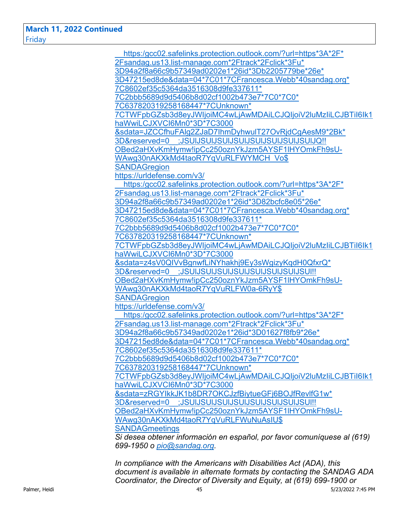https:/gcc02.safelinks.protection.outlook.com/?url=https\*3A\*2F\* 2Fsandag.us13.list-manage.com\*2Ftrack\*2Fclick\*3Fu\* 3D94a2f8a66c9b57349ad0202e1\*26id\*3Db2205779be\*26e\* 3D47215ed8de&data=04\*7C01\*7CFrancesca.Webb\*40sandag.org\* 7C8602ef35c5364da3516308d9fe337611\* 7C2bbb5689d9d5406b8d02cf1002b473e7\*7C0\*7C0\* 7C637820319258168447\*7CUnknown\* 7CTWFpbGZsb3d8eyJWIjoiMC4wLjAwMDAiLCJQIjoiV2luMzIiLCJBTiI6Ik1 haWwiLCJXVCI6Mn0\*3D\*7C3000 &sdata=JZCCfhuFAlg2ZJaD7IhmDyhwulT27OvRjdCgAesM9\*2Bk\* 3D&reserved=0\_\_;JSUlJSUlJSUlJSUlJSUlJSUlJSUlJSUlJQ!! OBed2aHXvKmHymw!ipCc250oznYkJzm5AYSF1lHYOmkFh9sU-WAwg30nAKXkMd4taoR7YqVuRLFWYMCH\_Vo\$ **SANDAGregion** https://urldefense.com/v3/ https:/gcc02.safelinks.protection.outlook.com/?url=https\*3A\*2F\* 2Fsandag.us13.list-manage.com\*2Ftrack\*2Fclick\*3Fu\* 3D94a2f8a66c9b57349ad0202e1\*26id\*3D82bcfc8e05\*26e\* 3D47215ed8de&data=04\*7C01\*7CFrancesca.Webb\*40sandag.org\* 7C8602ef35c5364da3516308d9fe337611\* 7C2bbb5689d9d5406b8d02cf1002b473e7\*7C0\*7C0\* 7C637820319258168447\*7CUnknown\* 7CTWFpbGZsb3d8eyJWIjoiMC4wLjAwMDAiLCJQIjoiV2luMzIiLCJBTiI6Ik1 haWwiLCJXVCI6Mn0\*3D\*7C3000 &sdata=z4sV0QIVvBgnwfLiNYhakhj9Ey3sWgizyKqdH0QfxrQ\* 3D&reserved=0\_\_;JSUlJSUlJSUlJSUlJSUlJSUlJSUlJSUl!! OBed2aHXvKmHymw!ipCc250oznYkJzm5AYSF1lHYOmkFh9sU-WAwg30nAKXkMd4taoR7YqVuRLFW0a-6RyY\$ **SANDAGregion** https://urldefense.com/v3/ https:/gcc02.safelinks.protection.outlook.com/?url=https\*3A\*2F\* 2Fsandag.us13.list-manage.com\*2Ftrack\*2Fclick\*3Fu\* 3D94a2f8a66c9b57349ad0202e1\*26id\*3D01627f8fb9\*26e\* 3D47215ed8de&data=04\*7C01\*7CFrancesca.Webb\*40sandag.org\* 7C8602ef35c5364da3516308d9fe337611\* 7C2bbb5689d9d5406b8d02cf1002b473e7\*7C0\*7C0\* 7C637820319258168447\*7CUnknown\* 7CTWFpbGZsb3d8eyJWIjoiMC4wLjAwMDAiLCJQIjoiV2luMzIiLCJBTiI6Ik1 haWwiLCJXVCI6Mn0\*3D\*7C3000 &sdata=zRGYIkkJK1b8DR7OKCJzfBiytueGFj6BOJfRevlfG1w\* 3D&reserved=0\_\_;JSUlJSUlJSUlJSUlJSUlJSUlJSUlJSUl!! OBed2aHXvKmHymw!ipCc250oznYkJzm5AYSF1lHYOmkFh9sU-WAwg30nAKXkMd4taoR7YqVuRLFWuNuAsIU\$ **SANDAGmeetings** *Si desea obtener información en español, por favor comuníquese al (619) 699-1950 o pio@sandag.org.*

*In compliance with the Americans with Disabilities Act (ADA), this document is available in alternate formats by contacting the SANDAG ADA Coordinator, the Director of Diversity and Equity, at (619) 699-1900 or*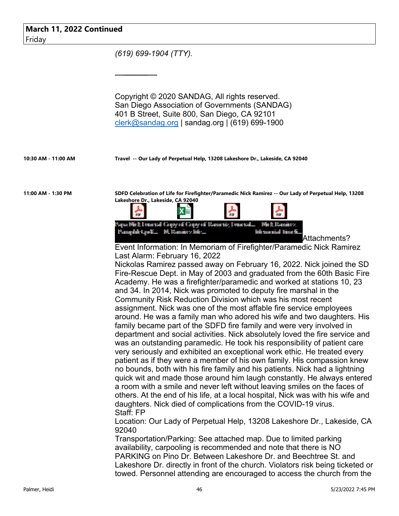|        |  | March 11, 2022 Continued |
|--------|--|--------------------------|
| Friday |  |                          |

*(619) 699-1904 (TTY).*

 $\overline{\phantom{a}}$ 

Copyright © 2020 SANDAG, All rights reserved. San Diego Association of Governments (SANDAG) 401 B Street, Suite 800, San Diego, CA 92101 clerk@sandag.org | sandag.org | (619) 699-1900

**10:30 AM - 11:00 AM Travel -- Our Lady of Perpetual Help, 13208 Lakeshore Dr., Lakeside, CA 92040**

**11:00 AM - 1:30 PM SDFD Celebration of Life for Firefighter/Paramedic Nick Ramirez -- Our Lady of Perpetual Help, 13208 Lakeshore Dr., Lakeside, CA 92040**



Attachments?

Event Information: In Memoriam of Firefighter/Paramedic Nick Ramirez Last Alarm: February 16, 2022

Nickolas Ramirez passed away on February 16, 2022. Nick joined the SD Fire-Rescue Dept. in May of 2003 and graduated from the 60th Basic Fire Academy. He was a firefighter/paramedic and worked at stations 10, 23 and 34. In 2014, Nick was promoted to deputy fire marshal in the Community Risk Reduction Division which was his most recent assignment. Nick was one of the most affable fire service employees around. He was a family man who adored his wife and two daughters. His family became part of the SDFD fire family and were very involved in department and social activities. Nick absolutely loved the fire service and was an outstanding paramedic. He took his responsibility of patient care very seriously and exhibited an exceptional work ethic. He treated every patient as if they were a member of his own family. His compassion knew no bounds, both with his fire family and his patients. Nick had a lightning quick wit and made those around him laugh constantly. He always entered a room with a smile and never left without leaving smiles on the faces of others. At the end of his life, at a local hospital, Nick was with his wife and daughters. Nick died of complications from the COVID-19 virus. Staff: FP

Location: Our Lady of Perpetual Help, 13208 Lakeshore Dr., Lakeside, CA 92040

Transportation/Parking: See attached map. Due to limited parking availability, carpooling is recommended and note that there is NO PARKING on Pino Dr. Between Lakeshore Dr. and Beechtree St. and Lakeshore Dr. directly in front of the church. Violators risk being ticketed or towed. Personnel attending are encouraged to access the church from the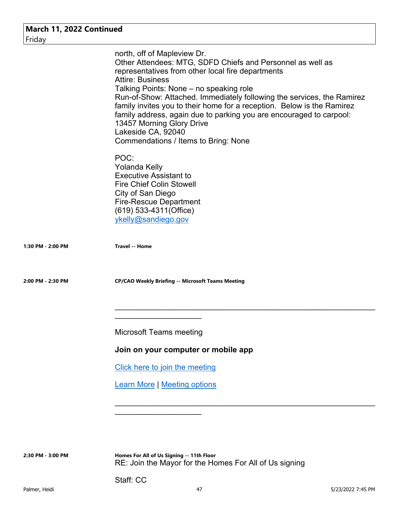| March 11, 2022 Continued<br>Friday |                                                                                                                                                                                                                                                                                                                                                                                                                                                                                                                                            |
|------------------------------------|--------------------------------------------------------------------------------------------------------------------------------------------------------------------------------------------------------------------------------------------------------------------------------------------------------------------------------------------------------------------------------------------------------------------------------------------------------------------------------------------------------------------------------------------|
|                                    | north, off of Mapleview Dr.<br>Other Attendees: MTG, SDFD Chiefs and Personnel as well as<br>representatives from other local fire departments<br><b>Attire: Business</b><br>Talking Points: None – no speaking role<br>Run-of-Show: Attached. Immediately following the services, the Ramirez<br>family invites you to their home for a reception. Below is the Ramirez<br>family address, again due to parking you are encouraged to carpool:<br>13457 Morning Glory Drive<br>Lakeside CA, 92040<br>Commendations / Items to Bring: None |
|                                    | POC:<br><b>Yolanda Kelly</b><br><b>Executive Assistant to</b><br><b>Fire Chief Colin Stowell</b><br>City of San Diego<br><b>Fire-Rescue Department</b><br>(619) 533-4311 (Office)<br>ykelly@sandiego.gov                                                                                                                                                                                                                                                                                                                                   |
| 1:30 PM - 2:00 PM                  | <b>Travel -- Home</b>                                                                                                                                                                                                                                                                                                                                                                                                                                                                                                                      |
| 2:00 PM - 2:30 PM                  | <b>CP/CAO Weekly Briefing -- Microsoft Teams Meeting</b>                                                                                                                                                                                                                                                                                                                                                                                                                                                                                   |
|                                    | <b>Microsoft Teams meeting</b>                                                                                                                                                                                                                                                                                                                                                                                                                                                                                                             |
|                                    | Join on your computer or mobile app                                                                                                                                                                                                                                                                                                                                                                                                                                                                                                        |
|                                    | Click here to join the meeting                                                                                                                                                                                                                                                                                                                                                                                                                                                                                                             |
|                                    | <b>Learn More   Meeting options</b>                                                                                                                                                                                                                                                                                                                                                                                                                                                                                                        |
|                                    |                                                                                                                                                                                                                                                                                                                                                                                                                                                                                                                                            |
|                                    |                                                                                                                                                                                                                                                                                                                                                                                                                                                                                                                                            |

**2:30 PM - 3:00 PM Homes For All of Us Signing -- 11th Floor** RE: Join the Mayor for the Homes For All of Us signing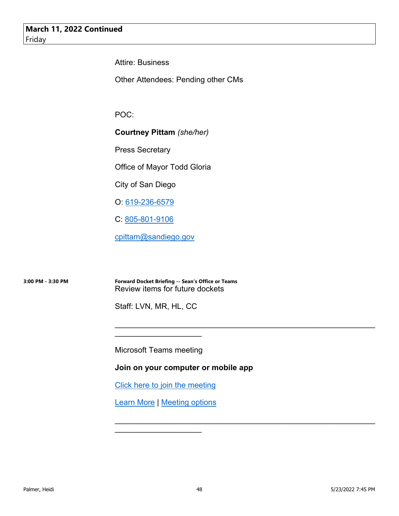Attire: Business

Other Attendees: Pending other CMs

POC:

**Courtney Pittam** *(she/her)*

Press Secretary

Office of Mayor Todd Gloria

City of San Diego

O: 619-236-6579

C: 805-801-9106

cpittam@sandiego.gov

**3:00 PM - 3:30 PM Forward Docket Briefing -- Sean's Office or Teams** Review items for future dockets

Staff: LVN, MR, HL, CC

Microsoft Teams meeting

\_\_\_\_\_\_\_\_\_\_\_\_\_\_\_\_\_\_\_\_

**Join on your computer or mobile app** 

 $\mathcal{L}_\text{max}$  , and the contract of the contract of the contract of the contract of the contract of the contract of

 $\mathcal{L}_\text{max}$  , and the contract of the contract of the contract of the contract of the contract of the contract of

Click here to join the meeting

Learn More | Meeting options

 $\mathcal{L}_\text{max}$  , where  $\mathcal{L}_\text{max}$  , we have the set of  $\mathcal{L}_\text{max}$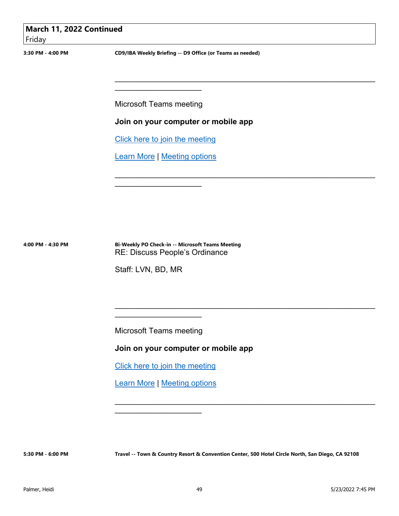| March 11, 2022 Continued |  |
|--------------------------|--|
| Friday                   |  |
|                          |  |

**3:30 PM - 4:00 PM CD9/IBA Weekly Briefing -- D9 Office (or Teams as needed)**

 $\mathcal{L}_\text{max}$  , and the contract of the contract of the contract of the contract of the contract of the contract of

\_\_\_\_\_\_\_\_\_\_\_\_\_\_\_\_\_\_\_\_\_\_\_\_\_\_\_\_\_\_\_\_\_\_\_\_\_\_\_\_\_\_\_\_\_\_\_\_\_\_\_\_\_\_\_\_\_\_\_\_

\_\_\_\_\_\_\_\_\_\_\_\_\_\_\_\_\_\_\_\_\_\_\_\_\_\_\_\_\_\_\_\_\_\_\_\_\_\_\_\_\_\_\_\_\_\_\_\_\_\_\_\_\_\_\_\_\_\_\_\_

Microsoft Teams meeting

 $\mathcal{L}_\text{max}$  , where  $\mathcal{L}_\text{max}$  , we have the set of  $\mathcal{L}_\text{max}$ 

**Join on your computer or mobile app** 

Click here to join the meeting

Learn More | Meeting options

 $\mathcal{L}_\text{max}$  , where  $\mathcal{L}_\text{max}$  , we have the set of  $\mathcal{L}_\text{max}$ 

**4:00 PM - 4:30 PM Bi-Weekly PO Check-in -- Microsoft Teams Meeting** RE: Discuss People's Ordinance

Staff: LVN, BD, MR

Microsoft Teams meeting

\_\_\_\_\_\_\_\_\_\_\_\_\_\_\_\_\_\_\_\_

**Join on your computer or mobile app** 

Click here to join the meeting

Learn More | Meeting options

\_\_\_\_\_\_\_\_\_\_\_\_\_\_\_\_\_\_\_\_

**5:30 PM - 6:00 PM Travel -- Town & Country Resort & Convention Center, 500 Hotel Circle North, San Diego, CA 92108**

 $\mathcal{L}_\text{max}$  , and the contract of the contract of the contract of the contract of the contract of the contract of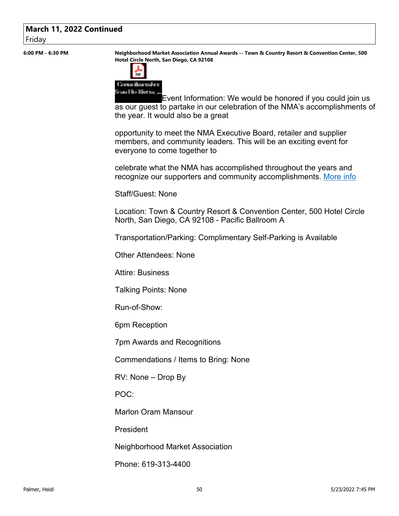#### **March 11, 2022 Continued** Friday

**6:00 PM - 6:30 PM Neighborhood Market Association Annual Awards -- Town & Country Resort & Convention Center, 500 Hotel Circle North, San Diego, CA 92108**



Event Information: We would be honored if you could join us as our guest to partake in our celebration of the NMA's accomplishments of the year. It would also be a great

opportunity to meet the NMA Executive Board, retailer and supplier members, and community leaders. This will be an exciting event for everyone to come together to

celebrate what the NMA has accomplished throughout the years and recognize our supporters and community accomplishments. More info

Staff/Guest: None

Location: Town & Country Resort & Convention Center, 500 Hotel Circle North, San Diego, CA 92108 - Pacific Ballroom A

Transportation/Parking: Complimentary Self-Parking is Available

Other Attendees: None

Attire: Business

Talking Points: None

Run-of-Show:

6pm Reception

7pm Awards and Recognitions

Commendations / Items to Bring: None

RV: None – Drop By

POC:

Marlon Oram Mansour

President

Neighborhood Market Association

Phone: 619-313-4400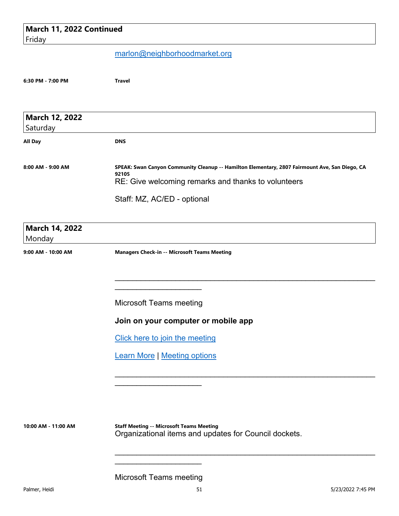| March 11, 2022 Continued |                                                                                                                                                                |
|--------------------------|----------------------------------------------------------------------------------------------------------------------------------------------------------------|
| Friday                   |                                                                                                                                                                |
|                          | marlon@neighborhoodmarket.org                                                                                                                                  |
| 6:30 PM - 7:00 PM        | <b>Travel</b>                                                                                                                                                  |
| March 12, 2022           |                                                                                                                                                                |
| Saturday                 |                                                                                                                                                                |
| All Day                  | <b>DNS</b>                                                                                                                                                     |
| 8:00 AM - 9:00 AM        | SPEAK: Swan Canyon Community Cleanup -- Hamilton Elementary, 2807 Fairmount Ave, San Diego, CA<br>92105<br>RE: Give welcoming remarks and thanks to volunteers |
|                          | Staff: MZ, AC/ED - optional                                                                                                                                    |
| March 14, 2022<br>Monday |                                                                                                                                                                |
| 9:00 AM - 10:00 AM       | <b>Managers Check-in -- Microsoft Teams Meeting</b>                                                                                                            |
|                          | <b>Microsoft Teams meeting</b>                                                                                                                                 |
|                          |                                                                                                                                                                |
|                          | Join on your computer or mobile app                                                                                                                            |
|                          | Click here to join the meeting                                                                                                                                 |
|                          | <b>Learn More   Meeting options</b>                                                                                                                            |
|                          |                                                                                                                                                                |
| 10:00 AM - 11:00 AM      | <b>Staff Meeting -- Microsoft Teams Meeting</b><br>Organizational items and updates for Council dockets.                                                       |
|                          |                                                                                                                                                                |

Microsoft Teams meeting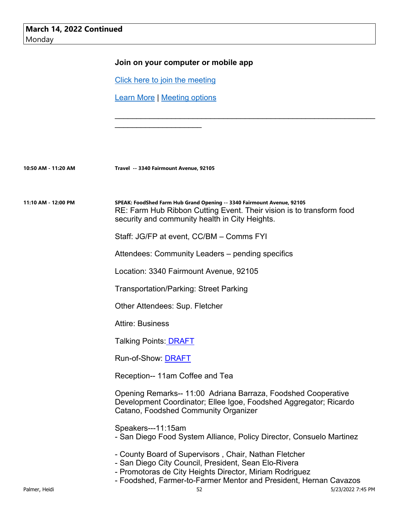|                     | Join on your computer or mobile app                                                                                                                                                              |
|---------------------|--------------------------------------------------------------------------------------------------------------------------------------------------------------------------------------------------|
|                     | Click here to join the meeting                                                                                                                                                                   |
|                     | <b>Learn More   Meeting options</b>                                                                                                                                                              |
|                     |                                                                                                                                                                                                  |
| 10:50 AM - 11:20 AM | Travel -- 3340 Fairmount Avenue, 92105                                                                                                                                                           |
| 11:10 AM - 12:00 PM | SPEAK: FoodShed Farm Hub Grand Opening -- 3340 Fairmount Avenue, 92105<br>RE: Farm Hub Ribbon Cutting Event. Their vision is to transform food<br>security and community health in City Heights. |
|                     | Staff: JG/FP at event, CC/BM - Comms FYI                                                                                                                                                         |
|                     | Attendees: Community Leaders – pending specifics                                                                                                                                                 |
|                     | Location: 3340 Fairmount Avenue, 92105                                                                                                                                                           |
|                     | <b>Transportation/Parking: Street Parking</b>                                                                                                                                                    |
|                     | Other Attendees: Sup. Fletcher                                                                                                                                                                   |
|                     | <b>Attire: Business</b>                                                                                                                                                                          |
|                     | Talking Points: <u>DRAFT</u>                                                                                                                                                                     |
|                     | Run-of-Show: <b>DRAFT</b>                                                                                                                                                                        |
|                     | Reception-- 11am Coffee and Tea                                                                                                                                                                  |
|                     | Opening Remarks-- 11:00 Adriana Barraza, Foodshed Cooperative<br>Development Coordinator; Ellee Igoe, Foodshed Aggregator; Ricardo<br>Catano, Foodshed Community Organizer                       |
|                     | Speakers---11:15am<br>- San Diego Food System Alliance, Policy Director, Consuelo Martinez                                                                                                       |
|                     | - County Board of Supervisors, Chair, Nathan Fletcher<br>- San Diego City Council, President, Sean Elo-Rivera                                                                                    |

- Promotoras de City Heights Director, Miriam Rodriguez - Foodshed, Farmer-to-Farmer Mentor and President, Hernan Cavazos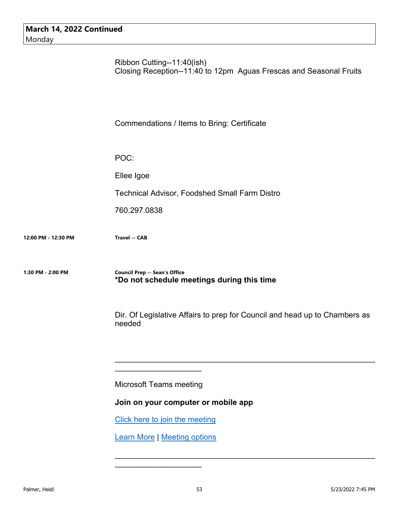Ribbon Cutting--11:40(ish) Closing Reception--11:40 to 12pm Aguas Frescas and Seasonal Fruits

Commendations / Items to Bring: Certificate

POC:

Ellee Igoe

Technical Advisor, Foodshed Small Farm Distro

760.297.0838

**12:00 PM - 12:30 PM Travel -- CAB**

**1:30 PM - 2:00 PM Council Prep -- Sean's Office \*Do not schedule meetings during this time**

> Dir. Of Legislative Affairs to prep for Council and head up to Chambers as needed

\_\_\_\_\_\_\_\_\_\_\_\_\_\_\_\_\_\_\_\_\_\_\_\_\_\_\_\_\_\_\_\_\_\_\_\_\_\_\_\_\_\_\_\_\_\_\_\_\_\_\_\_\_\_\_\_\_\_\_\_

 $\mathcal{L}_\text{max}$  , and the contract of the contract of the contract of the contract of the contract of the contract of

Microsoft Teams meeting

 $\mathcal{L}_\text{max}$  , where  $\mathcal{L}_\text{max}$  , we have the set of  $\mathcal{L}_\text{max}$ 

**Join on your computer or mobile app** 

Click here to join the meeting

Learn More | Meeting options

\_\_\_\_\_\_\_\_\_\_\_\_\_\_\_\_\_\_\_\_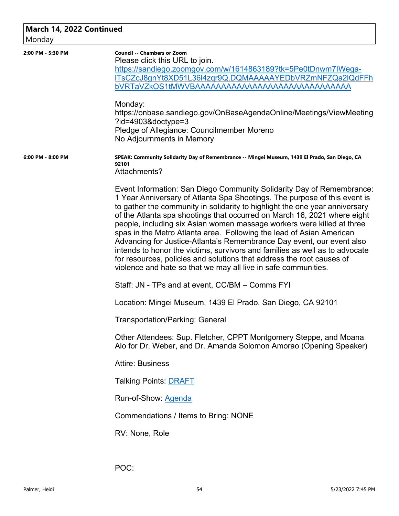| March 14, 2022 Continued<br>Monday |                                                                                                                                                                                                                                                                                                                                                                                                                                                                                                                                                                                                                                                                                                                                                                    |
|------------------------------------|--------------------------------------------------------------------------------------------------------------------------------------------------------------------------------------------------------------------------------------------------------------------------------------------------------------------------------------------------------------------------------------------------------------------------------------------------------------------------------------------------------------------------------------------------------------------------------------------------------------------------------------------------------------------------------------------------------------------------------------------------------------------|
| 2:00 PM - 5:30 PM                  | <b>Council -- Chambers or Zoom</b><br>Please click this URL to join.<br>https://sandiego.zoomgov.com/w/1614863189?tk=5Pe0tDnwm7IWega-<br>ITsCZcJ8gnYt8XD51L36I4zqr9Q.DQMAAAAAYEDbVRZmNFZQa2IQdFFh<br>bVRTaVZkOS1tMWVBAAAAAAAAAAAAAAAAAAAAAAAAAAAAAAA<br>Monday:<br>https://onbase.sandiego.gov/OnBaseAgendaOnline/Meetings/ViewMeeting<br>$?$ id=4903&doctype=3<br>Pledge of Allegiance: Councilmember Moreno<br>No Adjournments in Memory                                                                                                                                                                                                                                                                                                                         |
| 6:00 PM - 8:00 PM                  | SPEAK: Community Solidarity Day of Remembrance -- Mingei Museum, 1439 El Prado, San Diego, CA<br>92101<br>Attachments?                                                                                                                                                                                                                                                                                                                                                                                                                                                                                                                                                                                                                                             |
|                                    | Event Information: San Diego Community Solidarity Day of Remembrance:<br>1 Year Anniversary of Atlanta Spa Shootings. The purpose of this event is<br>to gather the community in solidarity to highlight the one year anniversary<br>of the Atlanta spa shootings that occurred on March 16, 2021 where eight<br>people, including six Asian women massage workers were killed at three<br>spas in the Metro Atlanta area. Following the lead of Asian American<br>Advancing for Justice-Atlanta's Remembrance Day event, our event also<br>intends to honor the victims, survivors and families as well as to advocate<br>for resources, policies and solutions that address the root causes of<br>violence and hate so that we may all live in safe communities. |
|                                    | Staff: JN - TPs and at event, CC/BM – Comms FYI                                                                                                                                                                                                                                                                                                                                                                                                                                                                                                                                                                                                                                                                                                                    |
|                                    | Location: Mingei Museum, 1439 El Prado, San Diego, CA 92101                                                                                                                                                                                                                                                                                                                                                                                                                                                                                                                                                                                                                                                                                                        |
|                                    | <b>Transportation/Parking: General</b>                                                                                                                                                                                                                                                                                                                                                                                                                                                                                                                                                                                                                                                                                                                             |
|                                    | Other Attendees: Sup. Fletcher, CPPT Montgomery Steppe, and Moana<br>Alo for Dr. Weber, and Dr. Amanda Solomon Amorao (Opening Speaker)                                                                                                                                                                                                                                                                                                                                                                                                                                                                                                                                                                                                                            |
|                                    | <b>Attire: Business</b>                                                                                                                                                                                                                                                                                                                                                                                                                                                                                                                                                                                                                                                                                                                                            |
|                                    | <b>Talking Points: DRAFT</b>                                                                                                                                                                                                                                                                                                                                                                                                                                                                                                                                                                                                                                                                                                                                       |
|                                    | Run-of-Show: Agenda                                                                                                                                                                                                                                                                                                                                                                                                                                                                                                                                                                                                                                                                                                                                                |
|                                    | Commendations / Items to Bring: NONE                                                                                                                                                                                                                                                                                                                                                                                                                                                                                                                                                                                                                                                                                                                               |
|                                    | RV: None, Role                                                                                                                                                                                                                                                                                                                                                                                                                                                                                                                                                                                                                                                                                                                                                     |
|                                    | POC:                                                                                                                                                                                                                                                                                                                                                                                                                                                                                                                                                                                                                                                                                                                                                               |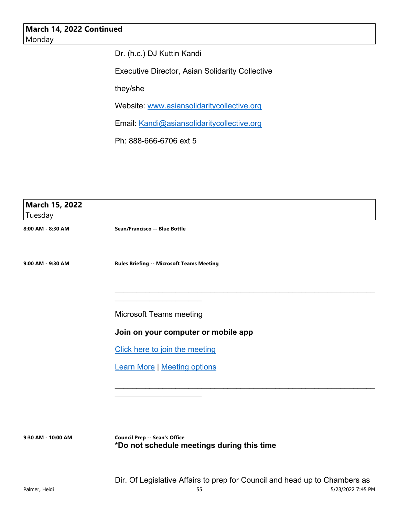Dr. (h.c.) DJ Kuttin Kandi

Executive Director, Asian Solidarity Collective

they/she

Website: www.asiansolidaritycollective.org

Email: Kandi@asiansolidaritycollective.org

Ph: 888-666-6706 ext 5

| March 15, 2022    |                                           |
|-------------------|-------------------------------------------|
| Tuesday           |                                           |
| 8:00 AM - 8:30 AM | Sean/Francisco -- Blue Bottle             |
| 9:00 AM - 9:30 AM | Rules Briefing -- Microsoft Teams Meeting |
|                   | <b>Microsoft Teams meeting</b>            |
|                   | Join on your computer or mobile app       |
|                   | Click here to join the meeting            |
|                   | <b>Learn More   Meeting options</b>       |
|                   |                                           |
|                   |                                           |
|                   |                                           |

**9:30 AM - 10:00 AM Council Prep -- Sean's Office \*Do not schedule meetings during this time**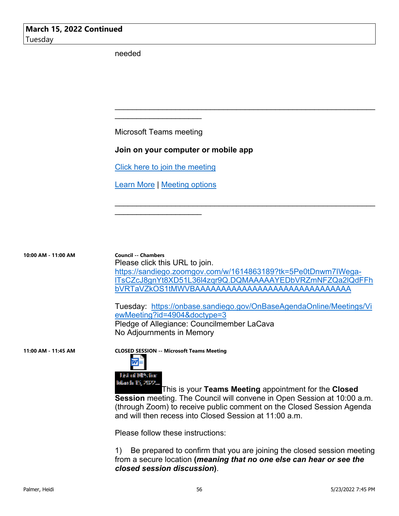needed

Microsoft Teams meeting

\_\_\_\_\_\_\_\_\_\_\_\_\_\_\_\_\_\_\_\_

#### **Join on your computer or mobile app**

Click here to join the meeting

Learn More | Meeting options

 $\mathcal{L}_\text{max}$  , where  $\mathcal{L}_\text{max}$  , we have the set of  $\mathcal{L}_\text{max}$ 

**10:00 AM - 11:00 AM Council -- Chambers** Please click this URL to join. https://sandiego.zoomgov.com/w/1614863189?tk=5Pe0tDnwm7IWegalTsCZcJ8gnYt8XD51L36l4zqr9Q.DQMAAAAAYEDbVRZmNFZQa2lQdFFh bVRTaVZkOS1tMWVBAAAAAAAAAAAAAAAAAAAAAAAAAAAAAA

 $\mathcal{L}_\text{max}$  , and the contract of the contract of the contract of the contract of the contract of the contract of

 $\mathcal{L}_\text{max}$  , and the contract of the contract of the contract of the contract of the contract of the contract of

Tuesday: https://onbase.sandiego.gov/OnBaseAgendaOnline/Meetings/Vi ewMeeting?id=4904&doctype=3 Pledge of Allegiance: Councilmember LaCava No Adjournments in Memory





This is your **Teams Meeting** appointment for the **Closed Session** meeting. The Council will convene in Open Session at 10:00 a.m. (through Zoom) to receive public comment on the Closed Session Agenda and will then recess into Closed Session at 11:00 a.m.

Please follow these instructions:

1) Be prepared to confirm that you are joining the closed session meeting from a secure location **(***meaning that no one else can hear or see the closed session discussion***)**.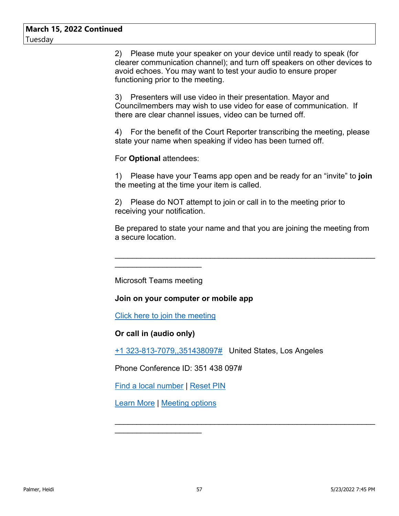2) Please mute your speaker on your device until ready to speak (for clearer communication channel); and turn off speakers on other devices to avoid echoes. You may want to test your audio to ensure proper functioning prior to the meeting.

3) Presenters will use video in their presentation. Mayor and Councilmembers may wish to use video for ease of communication. If there are clear channel issues, video can be turned off.

4) For the benefit of the Court Reporter transcribing the meeting, please state your name when speaking if video has been turned off.

For **Optional** attendees:

1) Please have your Teams app open and be ready for an "invite" to **join** the meeting at the time your item is called.

2) Please do NOT attempt to join or call in to the meeting prior to receiving your notification.

Be prepared to state your name and that you are joining the meeting from a secure location.

\_\_\_\_\_\_\_\_\_\_\_\_\_\_\_\_\_\_\_\_\_\_\_\_\_\_\_\_\_\_\_\_\_\_\_\_\_\_\_\_\_\_\_\_\_\_\_\_\_\_\_\_\_\_\_\_\_\_\_\_

 $\mathcal{L}_\text{max}$  , and the contract of the contract of the contract of the contract of the contract of the contract of

Microsoft Teams meeting

 $\mathcal{L}_\text{max}$  , where  $\mathcal{L}_\text{max}$  , we have the set of  $\mathcal{L}_\text{max}$ 

#### **Join on your computer or mobile app**

Click here to join the meeting

**Or call in (audio only)**

+1 323-813-7079,,351438097# United States, Los Angeles

Phone Conference ID: 351 438 097#

Find a local number | Reset PIN

Learn More | Meeting options

\_\_\_\_\_\_\_\_\_\_\_\_\_\_\_\_\_\_\_\_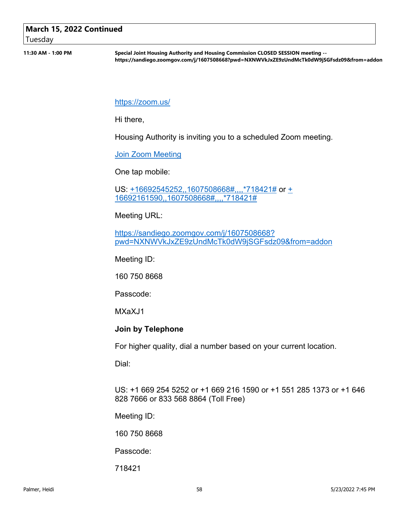## **March 15, 2022 Continued**

Tuesday

**11:30 AM - 1:00 PM Special Joint Housing Authority and Housing Commission CLOSED SESSION meeting - https://sandiego.zoomgov.com/j/1607508668?pwd=NXNWVkJxZE9zUndMcTk0dW9jSGFsdz09&from=addon**

https://zoom.us/

Hi there,

Housing Authority is inviting you to a scheduled Zoom meeting.

Join Zoom Meeting

One tap mobile:

US: +16692545252,,1607508668#,,,,\*718421# or + 16692161590,,1607508668#,,,,\*718421#

Meeting URL:

https://sandiego.zoomgov.com/j/1607508668? pwd=NXNWVkJxZE9zUndMcTk0dW9jSGFsdz09&from=addon

Meeting ID:

160 750 8668

Passcode:

MXaXJ1

#### **Join by Telephone**

For higher quality, dial a number based on your current location.

Dial:

US: +1 669 254 5252 or +1 669 216 1590 or +1 551 285 1373 or +1 646 828 7666 or 833 568 8864 (Toll Free)

Meeting ID:

160 750 8668

Passcode:

718421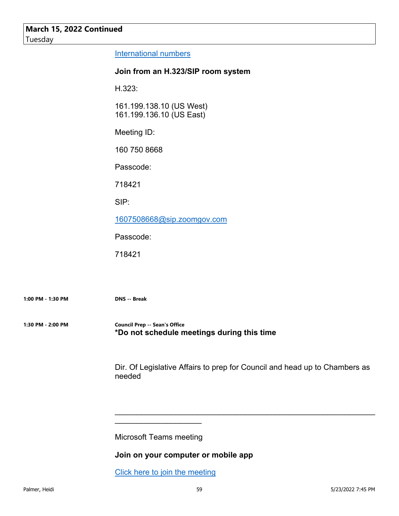International numbers

#### **Join from an H.323/SIP room system**

H.323:

161.199.138.10 (US West) 161.199.136.10 (US East)

Meeting ID:

160 750 8668

Passcode:

718421

SIP:

1607508668@sip.zoomgov.com

Passcode:

718421

**1:00 PM - 1:30 PM DNS -- Break**

**1:30 PM - 2:00 PM Council Prep -- Sean's Office \*Do not schedule meetings during this time**

> Dir. Of Legislative Affairs to prep for Council and head up to Chambers as needed

\_\_\_\_\_\_\_\_\_\_\_\_\_\_\_\_\_\_\_\_\_\_\_\_\_\_\_\_\_\_\_\_\_\_\_\_\_\_\_\_\_\_\_\_\_\_\_\_\_\_\_\_\_\_\_\_\_\_\_\_

Microsoft Teams meeting

\_\_\_\_\_\_\_\_\_\_\_\_\_\_\_\_\_\_\_\_

**Join on your computer or mobile app** 

Click here to join the meeting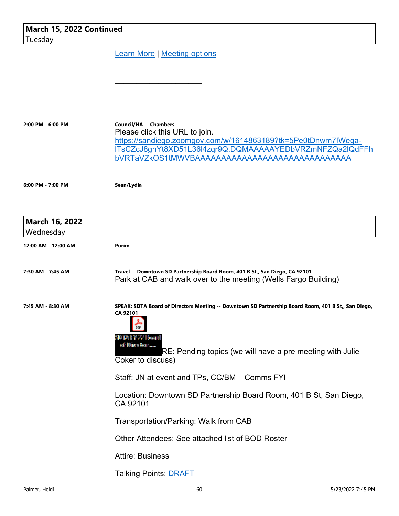| March 15, 2022 Continued<br>Tuesday |                                                                                                                                                                                                                                                 |
|-------------------------------------|-------------------------------------------------------------------------------------------------------------------------------------------------------------------------------------------------------------------------------------------------|
|                                     | <b>Learn More   Meeting options</b>                                                                                                                                                                                                             |
|                                     |                                                                                                                                                                                                                                                 |
| 2:00 PM - 6:00 PM                   | <b>Council/HA -- Chambers</b><br>Please click this URL to join.<br>https://sandiego.zoomgov.com/w/1614863189?tk=5Pe0tDnwm7IWega-<br>ITsCZcJ8gnYt8XD51L36I4zgr9Q.DQMAAAAAYEDbVRZmNFZQa2IQdFFh<br>bVRTaVZkOS1tMWVBAAAAAAAAAAAAAAAAAAAAAAAAAAAAAAA |
| 6:00 PM - 7:00 PM                   | Sean/Lydia                                                                                                                                                                                                                                      |
| March 16, 2022<br>Wednesday         |                                                                                                                                                                                                                                                 |
| 12:00 AM - 12:00 AM                 | Purim                                                                                                                                                                                                                                           |
| 7:30 AM - 7:45 AM                   | Travel -- Downtown SD Partnership Board Room, 401 B St., San Diego, CA 92101<br>Park at CAB and walk over to the meeting (Wells Fargo Building)                                                                                                 |
| 7:45 AM - 8:30 AM                   | SPEAK: SDTA Board of Directors Meeting -- Downtown SD Partnership Board Room, 401 B St,, San Diego,<br>CA 92101<br>SD12:137-22-Boxard<br>oall Dinero fioans<br>RE: Pending topics (we will have a pre meeting with Julie<br>Coker to discuss)   |
|                                     | Staff: JN at event and TPs, CC/BM - Comms FYI                                                                                                                                                                                                   |
|                                     | Location: Downtown SD Partnership Board Room, 401 B St, San Diego,<br>CA 92101                                                                                                                                                                  |
|                                     | <b>Transportation/Parking: Walk from CAB</b>                                                                                                                                                                                                    |
|                                     | Other Attendees: See attached list of BOD Roster                                                                                                                                                                                                |
|                                     | <b>Attire: Business</b>                                                                                                                                                                                                                         |
|                                     | <b>Talking Points: DRAFT</b>                                                                                                                                                                                                                    |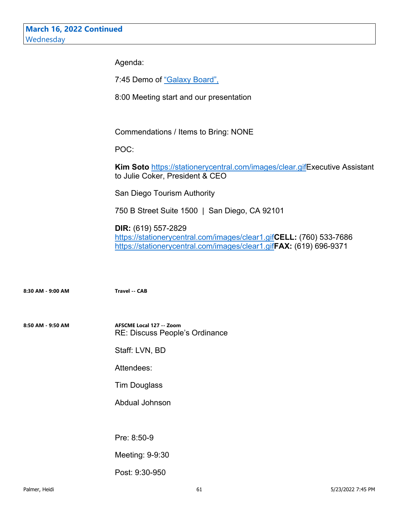Agenda:

7:45 Demo of "Galaxy Board",

8:00 Meeting start and our presentation

Commendations / Items to Bring: NONE

POC:

**Kim Soto** https://stationerycentral.com/images/clear.gifExecutive Assistant to Julie Coker, President & CEO

San Diego Tourism Authority

750 B Street Suite 1500 | San Diego, CA 92101

**DIR:** (619) 557-2829 https://stationerycentral.com/images/clear1.gif**CELL:** (760) 533-7686

https://stationerycentral.com/images/clear1.gif**FAX:** (619) 696-9371

**8:30 AM - 9:00 AM Travel -- CAB**

**8:50 AM - 9:50 AM AFSCME Local 127 -- Zoom** RE: Discuss People's Ordinance

Staff: LVN, BD

Attendees:

Tim Douglass

Abdual Johnson

Pre: 8:50-9

Meeting: 9-9:30

Post: 9:30-950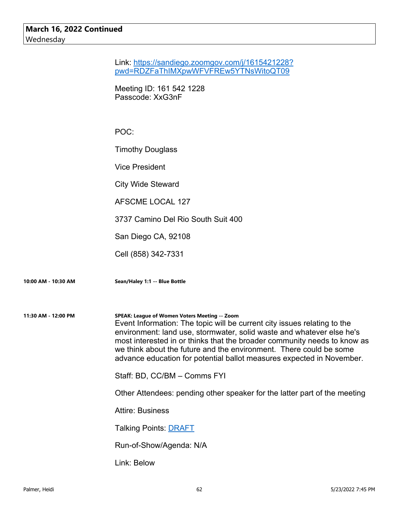|                     | Link: https://sandiego.zoomgov.com/j/1615421228?<br>pwd=RDZFaThIMXpwWFVFREw5YTNsWitoQT09                                                                                                                                                                                                                                                                                                                                      |
|---------------------|-------------------------------------------------------------------------------------------------------------------------------------------------------------------------------------------------------------------------------------------------------------------------------------------------------------------------------------------------------------------------------------------------------------------------------|
|                     | Meeting ID: 161 542 1228<br>Passcode: XxG3nF                                                                                                                                                                                                                                                                                                                                                                                  |
|                     | POC:                                                                                                                                                                                                                                                                                                                                                                                                                          |
|                     | <b>Timothy Douglass</b>                                                                                                                                                                                                                                                                                                                                                                                                       |
|                     | <b>Vice President</b>                                                                                                                                                                                                                                                                                                                                                                                                         |
|                     | <b>City Wide Steward</b>                                                                                                                                                                                                                                                                                                                                                                                                      |
|                     | <b>AFSCME LOCAL 127</b>                                                                                                                                                                                                                                                                                                                                                                                                       |
|                     | 3737 Camino Del Rio South Suit 400                                                                                                                                                                                                                                                                                                                                                                                            |
|                     | San Diego CA, 92108                                                                                                                                                                                                                                                                                                                                                                                                           |
|                     | Cell (858) 342-7331                                                                                                                                                                                                                                                                                                                                                                                                           |
| 10:00 AM - 10:30 AM | Sean/Haley 1:1 -- Blue Bottle                                                                                                                                                                                                                                                                                                                                                                                                 |
| 11:30 AM - 12:00 PM | SPEAK: League of Women Voters Meeting -- Zoom<br>Event Information: The topic will be current city issues relating to the<br>environment: land use, stormwater, solid waste and whatever else he's<br>most interested in or thinks that the broader community needs to know as<br>we think about the future and the environment. There could be some<br>advance education for potential ballot measures expected in November. |
|                     | Staff: BD, CC/BM - Comms FYI                                                                                                                                                                                                                                                                                                                                                                                                  |
|                     | Other Attendees: pending other speaker for the latter part of the meeting                                                                                                                                                                                                                                                                                                                                                     |
|                     | <b>Attire: Business</b>                                                                                                                                                                                                                                                                                                                                                                                                       |
|                     | <b>Talking Points: DRAFT</b>                                                                                                                                                                                                                                                                                                                                                                                                  |
|                     | Run-of-Show/Agenda: N/A                                                                                                                                                                                                                                                                                                                                                                                                       |
|                     | Link: Below                                                                                                                                                                                                                                                                                                                                                                                                                   |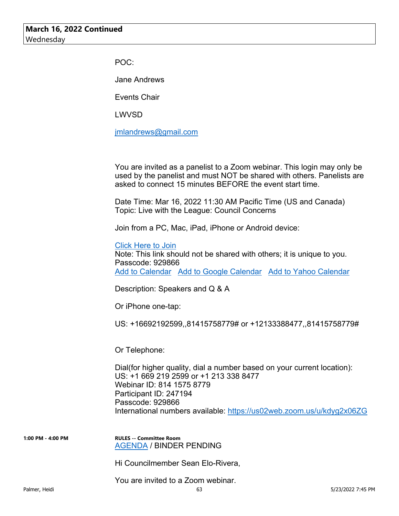POC:

Jane Andrews

Events Chair

LWVSD

jmlandrews@gmail.com

You are invited as a panelist to a Zoom webinar. This login may only be used by the panelist and must NOT be shared with others. Panelists are asked to connect 15 minutes BEFORE the event start time.

Date Time: Mar 16, 2022 11:30 AM Pacific Time (US and Canada) Topic: Live with the League: Council Concerns

Join from a PC, Mac, iPad, iPhone or Android device:

Click Here to Join

Note: This link should not be shared with others; it is unique to you. Passcode: 929866 Add to Calendar Add to Google Calendar Add to Yahoo Calendar

Description: Speakers and Q & A

Or iPhone one-tap:

US: +16692192599,,81415758779# or +12133388477,,81415758779#

Or Telephone:

Dial(for higher quality, dial a number based on your current location): US: +1 669 219 2599 or +1 213 338 8477 Webinar ID: 814 1575 8779 Participant ID: 247194 Passcode: 929866 International numbers available: https://us02web.zoom.us/u/kdyg2x06ZG

**1:00 PM - 4:00 PM RULES -- Committee Room** AGENDA / BINDER PENDING

Hi Councilmember Sean Elo-Rivera,

You are invited to a Zoom webinar.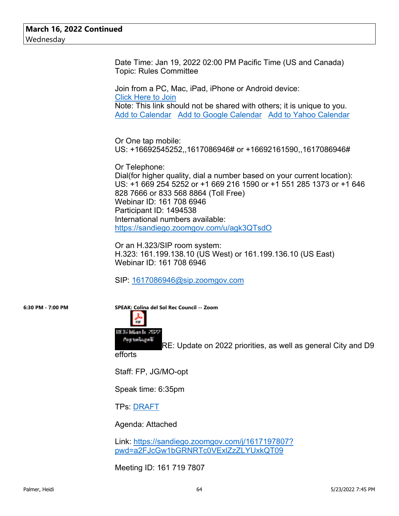Date Time: Jan 19, 2022 02:00 PM Pacific Time (US and Canada) Topic: Rules Committee

Join from a PC, Mac, iPad, iPhone or Android device: Click Here to Join Note: This link should not be shared with others; it is unique to you. Add to Calendar Add to Google Calendar Add to Yahoo Calendar

Or One tap mobile: US: +16692545252,,1617086946# or +16692161590,,1617086946#

Or Telephone: Dial(for higher quality, dial a number based on your current location): US: +1 669 254 5252 or +1 669 216 1590 or +1 551 285 1373 or +1 646 828 7666 or 833 568 8864 (Toll Free) Webinar ID: 161 708 6946 Participant ID: 1494538 International numbers available: https://sandiego.zoomgov.com/u/agk3QTsdO

Or an H.323/SIP room system: H.323: 161.199.138.10 (US West) or 161.199.136.10 (US East) Webinar ID: 161 708 6946

SIP: 1617086946@sip.zoomgov.com



**6:30 PM - 7:00 PM SPEAK: Colina del Sol Rec Council -- Zoom**





RE: Update on 2022 priorities, as well as general City and D9

efforts

Staff: FP, JG/MO-opt

Speak time: 6:35pm

TPs: DRAFT

Agenda: Attached

Link: https://sandiego.zoomgov.com/j/1617197807? pwd=a2FJcGw1bGRNRTc0VExlZzZLYUxkQT09

Meeting ID: 161 719 7807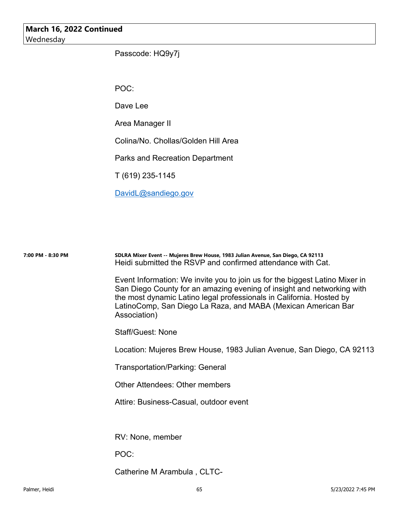#### **March 16, 2022 Continued** Wednesday

Passcode: HQ9y7j

POC:

Dave Lee

Area Manager II

Colina/No. Chollas/Golden Hill Area

Parks and Recreation Department

T (619) 235-1145

DavidL@sandiego.gov

| 7:00 PM - 8:30 PM | SDLRA Mixer Event -- Mujeres Brew House, 1983 Julian Avenue, San Diego, CA 92113<br>Heidi submitted the RSVP and confirmed attendance with Cat.                                                                                                                                                                |
|-------------------|----------------------------------------------------------------------------------------------------------------------------------------------------------------------------------------------------------------------------------------------------------------------------------------------------------------|
|                   | Event Information: We invite you to join us for the biggest Latino Mixer in<br>San Diego County for an amazing evening of insight and networking with<br>the most dynamic Latino legal professionals in California. Hosted by<br>LatinoComp, San Diego La Raza, and MABA (Mexican American Bar<br>Association) |
|                   | <b>Staff/Guest: None</b>                                                                                                                                                                                                                                                                                       |
|                   | Location: Mujeres Brew House, 1983 Julian Avenue, San Diego, CA 92113                                                                                                                                                                                                                                          |
|                   | <b>Transportation/Parking: General</b>                                                                                                                                                                                                                                                                         |
|                   | <b>Other Attendees: Other members</b>                                                                                                                                                                                                                                                                          |
|                   | Attire: Business-Casual, outdoor event                                                                                                                                                                                                                                                                         |
|                   |                                                                                                                                                                                                                                                                                                                |
|                   | RV: None, member                                                                                                                                                                                                                                                                                               |
|                   | POC:                                                                                                                                                                                                                                                                                                           |
|                   | Catherine M Arambula, CLTC-                                                                                                                                                                                                                                                                                    |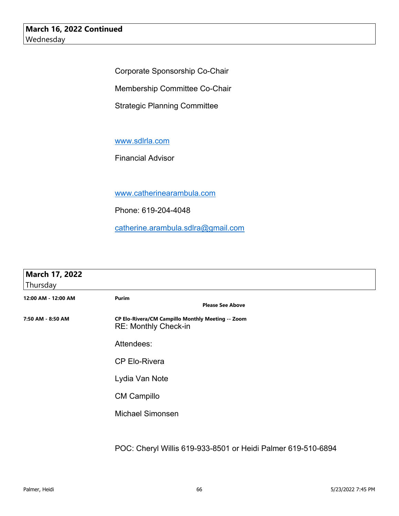Corporate Sponsorship Co-Chair

Membership Committee Co-Chair

Strategic Planning Committee

www.sdlrla.com

Financial Advisor

www.catherinearambula.com

Phone: 619-204-4048

catherine.arambula.sdlra@gmail.com

| March 17, 2022<br>Thursday |                                                                                  |
|----------------------------|----------------------------------------------------------------------------------|
| 12:00 AM - 12:00 AM        | Purim<br><b>Please See Above</b>                                                 |
| 7:50 AM - 8:50 AM          | CP Elo-Rivera/CM Campillo Monthly Meeting -- Zoom<br><b>RE: Monthly Check-in</b> |
|                            | Attendees:                                                                       |
|                            | <b>CP Elo-Rivera</b>                                                             |
|                            | Lydia Van Note                                                                   |
|                            | <b>CM Campillo</b>                                                               |
|                            | <b>Michael Simonsen</b>                                                          |
|                            |                                                                                  |
|                            |                                                                                  |

POC: Cheryl Willis 619-933-8501 or Heidi Palmer 619-510-6894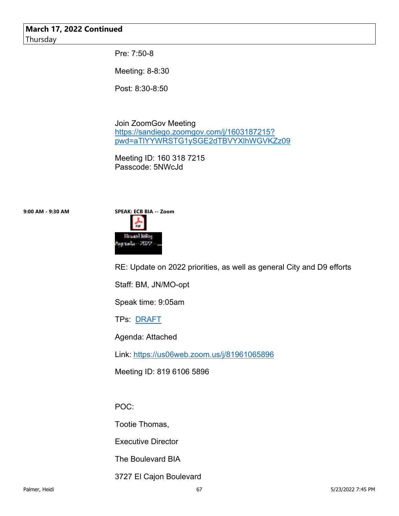#### **March 17, 2022 Continued** Thursday

Pre: 7:50-8

Meeting: 8-8:30

Post: 8:30-8:50

Join ZoomGov Meeting https://sandiego.zoomgov.com/j/1603187215? pwd=aTlYYWRSTG1ySGE2dTBVYXlhWGVKZz09

Meeting ID: 160 318 7215 Passcode: 5NWcJd



RE: Update on 2022 priorities, as well as general City and D9 efforts

Staff: BM, JN/MO-opt

Speak time: 9:05am

TPs: DRAFT

Agenda: Attached

Link: https://us06web.zoom.us/j/81961065896

Meeting ID: 819 6106 5896

POC:

Tootie Thomas,

Executive Director

The Boulevard BIA

3727 El Cajon Boulevard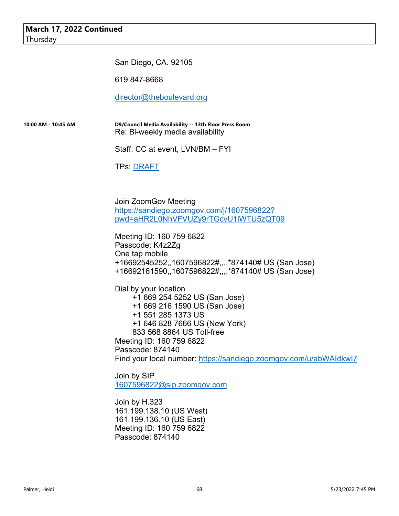San Diego, CA. 92105

619 847-8668

director@theboulevard.org

**10:00 AM - 10:45 AM D9/Council Media Availability -- 13th Floor Press Room** Re: Bi-weekly media availability

Staff: CC at event, LVN/BM – FYI

TPs: <u>DRAFT</u>

Join ZoomGov Meeting https://sandiego.zoomgov.com/j/1607596822? pwd=aHR2L0NhVFVUZy9rTGcvU1lWTU5zQT09

Meeting ID: 160 759 6822 Passcode: K4z2Zg One tap mobile +16692545252,,1607596822#,,,,\*874140# US (San Jose) +16692161590,,1607596822#,,,,\*874140# US (San Jose)

Dial by your location +1 669 254 5252 US (San Jose) +1 669 216 1590 US (San Jose) +1 551 285 1373 US +1 646 828 7666 US (New York) 833 568 8864 US Toll-free Meeting ID: 160 759 6822 Passcode: 874140 Find your local number: https://sandiego.zoomgov.com/u/abWAIdkwI7

Join by SIP 1607596822@sip.zoomgov.com

Join by H.323 161.199.138.10 (US West) 161.199.136.10 (US East) Meeting ID: 160 759 6822 Passcode: 874140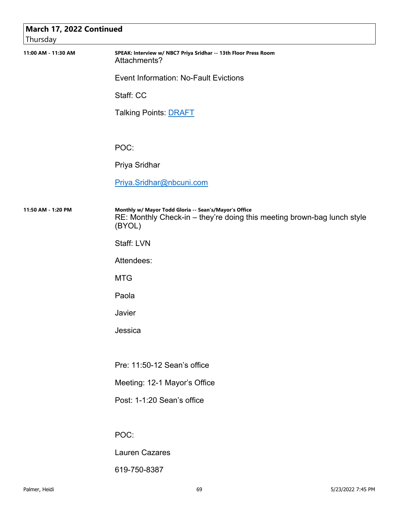| Thursday            | March 17, 2022 Continued                                                                                                                   |  |  |
|---------------------|--------------------------------------------------------------------------------------------------------------------------------------------|--|--|
| 11:00 AM - 11:30 AM | SPEAK: Interview w/ NBC7 Priya Sridhar -- 13th Floor Press Room<br>Attachments?                                                            |  |  |
|                     | <b>Event Information: No-Fault Evictions</b>                                                                                               |  |  |
|                     | Staff: CC                                                                                                                                  |  |  |
|                     | <b>Talking Points: DRAFT</b>                                                                                                               |  |  |
|                     | POC:                                                                                                                                       |  |  |
|                     | Priya Sridhar                                                                                                                              |  |  |
|                     | Priya.Sridhar@nbcuni.com                                                                                                                   |  |  |
| 11:50 AM - 1:20 PM  | Monthly w/ Mayor Todd Gloria -- Sean's/Mayor's Office<br>RE: Monthly Check-in - they're doing this meeting brown-bag lunch style<br>(BYOL) |  |  |
|                     | Staff: LVN                                                                                                                                 |  |  |
|                     | Attendees:                                                                                                                                 |  |  |
|                     | <b>MTG</b>                                                                                                                                 |  |  |
|                     | Paola                                                                                                                                      |  |  |
|                     | Javier                                                                                                                                     |  |  |
|                     | Jessica                                                                                                                                    |  |  |
|                     |                                                                                                                                            |  |  |
|                     | Pre: 11:50-12 Sean's office                                                                                                                |  |  |
|                     | Meeting: 12-1 Mayor's Office                                                                                                               |  |  |
|                     | Post: 1-1:20 Sean's office                                                                                                                 |  |  |
|                     |                                                                                                                                            |  |  |
|                     | POC:                                                                                                                                       |  |  |
|                     | <b>Lauren Cazares</b>                                                                                                                      |  |  |

619-750-8387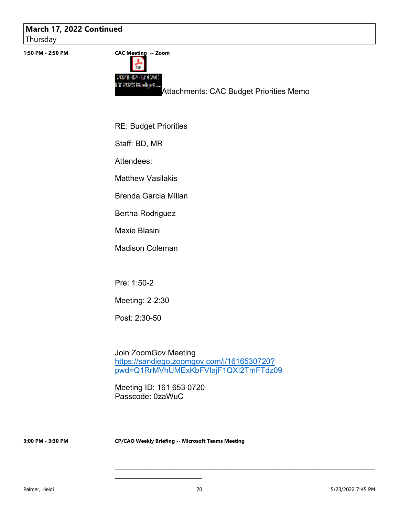### **March 17, 2022 Continued**

Thursday



RE: Budget Priorities

Staff: BD, MR

Attendees:

Matthew Vasilakis

Brenda Garcia Millan

Bertha Rodriguez

Maxie Blasini

Madison Coleman

Pre: 1:50-2

Meeting: 2-2:30

Post: 2:30-50

Join ZoomGov Meeting https://sandiego.zoomgov.com/j/1616530720? pwd=Q1RrMVhUMExKbFVIajF1QXI2TmFTdz09

Meeting ID: 161 653 0720 Passcode: 0zaWuC

 $\mathcal{L}_\text{max}$  , where  $\mathcal{L}_\text{max}$  , we have the set of  $\mathcal{L}_\text{max}$ 

**3:00 PM - 3:30 PM CP/CAO Weekly Briefing -- Microsoft Teams Meeting**

\_\_\_\_\_\_\_\_\_\_\_\_\_\_\_\_\_\_\_\_\_\_\_\_\_\_\_\_\_\_\_\_\_\_\_\_\_\_\_\_\_\_\_\_\_\_\_\_\_\_\_\_\_\_\_\_\_\_\_\_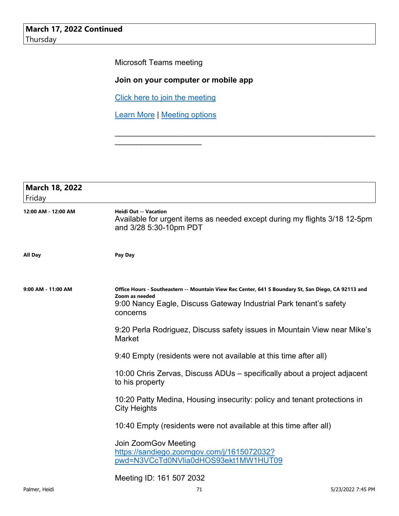Microsoft Teams meeting

### **Join on your computer or mobile app**

\_\_\_\_\_\_\_\_\_\_\_\_\_\_\_\_\_\_\_\_\_\_\_\_\_\_\_\_\_\_\_\_\_\_\_\_\_\_\_\_\_\_\_\_\_\_\_\_\_\_\_\_\_\_\_\_\_\_\_\_

Click here to join the meeting

Learn More | Meeting options

\_\_\_\_\_\_\_\_\_\_\_\_\_\_\_\_\_\_\_\_

| <b>March 18, 2022</b><br>Friday |                                                                                                                                                                                                        |
|---------------------------------|--------------------------------------------------------------------------------------------------------------------------------------------------------------------------------------------------------|
| 12:00 AM - 12:00 AM             | <b>Heidi Out -- Vacation</b><br>Available for urgent items as needed except during my flights 3/18 12-5pm<br>and 3/28 5:30-10pm PDT                                                                    |
| <b>All Day</b>                  | Pay Day                                                                                                                                                                                                |
| 9:00 AM - 11:00 AM              | Office Hours - Southeastern -- Mountain View Rec Center, 641 S Boundary St, San Diego, CA 92113 and<br>Zoom as needed<br>9:00 Nancy Eagle, Discuss Gateway Industrial Park tenant's safety<br>concerns |
|                                 | 9:20 Perla Rodriguez, Discuss safety issues in Mountain View near Mike's<br>Market                                                                                                                     |
|                                 | 9:40 Empty (residents were not available at this time after all)                                                                                                                                       |
|                                 | 10:00 Chris Zervas, Discuss ADUs – specifically about a project adjacent<br>to his property                                                                                                            |
|                                 | 10:20 Patty Medina, Housing insecurity: policy and tenant protections in<br><b>City Heights</b>                                                                                                        |
|                                 | 10:40 Empty (residents were not available at this time after all)                                                                                                                                      |
|                                 | Join ZoomGov Meeting<br>https://sandiego.zoomgov.com/j/1615072032?<br>pwd=N3VCcTd0NVlia0dHOS93ekt1MW1HUT09                                                                                             |
|                                 | Meeting ID: 161 507 2032                                                                                                                                                                               |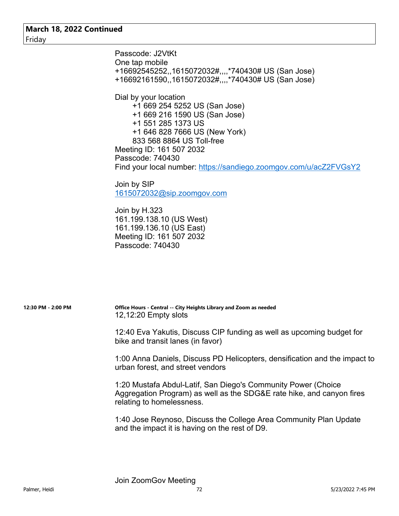Passcode: J2VtKt One tap mobile +16692545252,,1615072032#,,,,\*740430# US (San Jose) +16692161590,,1615072032#,,,,\*740430# US (San Jose) Dial by your location +1 669 254 5252 US (San Jose) +1 669 216 1590 US (San Jose) +1 551 285 1373 US +1 646 828 7666 US (New York) 833 568 8864 US Toll-free Meeting ID: 161 507 2032 Passcode: 740430 Find your local number: https://sandiego.zoomgov.com/u/acZ2FVGsY2 Join by SIP

1615072032@sip.zoomgov.com

Join by H.323 161.199.138.10 (US West) 161.199.136.10 (US East) Meeting ID: 161 507 2032 Passcode: 740430

**12:30 PM - 2:00 PM Office Hours - Central -- City Heights Library and Zoom as needed** 12,12:20 Empty slots

> 12:40 Eva Yakutis, Discuss CIP funding as well as upcoming budget for bike and transit lanes (in favor)

1:00 Anna Daniels, Discuss PD Helicopters, densification and the impact to urban forest, and street vendors

1:20 Mustafa Abdul-Latif, San Diego's Community Power (Choice Aggregation Program) as well as the SDG&E rate hike, and canyon fires relating to homelessness.

1:40 Jose Reynoso, Discuss the College Area Community Plan Update and the impact it is having on the rest of D9.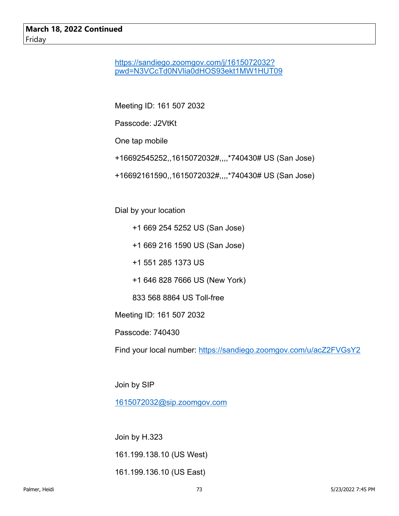### https://sandiego.zoomgov.com/j/1615072032? pwd=N3VCcTd0NVlia0dHOS93ekt1MW1HUT09

Meeting ID: 161 507 2032

Passcode: J2VtKt

One tap mobile

- +16692545252,,1615072032#,,,,\*740430# US (San Jose)
- +16692161590,,1615072032#,,,,\*740430# US (San Jose)

Dial by your location

- +1 669 254 5252 US (San Jose)
- +1 669 216 1590 US (San Jose)
- +1 551 285 1373 US
- +1 646 828 7666 US (New York)
- 833 568 8864 US Toll-free

Meeting ID: 161 507 2032

Passcode: 740430

Find your local number: https://sandiego.zoomgov.com/u/acZ2FVGsY2

Join by SIP

1615072032@sip.zoomgov.com

Join by H.323 161.199.138.10 (US West) 161.199.136.10 (US East)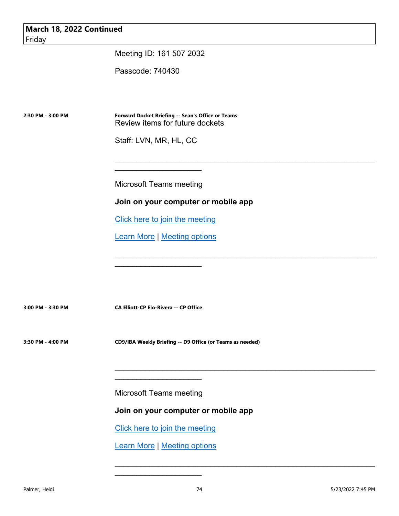Meeting ID: 161 507 2032

Passcode: 740430

**2:30 PM - 3:00 PM Forward Docket Briefing -- Sean's Office or Teams** Review items for future dockets

Staff: LVN, MR, HL, CC

Microsoft Teams meeting

 $\overline{\phantom{a}}$  , which is a set of the set of the set of the set of the set of the set of the set of the set of the set of the set of the set of the set of the set of the set of the set of the set of the set of the set of th

#### **Join on your computer or mobile app**

 $\mathcal{L}_\text{max}$  , and the contract of the contract of the contract of the contract of the contract of the contract of

\_\_\_\_\_\_\_\_\_\_\_\_\_\_\_\_\_\_\_\_\_\_\_\_\_\_\_\_\_\_\_\_\_\_\_\_\_\_\_\_\_\_\_\_\_\_\_\_\_\_\_\_\_\_\_\_\_\_\_\_

\_\_\_\_\_\_\_\_\_\_\_\_\_\_\_\_\_\_\_\_\_\_\_\_\_\_\_\_\_\_\_\_\_\_\_\_\_\_\_\_\_\_\_\_\_\_\_\_\_\_\_\_\_\_\_\_\_\_\_\_

\_\_\_\_\_\_\_\_\_\_\_\_\_\_\_\_\_\_\_\_\_\_\_\_\_\_\_\_\_\_\_\_\_\_\_\_\_\_\_\_\_\_\_\_\_\_\_\_\_\_\_\_\_\_\_\_\_\_\_\_

Click here to join the meeting

Learn More | Meeting options

**3:00 PM - 3:30 PM CA Elliott-CP Elo-Rivera -- CP Office**

 $\mathcal{L}_\text{max}$  , where  $\mathcal{L}_\text{max}$  and  $\mathcal{L}_\text{max}$ 

**3:30 PM - 4:00 PM CD9/IBA Weekly Briefing -- D9 Office (or Teams as needed)**

Microsoft Teams meeting

 $\mathcal{L}_\text{max}$  , where  $\mathcal{L}_\text{max}$  and  $\mathcal{L}_\text{max}$ 

**Join on your computer or mobile app** 

Click here to join the meeting

Learn More | Meeting options

 $\mathcal{L}_\text{max}$  , where  $\mathcal{L}_\text{max}$  and  $\mathcal{L}_\text{max}$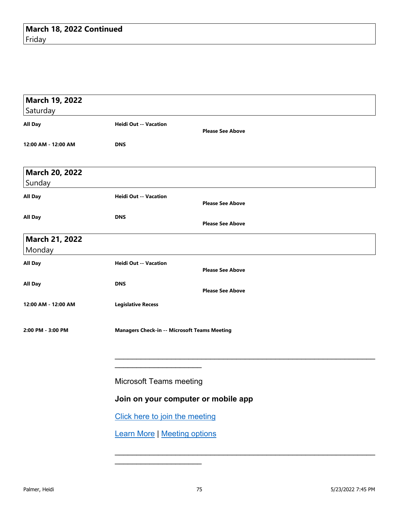| March 19, 2022        |                                                         |
|-----------------------|---------------------------------------------------------|
| Saturday              |                                                         |
| <b>All Day</b>        | <b>Heidi Out -- Vacation</b><br><b>Please See Above</b> |
| 12:00 AM - 12:00 AM   | <b>DNS</b>                                              |
| <b>March 20, 2022</b> |                                                         |
| Sunday                |                                                         |
| All Day               | <b>Heidi Out -- Vacation</b><br><b>Please See Above</b> |
| All Day               | <b>DNS</b><br><b>Please See Above</b>                   |
| <b>March 21, 2022</b> |                                                         |
| Monday                |                                                         |
| <b>All Day</b>        | <b>Heidi Out -- Vacation</b><br><b>Please See Above</b> |
| All Day               | <b>DNS</b><br><b>Please See Above</b>                   |
| 12:00 AM - 12:00 AM   | <b>Legislative Recess</b>                               |
| 2:00 PM - 3:00 PM     | <b>Managers Check-in -- Microsoft Teams Meeting</b>     |
|                       |                                                         |
|                       | <b>Microsoft Teams meeting</b>                          |
|                       | Join on your computer or mobile app                     |
|                       | Click here to join the meeting                          |
|                       | <b>Learn More   Meeting options</b>                     |
|                       |                                                         |

 $\mathcal{L}_\text{max}$  , where  $\mathcal{L}_\text{max}$  and  $\mathcal{L}_\text{max}$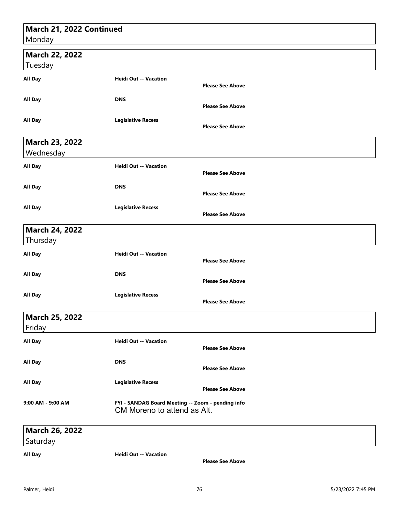# **March 21, 2022 Continued** Monday  **March 22, 2022** Tuesday **All Day Heidi Out -- Vacation Please See Above All Day DNS Please See Above All Day Legislative Recess Please See Above March 23, 2022** Wednesday **All Day Heidi Out -- Vacation Please See Above All Day DNS Please See Above All Day Legislative Recess Please See Above March 24, 2022** Thursday **All Day Heidi Out -- Vacation Please See Above All Day DNS Please See Above All Day Legislative Recess Please See Above March 25, 2022** Friday **All Day Heidi Out -- Vacation Please See Above All Day DNS Please See Above All Day Legislative Recess Please See Above 9:00 AM - 9:00 AM FYI - SANDAG Board Meeting -- Zoom - pending info**

## **March 26, 2022**

**Saturday** 

**All Day Heidi Out -- Vacation**

CM Moreno to attend as Alt.

**Please See Above**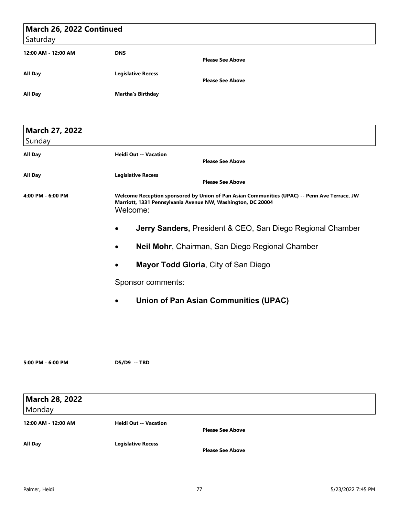| March 26, 2022 Continued |                                                                                                                                                                         |
|--------------------------|-------------------------------------------------------------------------------------------------------------------------------------------------------------------------|
| Saturday                 |                                                                                                                                                                         |
| 12:00 AM - 12:00 AM      | <b>DNS</b><br><b>Please See Above</b>                                                                                                                                   |
| All Day                  | <b>Legislative Recess</b>                                                                                                                                               |
|                          | <b>Please See Above</b>                                                                                                                                                 |
| All Day                  | <b>Martha's Birthday</b>                                                                                                                                                |
| <b>March 27, 2022</b>    |                                                                                                                                                                         |
| Sunday                   |                                                                                                                                                                         |
| All Day                  | <b>Heidi Out -- Vacation</b><br><b>Please See Above</b>                                                                                                                 |
| All Day                  | <b>Legislative Recess</b><br><b>Please See Above</b>                                                                                                                    |
| 4:00 PM - 6:00 PM        | Welcome Reception sponsored by Union of Pan Asian Communities (UPAC) -- Penn Ave Terrace, JW<br>Marriott, 1331 Pennsylvania Avenue NW, Washington, DC 20004<br>Welcome: |
|                          | <b>Jerry Sanders, President &amp; CEO, San Diego Regional Chamber</b><br>$\bullet$                                                                                      |
|                          | Neil Mohr, Chairman, San Diego Regional Chamber<br>$\bullet$                                                                                                            |
|                          | <b>Mayor Todd Gloria, City of San Diego</b><br>$\bullet$                                                                                                                |
|                          | Sponsor comments:                                                                                                                                                       |
|                          | <b>Union of Pan Asian Communities (UPAC)</b>                                                                                                                            |
|                          |                                                                                                                                                                         |
| 5:00 PM - 6:00 PM        | D5/D9 -- TBD                                                                                                                                                            |
| <b>March 28, 2022</b>    |                                                                                                                                                                         |
| Monday                   |                                                                                                                                                                         |
| 12:00 AM - 12:00 AM      | <b>Heidi Out -- Vacation</b><br><b>Please See Above</b>                                                                                                                 |
| All Day                  | <b>Legislative Recess</b><br><b>Please See Above</b>                                                                                                                    |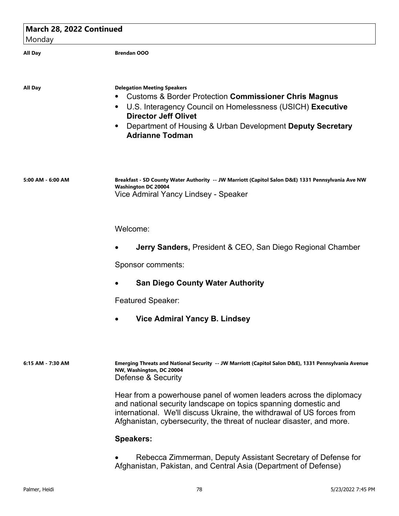| March 28, 2022 Continued |                                                                                                                                                                                                                                                                                             |
|--------------------------|---------------------------------------------------------------------------------------------------------------------------------------------------------------------------------------------------------------------------------------------------------------------------------------------|
| Monday                   |                                                                                                                                                                                                                                                                                             |
| <b>All Day</b>           | <b>Brendan OOO</b>                                                                                                                                                                                                                                                                          |
| All Day                  | <b>Delegation Meeting Speakers</b><br><b>Customs &amp; Border Protection Commissioner Chris Magnus</b><br>U.S. Interagency Council on Homelessness (USICH) Executive<br><b>Director Jeff Olivet</b><br>Department of Housing & Urban Development Deputy Secretary<br><b>Adrianne Todman</b> |
| 5:00 AM - 6:00 AM        | Breakfast - SD County Water Authority -- JW Marriott (Capitol Salon D&E) 1331 Pennsylvania Ave NW<br><b>Washington DC 20004</b><br>Vice Admiral Yancy Lindsey - Speaker                                                                                                                     |
|                          | Welcome:                                                                                                                                                                                                                                                                                    |
|                          | <b>Jerry Sanders, President &amp; CEO, San Diego Regional Chamber</b>                                                                                                                                                                                                                       |
|                          | Sponsor comments:                                                                                                                                                                                                                                                                           |
|                          | <b>San Diego County Water Authority</b>                                                                                                                                                                                                                                                     |
|                          | <b>Featured Speaker:</b>                                                                                                                                                                                                                                                                    |
|                          | <b>Vice Admiral Yancy B. Lindsey</b>                                                                                                                                                                                                                                                        |
| 6:15 AM - 7:30 AM        | Emerging Threats and National Security -- JW Marriott (Capitol Salon D&E), 1331 Pennsylvania Avenue<br>NW, Washington, DC 20004<br>Defense & Security                                                                                                                                       |
|                          | Hear from a powerhouse panel of women leaders across the diplomacy<br>and national security landscape on topics spanning domestic and<br>international. We'll discuss Ukraine, the withdrawal of US forces from<br>Afghanistan, cybersecurity, the threat of nuclear disaster, and more.    |
|                          | <b>Speakers:</b>                                                                                                                                                                                                                                                                            |
|                          | Rebecca Zimmerman, Deputy Assistant Secretary of Defense for                                                                                                                                                                                                                                |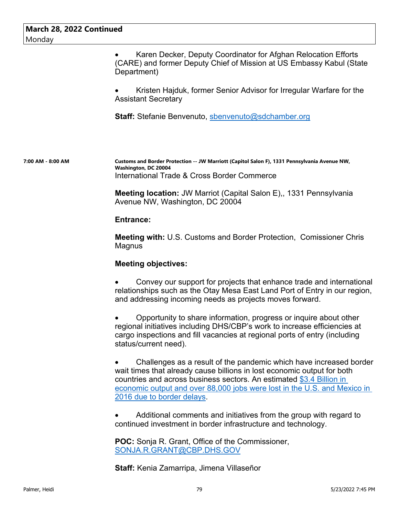Karen Decker, Deputy Coordinator for Afghan Relocation Efforts (CARE) and former Deputy Chief of Mission at US Embassy Kabul (State Department)

 Kristen Hajduk, former Senior Advisor for Irregular Warfare for the Assistant Secretary

**Staff:** Stefanie Benvenuto, sbenvenuto@sdchamber.org

**7:00 AM - 8:00 AM Customs and Border Protection -- JW Marriott (Capitol Salon F), 1331 Pennsylvania Avenue NW, Washington, DC 20004** International Trade & Cross Border Commerce

> **Meeting location:** JW Marriot (Capital Salon E),, 1331 Pennsylvania Avenue NW, Washington, DC 20004

#### **Entrance:**

**Meeting with:** U.S. Customs and Border Protection, Comissioner Chris Magnus

#### **Meeting objectives:**

 Convey our support for projects that enhance trade and international relationships such as the Otay Mesa East Land Port of Entry in our region, and addressing incoming needs as projects moves forward.

 Opportunity to share information, progress or inquire about other regional initiatives including DHS/CBP's work to increase efficiencies at cargo inspections and fill vacancies at regional ports of entry (including status/current need).

 Challenges as a result of the pandemic which have increased border wait times that already cause billions in lost economic output for both countries and across business sectors. An estimated \$3.4 Billion in economic output and over 88,000 jobs were lost in the U.S. and Mexico in 2016 due to border delays.

 Additional comments and initiatives from the group with regard to continued investment in border infrastructure and technology.

**POC:** Sonja R. Grant, Office of the Commissioner, SONJA.R.GRANT@CBP.DHS.GOV

**Staff:** Kenia Zamarripa, Jimena Villaseñor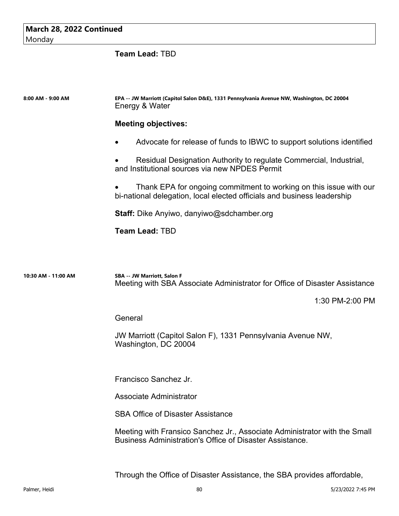| March 28, 2022 Continued |                                                                                                                                               |
|--------------------------|-----------------------------------------------------------------------------------------------------------------------------------------------|
| Monday                   |                                                                                                                                               |
|                          | <b>Team Lead: TBD</b>                                                                                                                         |
|                          |                                                                                                                                               |
|                          |                                                                                                                                               |
| 8:00 AM - 9:00 AM        | EPA -- JW Marriott (Capitol Salon D&E), 1331 Pennsylvania Avenue NW, Washington, DC 20004<br>Energy & Water                                   |
|                          | <b>Meeting objectives:</b>                                                                                                                    |
|                          | Advocate for release of funds to IBWC to support solutions identified                                                                         |
|                          | Residual Designation Authority to regulate Commercial, Industrial,<br>and Institutional sources via new NPDES Permit                          |
|                          | Thank EPA for ongoing commitment to working on this issue with our<br>bi-national delegation, local elected officials and business leadership |
|                          | <b>Staff:</b> Dike Anyiwo, danyiwo@sdchamber.org                                                                                              |
|                          | <b>Team Lead: TBD</b>                                                                                                                         |
|                          |                                                                                                                                               |
|                          |                                                                                                                                               |
| 10:30 AM - 11:00 AM      | SBA -- JW Marriott, Salon F<br>Meeting with SBA Associate Administrator for Office of Disaster Assistance                                     |
|                          | 1:30 PM-2:00 PM                                                                                                                               |
|                          | General                                                                                                                                       |
|                          | JW Marriott (Capitol Salon F), 1331 Pennsylvania Avenue NW,                                                                                   |
|                          | Washington, DC 20004                                                                                                                          |
|                          |                                                                                                                                               |
|                          | Francisco Sanchez Jr.                                                                                                                         |
|                          | Associate Administrator                                                                                                                       |
|                          | <b>SBA Office of Disaster Assistance</b>                                                                                                      |
|                          | Meeting with Fransico Sanchez Jr., Associate Administrator with the Small<br>Business Administration's Office of Disaster Assistance.         |
|                          |                                                                                                                                               |
|                          |                                                                                                                                               |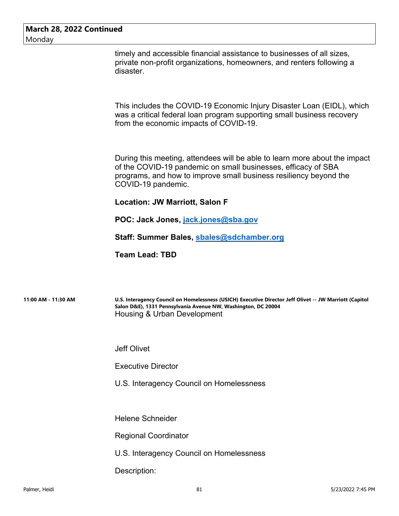timely and accessible financial assistance to businesses of all sizes, private non-profit organizations, homeowners, and renters following a disaster.

This includes the COVID-19 Economic Injury Disaster Loan (EIDL), which was a critical federal loan program supporting small business recovery from the economic impacts of COVID-19.

During this meeting, attendees will be able to learn more about the impact of the COVID-19 pandemic on small businesses, efficacy of SBA programs, and how to improve small business resiliency beyond the COVID-19 pandemic.

#### **Location: JW Marriott, Salon F**

**POC: Jack Jones, jack.jones@sba.gov**

**Staff: Summer Bales, sbales@sdchamber.org**

**Team Lead: TBD**

**11:00 AM - 11:30 AM U.S. Interagency Council on Homelessness (USICH) Executive Director Jeff Olivet -- JW Marriott (Capitol Salon D&E), 1331 Pennsylvania Avenue NW, Washington, DC 20004** Housing & Urban Development

Jeff Olivet

Executive Director

U.S. Interagency Council on Homelessness

Helene Schneider

Regional Coordinator

U.S. Interagency Council on Homelessness

Description: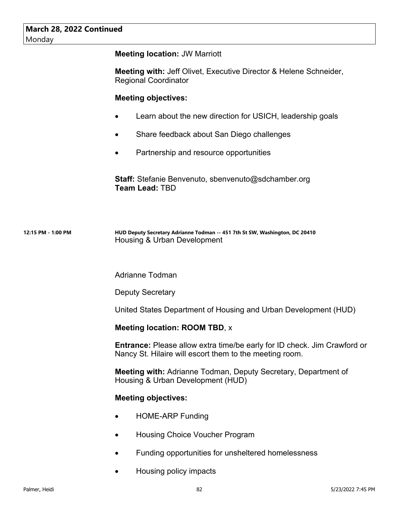| March 28, 2022 Continued<br>Monday |                                                                                                                                            |
|------------------------------------|--------------------------------------------------------------------------------------------------------------------------------------------|
|                                    | <b>Meeting location: JW Marriott</b>                                                                                                       |
|                                    | <b>Meeting with: Jeff Olivet, Executive Director &amp; Helene Schneider,</b><br><b>Regional Coordinator</b>                                |
|                                    | <b>Meeting objectives:</b>                                                                                                                 |
|                                    | Learn about the new direction for USICH, leadership goals<br>$\bullet$                                                                     |
|                                    | Share feedback about San Diego challenges                                                                                                  |
|                                    | Partnership and resource opportunities                                                                                                     |
|                                    | <b>Staff:</b> Stefanie Benvenuto, sbenvenuto@sdchamber.org<br><b>Team Lead: TBD</b>                                                        |
| 12:15 PM - 1:00 PM                 | HUD Deputy Secretary Adrianne Todman -- 451 7th St SW, Washington, DC 20410<br>Housing & Urban Development                                 |
|                                    | <b>Adrianne Todman</b>                                                                                                                     |
|                                    | <b>Deputy Secretary</b>                                                                                                                    |
|                                    | United States Department of Housing and Urban Development (HUD)                                                                            |
|                                    | <b>Meeting location: ROOM TBD, x</b>                                                                                                       |
|                                    | <b>Entrance:</b> Please allow extra time/be early for ID check. Jim Crawford or<br>Nancy St. Hilaire will escort them to the meeting room. |
|                                    | <b>Meeting with: Adrianne Todman, Deputy Secretary, Department of</b><br>Housing & Urban Development (HUD)                                 |
|                                    | <b>Meeting objectives:</b>                                                                                                                 |
|                                    | <b>HOME-ARP Funding</b><br>٠                                                                                                               |
|                                    | <b>Housing Choice Voucher Program</b>                                                                                                      |
|                                    | Funding opportunities for unsheltered homelessness                                                                                         |

Housing policy impacts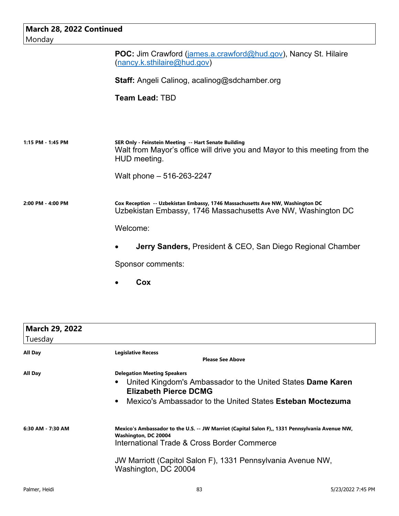| March 28, 2022 Continued<br>Monday |                                                                                                                                                                                 |
|------------------------------------|---------------------------------------------------------------------------------------------------------------------------------------------------------------------------------|
|                                    | POC: Jim Crawford ( <i>james.a.crawford@hud.gov</i> ), Nancy St. Hilaire<br>(nancy.k.sthilaire@hud.gov)                                                                         |
|                                    | <b>Staff:</b> Angeli Calinog, acalinog@sdchamber.org                                                                                                                            |
|                                    | <b>Team Lead: TBD</b>                                                                                                                                                           |
|                                    |                                                                                                                                                                                 |
| 1:15 PM - 1:45 PM                  | SER Only - Feinstein Meeting -- Hart Senate Building<br>Walt from Mayor's office will drive you and Mayor to this meeting from the<br>HUD meeting.<br>Walt phone - 516-263-2247 |
| 2:00 PM - 4:00 PM                  | Cox Reception -- Uzbekistan Embassy, 1746 Massachusetts Ave NW, Washington DC<br>Uzbekistan Embassy, 1746 Massachusetts Ave NW, Washington DC                                   |
|                                    | Welcome:                                                                                                                                                                        |
|                                    | <b>Jerry Sanders, President &amp; CEO, San Diego Regional Chamber</b>                                                                                                           |
|                                    | Sponsor comments:                                                                                                                                                               |

**Cox**

| <b>March 29, 2022</b><br>Tuesday |                                                                                                                                                                                                                                                              |
|----------------------------------|--------------------------------------------------------------------------------------------------------------------------------------------------------------------------------------------------------------------------------------------------------------|
| All Day                          | <b>Legislative Recess</b><br><b>Please See Above</b>                                                                                                                                                                                                         |
| All Day                          | <b>Delegation Meeting Speakers</b><br>United Kingdom's Ambassador to the United States Dame Karen<br>$\bullet$<br><b>Elizabeth Pierce DCMG</b><br>Mexico's Ambassador to the United States <b>Esteban Moctezuma</b><br>$\bullet$                             |
| 6:30 AM - 7:30 AM                | Mexico's Ambassador to the U.S. -- JW Marriot (Capital Salon F),, 1331 Pennsylvania Avenue NW,<br>Washington, DC 20004<br>International Trade & Cross Border Commerce<br>JW Marriott (Capitol Salon F), 1331 Pennsylvania Avenue NW,<br>Washington, DC 20004 |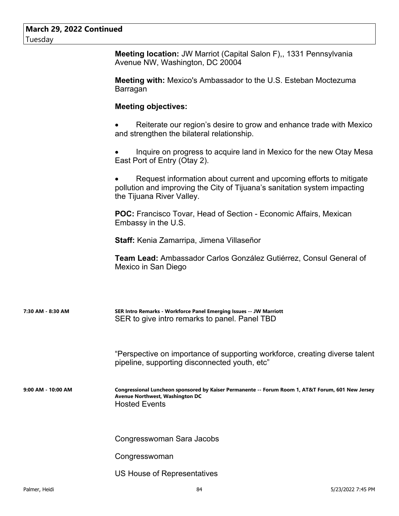| <b>March 29, 2022 Continued</b><br>Tuesday |                                                                                                                                                                              |
|--------------------------------------------|------------------------------------------------------------------------------------------------------------------------------------------------------------------------------|
|                                            | <b>Meeting location: JW Marriot (Capital Salon F),, 1331 Pennsylvania</b><br>Avenue NW, Washington, DC 20004                                                                 |
|                                            | <b>Meeting with: Mexico's Ambassador to the U.S. Esteban Moctezuma</b><br>Barragan                                                                                           |
|                                            | <b>Meeting objectives:</b>                                                                                                                                                   |
|                                            | Reiterate our region's desire to grow and enhance trade with Mexico<br>and strengthen the bilateral relationship.                                                            |
|                                            | Inquire on progress to acquire land in Mexico for the new Otay Mesa<br>East Port of Entry (Otay 2).                                                                          |
|                                            | Request information about current and upcoming efforts to mitigate<br>pollution and improving the City of Tijuana's sanitation system impacting<br>the Tijuana River Valley. |
|                                            | POC: Francisco Tovar, Head of Section - Economic Affairs, Mexican<br>Embassy in the U.S.                                                                                     |
|                                            | <b>Staff:</b> Kenia Zamarripa, Jimena Villaseñor                                                                                                                             |
|                                            | Team Lead: Ambassador Carlos González Gutiérrez, Consul General of<br>Mexico in San Diego                                                                                    |
| 7:30 AM - 8:30 AM                          | SER Intro Remarks - Workforce Panel Emerging Issues -- JW Marriott<br>SER to give intro remarks to panel. Panel TBD                                                          |
|                                            | "Perspective on importance of supporting workforce, creating diverse talent<br>pipeline, supporting disconnected youth, etc"                                                 |
| 9:00 AM - 10:00 AM                         | Congressional Luncheon sponsored by Kaiser Permanente -- Forum Room 1, AT&T Forum, 601 New Jersey<br>Avenue Northwest, Washington DC<br><b>Hosted Events</b>                 |
|                                            | Congresswoman Sara Jacobs                                                                                                                                                    |
|                                            | Congresswoman                                                                                                                                                                |
|                                            | US House of Representatives                                                                                                                                                  |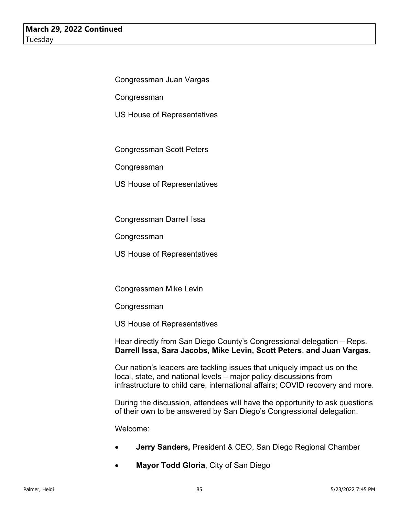Congressman Juan Vargas

**Congressman** 

US House of Representatives

Congressman Scott Peters

Congressman

US House of Representatives

Congressman Darrell Issa

Congressman

US House of Representatives

Congressman Mike Levin

Congressman

US House of Representatives

Hear directly from San Diego County's Congressional delegation – Reps. **Darrell Issa, Sara Jacobs, Mike Levin, Scott Peters**, **and Juan Vargas.**

Our nation's leaders are tackling issues that uniquely impact us on the local, state, and national levels – major policy discussions from infrastructure to child care, international affairs; COVID recovery and more.

During the discussion, attendees will have the opportunity to ask questions of their own to be answered by San Diego's Congressional delegation.

Welcome:

- **Jerry Sanders,** President & CEO, San Diego Regional Chamber
- **Mayor Todd Gloria**, City of San Diego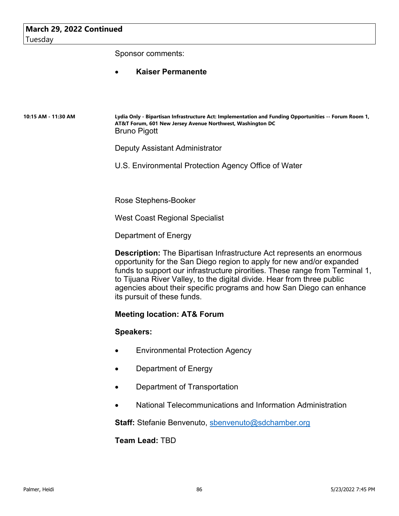Sponsor comments:

### **Kaiser Permanente**

**10:15 AM - 11:30 AM Lydia Only - Bipartisan Infrastructure Act: Implementation and Funding Opportunities -- Forum Room 1, AT&T Forum, 601 New Jersey Avenue Northwest, Washington DC** Bruno Pigott

Deputy Assistant Administrator

U.S. Environmental Protection Agency Office of Water

Rose Stephens-Booker

West Coast Regional Specialist

Department of Energy

**Description:** The Bipartisan Infrastructure Act represents an enormous opportunity for the San Diego region to apply for new and/or expanded funds to support our infrastructure pirorities. These range from Terminal 1, to Tijuana River Valley, to the digital divide. Hear from three public agencies about their specific programs and how San Diego can enhance its pursuit of these funds.

#### **Meeting location: AT& Forum**

#### **Speakers:**

- Environmental Protection Agency
- Department of Energy
- Department of Transportation
- National Telecommunications and Information Administration

**Staff:** Stefanie Benvenuto, sbenvenuto@sdchamber.org

**Team Lead:** TBD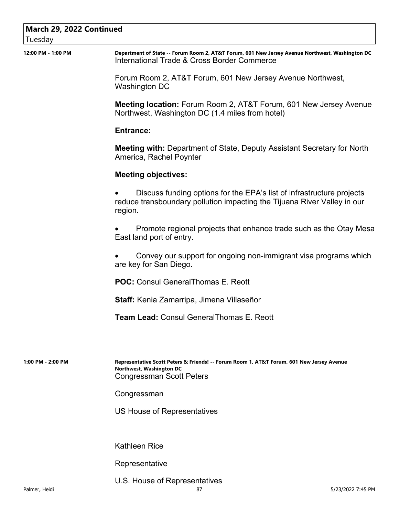| March 29, 2022 Continued<br>Tuesday |                                                                                                                                                              |
|-------------------------------------|--------------------------------------------------------------------------------------------------------------------------------------------------------------|
| 12:00 PM - 1:00 PM                  | Department of State -- Forum Room 2, AT&T Forum, 601 New Jersey Avenue Northwest, Washington DC<br>International Trade & Cross Border Commerce               |
|                                     | Forum Room 2, AT&T Forum, 601 New Jersey Avenue Northwest,<br>Washington DC                                                                                  |
|                                     | Meeting location: Forum Room 2, AT&T Forum, 601 New Jersey Avenue<br>Northwest, Washington DC (1.4 miles from hotel)                                         |
|                                     | <b>Entrance:</b>                                                                                                                                             |
|                                     | <b>Meeting with:</b> Department of State, Deputy Assistant Secretary for North<br>America, Rachel Poynter                                                    |
|                                     | <b>Meeting objectives:</b>                                                                                                                                   |
|                                     | Discuss funding options for the EPA's list of infrastructure projects<br>reduce transboundary pollution impacting the Tijuana River Valley in our<br>region. |
|                                     | Promote regional projects that enhance trade such as the Otay Mesa<br>East land port of entry.                                                               |
|                                     | Convey our support for ongoing non-immigrant visa programs which<br>are key for San Diego.                                                                   |
|                                     | <b>POC:</b> Consul General Thomas E. Reott                                                                                                                   |
|                                     | Staff: Kenia Zamarripa, Jimena Villaseñor                                                                                                                    |
|                                     | Team Lead: Consul General Thomas E. Reott                                                                                                                    |
|                                     |                                                                                                                                                              |
| 1:00 PM - 2:00 PM                   | Representative Scott Peters & Friends! -- Forum Room 1, AT&T Forum, 601 New Jersey Avenue<br>Northwest, Washington DC<br><b>Congressman Scott Peters</b>     |
|                                     | Congressman                                                                                                                                                  |
|                                     | US House of Representatives                                                                                                                                  |
|                                     | <b>Kathleen Rice</b>                                                                                                                                         |
|                                     | Representative                                                                                                                                               |

U.S. House of Representatives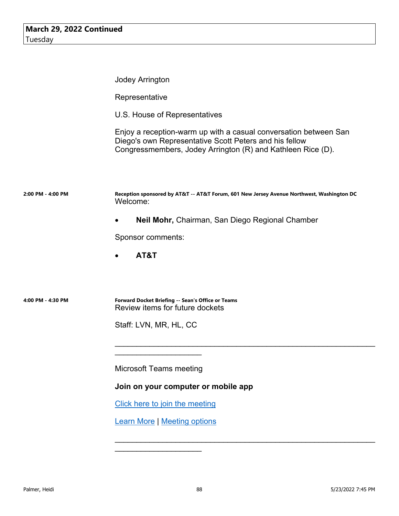|                   | <b>Jodey Arrington</b>                                                                                                                                                                    |
|-------------------|-------------------------------------------------------------------------------------------------------------------------------------------------------------------------------------------|
|                   | Representative                                                                                                                                                                            |
|                   | U.S. House of Representatives                                                                                                                                                             |
|                   | Enjoy a reception-warm up with a casual conversation between San<br>Diego's own Representative Scott Peters and his fellow<br>Congressmembers, Jodey Arrington (R) and Kathleen Rice (D). |
| 2:00 PM - 4:00 PM | Reception sponsored by AT&T -- AT&T Forum, 601 New Jersey Avenue Northwest, Washington DC<br>Welcome:                                                                                     |
|                   | Neil Mohr, Chairman, San Diego Regional Chamber                                                                                                                                           |
|                   | Sponsor comments:                                                                                                                                                                         |
|                   | AT&T<br>$\bullet$                                                                                                                                                                         |
|                   |                                                                                                                                                                                           |
| 4:00 PM - 4:30 PM | Forward Docket Briefing -- Sean's Office or Teams<br>Review items for future dockets                                                                                                      |
|                   | Staff: LVN, MR, HL, CC                                                                                                                                                                    |
|                   |                                                                                                                                                                                           |
|                   | Microsoft Teams meeting                                                                                                                                                                   |
|                   | Join on your computer or mobile app                                                                                                                                                       |
|                   | Click here to join the meeting                                                                                                                                                            |
|                   | <b>Learn More   Meeting options</b>                                                                                                                                                       |
|                   |                                                                                                                                                                                           |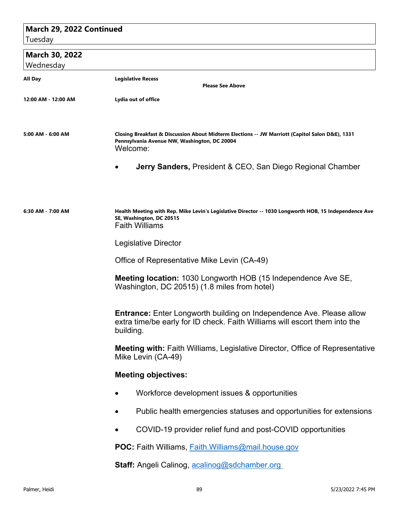## **March 29, 2022 Continued**

Tuesday

## **March 30, 2022**

| Wednesday           |                                                                                                                                                                        |
|---------------------|------------------------------------------------------------------------------------------------------------------------------------------------------------------------|
| All Day             | <b>Legislative Recess</b><br><b>Please See Above</b>                                                                                                                   |
| 12:00 AM - 12:00 AM | Lydia out of office                                                                                                                                                    |
|                     |                                                                                                                                                                        |
| 5:00 AM - 6:00 AM   | Closing Breakfast & Discussion About Midterm Elections -- JW Marriott (Capitol Salon D&E), 1331<br>Pennsylvania Avenue NW, Washington, DC 20004<br>Welcome:            |
|                     | <b>Jerry Sanders, President &amp; CEO, San Diego Regional Chamber</b>                                                                                                  |
|                     |                                                                                                                                                                        |
| 6:30 AM - 7:00 AM   | Health Meeting with Rep. Mike Levin's Legislative Director -- 1030 Longworth HOB, 15 Independence Ave<br>SE, Washington, DC 20515<br><b>Faith Williams</b>             |
|                     | Legislative Director                                                                                                                                                   |
|                     | Office of Representative Mike Levin (CA-49)                                                                                                                            |
|                     | <b>Meeting location: 1030 Longworth HOB (15 Independence Ave SE,</b><br>Washington, DC 20515) (1.8 miles from hotel)                                                   |
|                     | <b>Entrance:</b> Enter Longworth building on Independence Ave. Please allow<br>extra time/be early for ID check. Faith Williams will escort them into the<br>building. |
|                     | Meeting with: Faith Williams, Legislative Director, Office of Representative<br>Mike Levin (CA-49)                                                                     |
|                     | <b>Meeting objectives:</b>                                                                                                                                             |
|                     | Workforce development issues & opportunities                                                                                                                           |
|                     | Public health emergencies statuses and opportunities for extensions                                                                                                    |
|                     | COVID-19 provider relief fund and post-COVID opportunities                                                                                                             |
|                     | POC: Faith Williams, Faith. Williams@mail.house.gov                                                                                                                    |
|                     | Staff: Angeli Calinog, acalinog@sdchamber.org                                                                                                                          |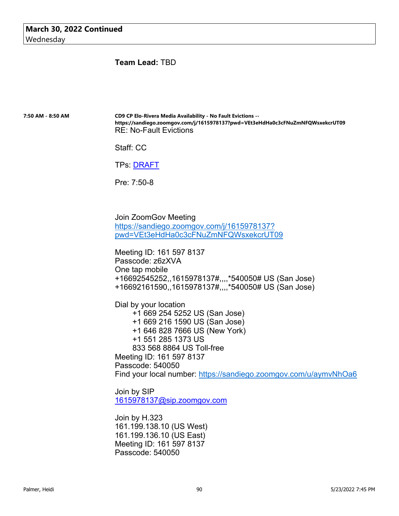**Team Lead:** TBD

**7:50 AM - 8:50 AM CD9 CP Elo-Rivera Media Availability - No Fault Evictions - https://sandiego.zoomgov.com/j/1615978137?pwd=VEt3eHdHa0c3cFNuZmNFQWsxekcrUT09** RE: No-Fault Evictions

Staff: CC

TPs: DRAFT

Pre: 7:50-8

Join ZoomGov Meeting https://sandiego.zoomgov.com/j/1615978137? pwd=VEt3eHdHa0c3cFNuZmNFQWsxekcrUT09

Meeting ID: 161 597 8137 Passcode: z6zXVA One tap mobile +16692545252,,1615978137#,,,,\*540050# US (San Jose) +16692161590,,1615978137#,,,,\*540050# US (San Jose)

Dial by your location +1 669 254 5252 US (San Jose) +1 669 216 1590 US (San Jose) +1 646 828 7666 US (New York) +1 551 285 1373 US 833 568 8864 US Toll-free Meeting ID: 161 597 8137 Passcode: 540050 Find your local number: https://sandiego.zoomgov.com/u/aymvNhOa6

Join by SIP 1615978137@sip.zoomgov.com

Join by H.323 161.199.138.10 (US West) 161.199.136.10 (US East) Meeting ID: 161 597 8137 Passcode: 540050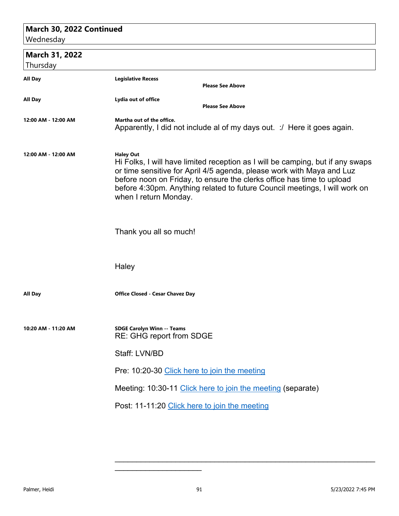## **March 30, 2022 Continued**

Wednesday

 **March 31, 2022**

|  |  | Thursday |
|--|--|----------|
|--|--|----------|

| Thursday            |                                                                                                                                                                                                                                                                                                                                                             |                                                                        |
|---------------------|-------------------------------------------------------------------------------------------------------------------------------------------------------------------------------------------------------------------------------------------------------------------------------------------------------------------------------------------------------------|------------------------------------------------------------------------|
| All Day             | <b>Legislative Recess</b>                                                                                                                                                                                                                                                                                                                                   | <b>Please See Above</b>                                                |
| All Day             | Lydia out of office                                                                                                                                                                                                                                                                                                                                         | <b>Please See Above</b>                                                |
| 12:00 AM - 12:00 AM | Martha out of the office.                                                                                                                                                                                                                                                                                                                                   | Apparently, I did not include al of my days out. : Here it goes again. |
| 12:00 AM - 12:00 AM | <b>Haley Out</b><br>Hi Folks, I will have limited reception as I will be camping, but if any swaps<br>or time sensitive for April 4/5 agenda, please work with Maya and Luz<br>before noon on Friday, to ensure the clerks office has time to upload<br>before 4:30pm. Anything related to future Council meetings, I will work on<br>when I return Monday. |                                                                        |
|                     | Thank you all so much!                                                                                                                                                                                                                                                                                                                                      |                                                                        |
|                     | Haley                                                                                                                                                                                                                                                                                                                                                       |                                                                        |
| All Day             | <b>Office Closed - Cesar Chavez Day</b>                                                                                                                                                                                                                                                                                                                     |                                                                        |
| 10:20 AM - 11:20 AM | <b>SDGE Carolyn Winn -- Teams</b><br><b>RE: GHG report from SDGE</b>                                                                                                                                                                                                                                                                                        |                                                                        |
|                     | Staff: LVN/BD                                                                                                                                                                                                                                                                                                                                               |                                                                        |
|                     | Pre: 10:20-30 Click here to join the meeting                                                                                                                                                                                                                                                                                                                |                                                                        |
|                     |                                                                                                                                                                                                                                                                                                                                                             | Meeting: 10:30-11 Click here to join the meeting (separate)            |
|                     | Post: 11-11:20 Click here to join the meeting                                                                                                                                                                                                                                                                                                               |                                                                        |
|                     |                                                                                                                                                                                                                                                                                                                                                             |                                                                        |

\_\_\_\_\_\_\_\_\_\_\_\_\_\_\_\_\_\_\_\_

\_\_\_\_\_\_\_\_\_\_\_\_\_\_\_\_\_\_\_\_\_\_\_\_\_\_\_\_\_\_\_\_\_\_\_\_\_\_\_\_\_\_\_\_\_\_\_\_\_\_\_\_\_\_\_\_\_\_\_\_